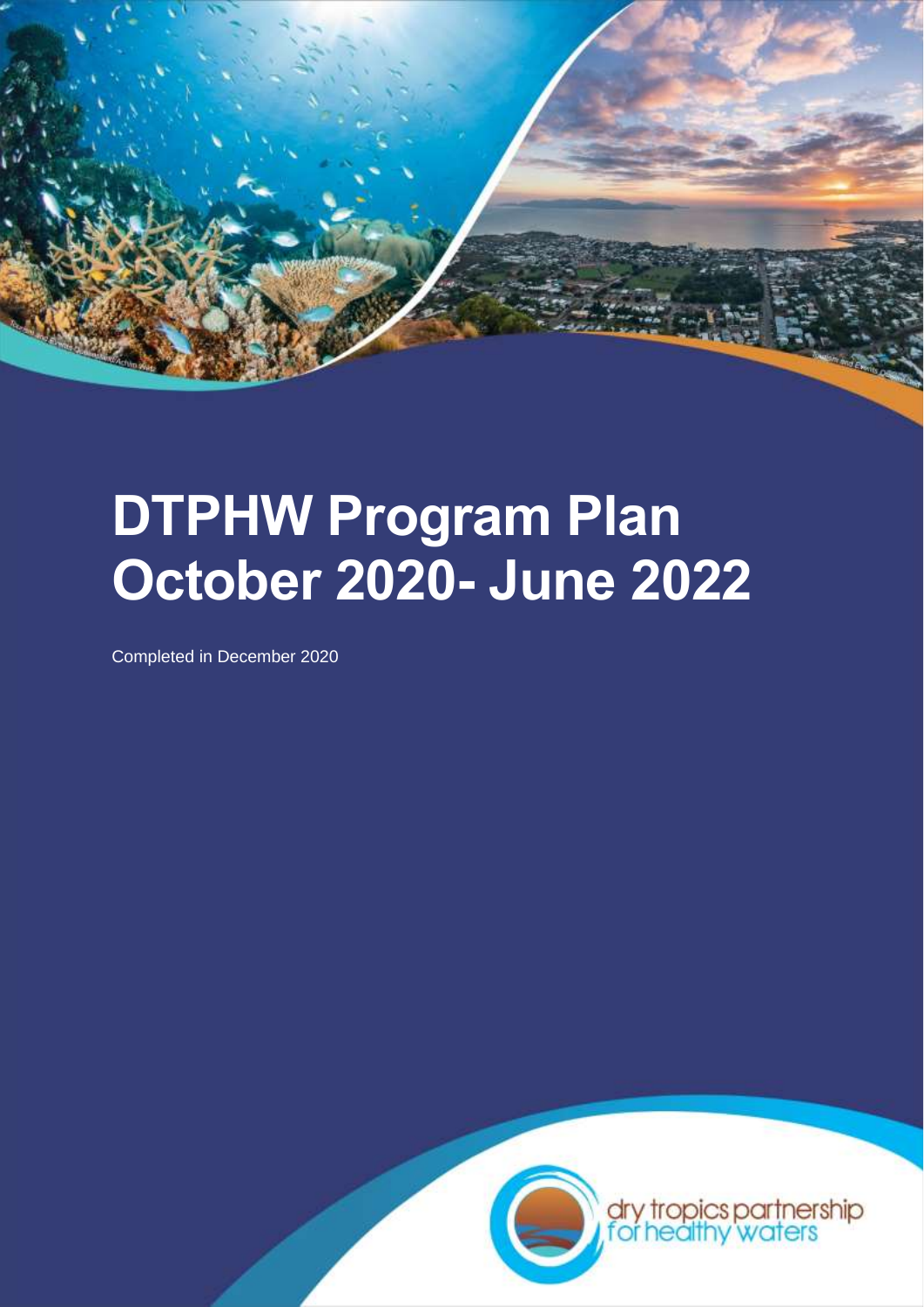

# **DTPHW Program Plan October 2020- June 2022**

Completed in December 2020

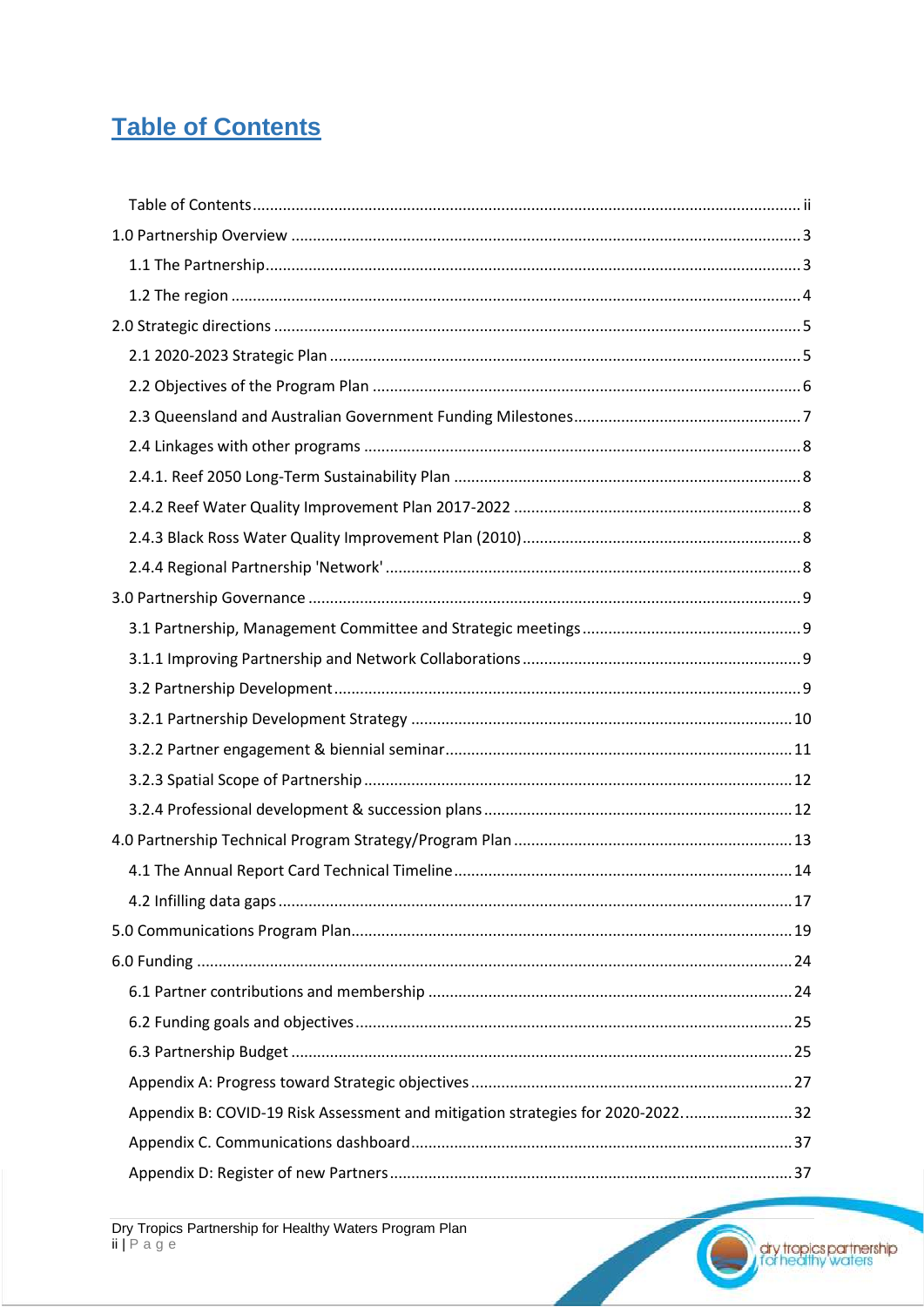## <span id="page-1-0"></span>**Table of Contents**

| Appendix B: COVID-19 Risk Assessment and mitigation strategies for 2020-2022 32 |  |
|---------------------------------------------------------------------------------|--|
|                                                                                 |  |
|                                                                                 |  |

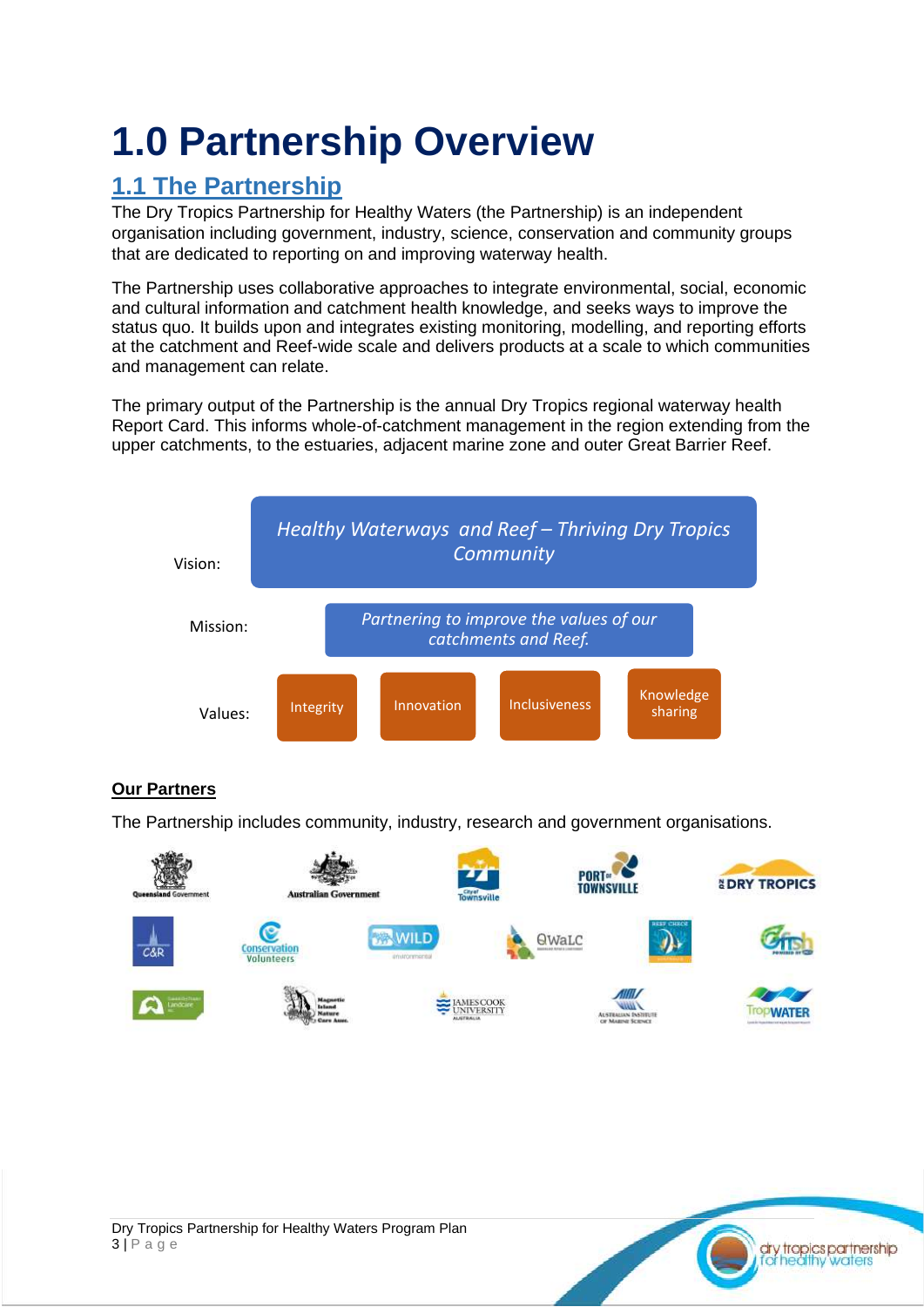## <span id="page-2-0"></span>**1.0 Partnership Overview**

### <span id="page-2-1"></span>**1.1 The Partnership**

The Dry Tropics Partnership for Healthy Waters (the Partnership) is an independent organisation including government, industry, science, conservation and community groups that are dedicated to reporting on and improving waterway health.

The Partnership uses collaborative approaches to integrate environmental, social, economic and cultural information and catchment health knowledge, and seeks ways to improve the status quo. It builds upon and integrates existing monitoring, modelling, and reporting efforts at the catchment and Reef-wide scale and delivers products at a scale to which communities and management can relate.

The primary output of the Partnership is the annual Dry Tropics regional waterway health Report Card. This informs whole-of-catchment management in the region extending from the upper catchments, to the estuaries, adjacent marine zone and outer Great Barrier Reef.



### **Our Partners**

The Partnership includes community, industry, research and government organisations.



dry tropics partnership ealthy waters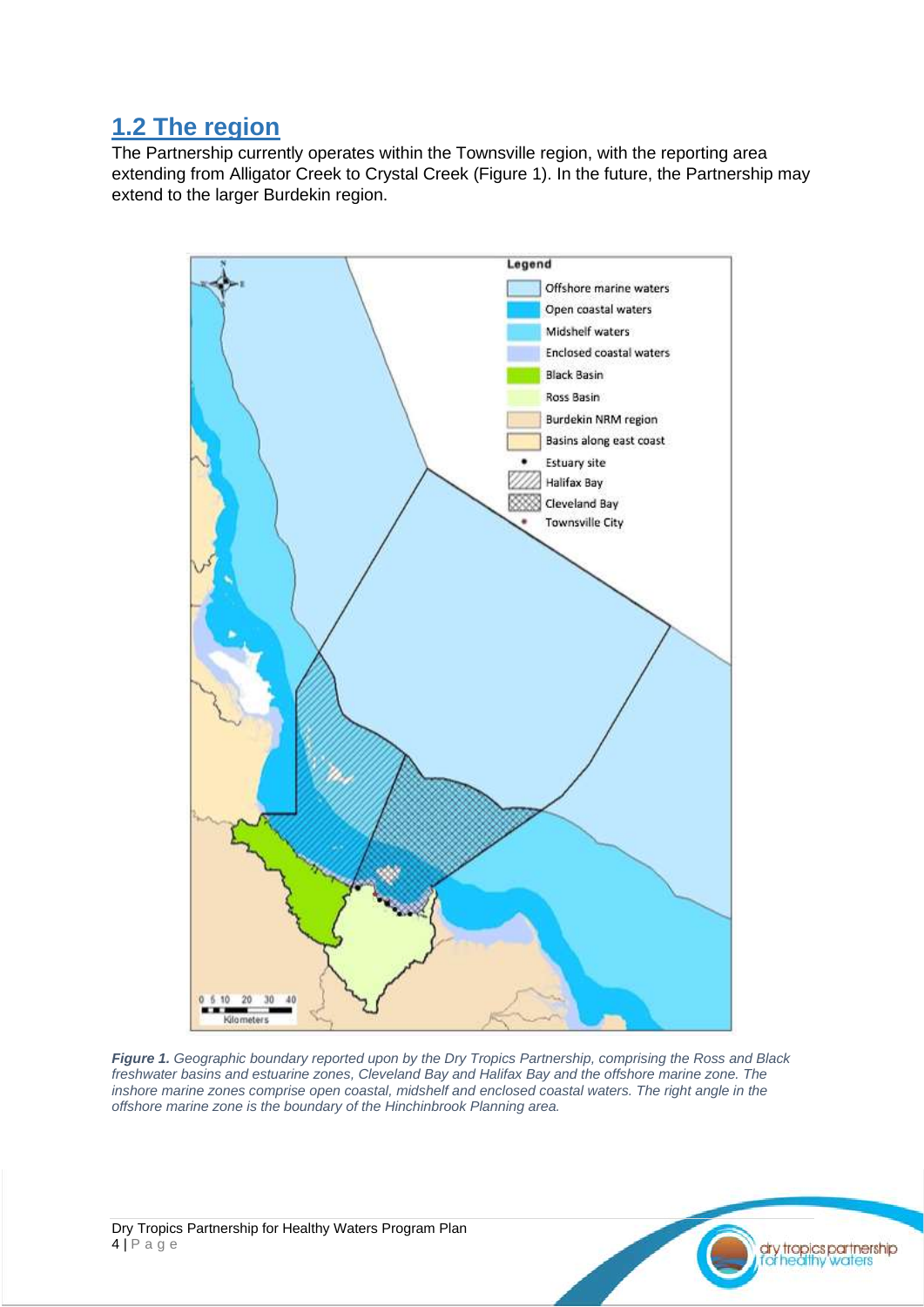## <span id="page-3-0"></span>**1.2 The region**

The Partnership currently operates within the Townsville region, with the reporting area extending from Alligator Creek to Crystal Creek (Figure 1). In the future, the Partnership may extend to the larger Burdekin region.



*Figure 1. Geographic boundary reported upon by the Dry Tropics Partnership, comprising the Ross and Black freshwater basins and estuarine zones, Cleveland Bay and Halifax Bay and the offshore marine zone. The inshore marine zones comprise open coastal, midshelf and enclosed coastal waters. The right angle in the offshore marine zone is the boundary of the Hinchinbrook Planning area.*

<mark>dry tropics partnershi</mark>p<br>for healthy waters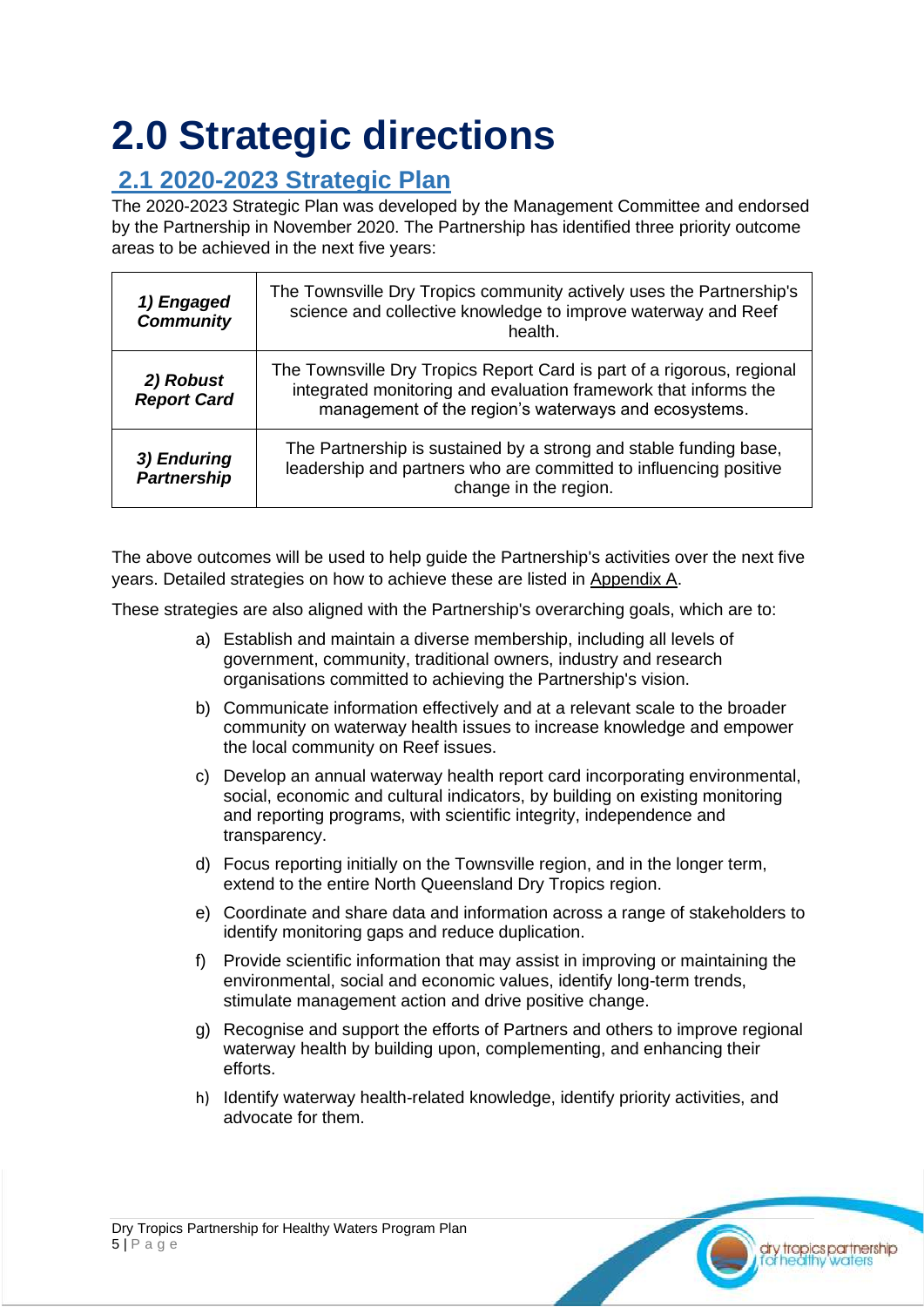## <span id="page-4-0"></span>**2.0 Strategic directions**

## <span id="page-4-1"></span>**2.1 2020-2023 Strategic Plan**

The 2020-2023 Strategic Plan was developed by the Management Committee and endorsed by the Partnership in November 2020. The Partnership has identified three priority outcome areas to be achieved in the next five years:

| 1) Engaged<br><b>Community</b>    | The Townsville Dry Tropics community actively uses the Partnership's<br>science and collective knowledge to improve waterway and Reef<br>health.                                                  |
|-----------------------------------|---------------------------------------------------------------------------------------------------------------------------------------------------------------------------------------------------|
| 2) Robust<br><b>Report Card</b>   | The Townsville Dry Tropics Report Card is part of a rigorous, regional<br>integrated monitoring and evaluation framework that informs the<br>management of the region's waterways and ecosystems. |
| 3) Enduring<br><b>Partnership</b> | The Partnership is sustained by a strong and stable funding base,<br>leadership and partners who are committed to influencing positive<br>change in the region.                                   |

The above outcomes will be used to help guide the Partnership's activities over the next five years. Detailed strategies on how to achieve these are listed in Appendix A.

These strategies are also aligned with the Partnership's overarching goals, which are to:

- a) Establish and maintain a diverse membership, including all levels of government, community, traditional owners, industry and research organisations committed to achieving the Partnership's vision.
- b) Communicate information effectively and at a relevant scale to the broader community on waterway health issues to increase knowledge and empower the local community on Reef issues.
- c) Develop an annual waterway health report card incorporating environmental, social, economic and cultural indicators, by building on existing monitoring and reporting programs, with scientific integrity, independence and transparency.
- d) Focus reporting initially on the Townsville region, and in the longer term, extend to the entire North Queensland Dry Tropics region.
- e) Coordinate and share data and information across a range of stakeholders to identify monitoring gaps and reduce duplication.
- f) Provide scientific information that may assist in improving or maintaining the environmental, social and economic values, identify long-term trends, stimulate management action and drive positive change.
- g) Recognise and support the efforts of Partners and others to improve regional waterway health by building upon, complementing, and enhancing their efforts.
- h) Identify waterway health-related knowledge, identify priority activities, and advocate for them.

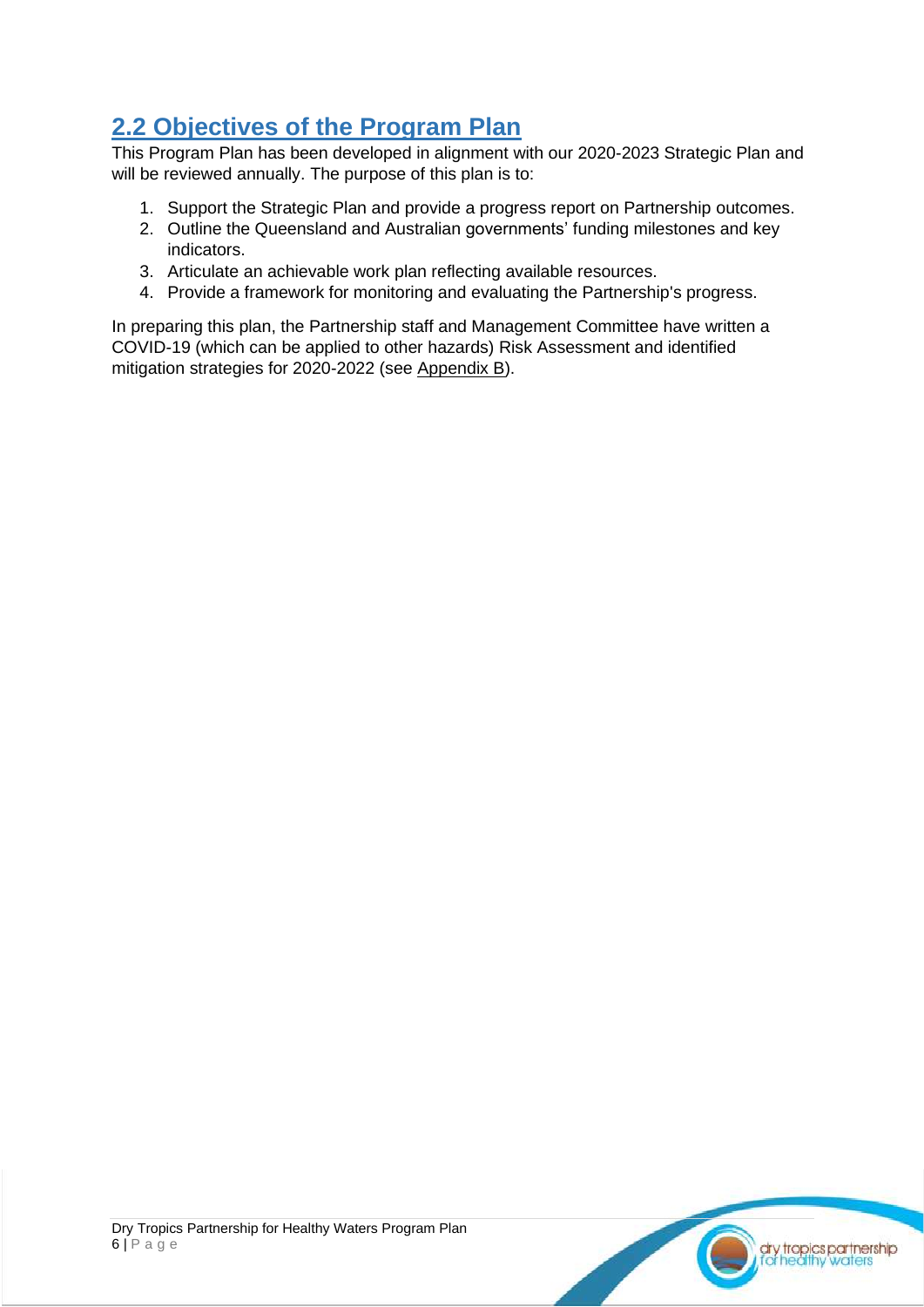## <span id="page-5-0"></span>**2.2 Objectives of the Program Plan**

This Program Plan has been developed in alignment with our 2020-2023 Strategic Plan and will be reviewed annually. The purpose of this plan is to:

- 1. Support the Strategic Plan and provide a progress report on Partnership outcomes.
- 2. Outline the Queensland and Australian governments' funding milestones and key indicators.
- 3. Articulate an achievable work plan reflecting available resources.
- 4. Provide a framework for monitoring and evaluating the Partnership's progress.

In preparing this plan, the Partnership staff and Management Committee have written a COVID-19 (which can be applied to other hazards) Risk Assessment and identified mitigation strategies for 2020-2022 (see Appendix B).

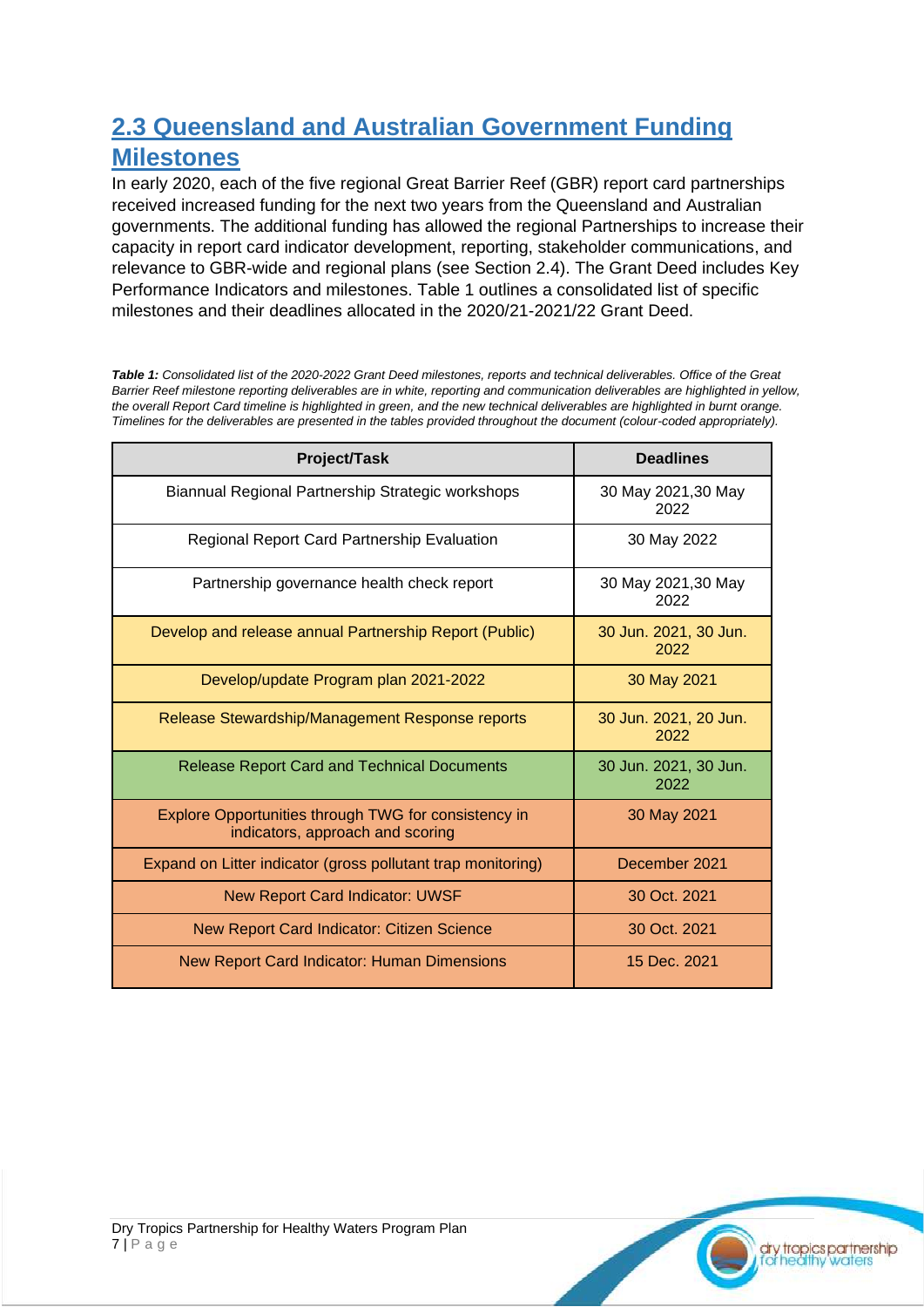### <span id="page-6-0"></span>**2.3 Queensland and Australian Government Funding Milestones**

In early 2020, each of the five regional Great Barrier Reef (GBR) report card partnerships received increased funding for the next two years from the Queensland and Australian governments. The additional funding has allowed the regional Partnerships to increase their capacity in report card indicator development, reporting, stakeholder communications, and relevance to GBR-wide and regional plans (see Section 2.4). The Grant Deed includes Key Performance Indicators and milestones. Table 1 outlines a consolidated list of specific milestones and their deadlines allocated in the 2020/21-2021/22 Grant Deed.

*Table 1: Consolidated list of the 2020-2022 Grant Deed milestones, reports and technical deliverables. Office of the Great Barrier Reef milestone reporting deliverables are in white, reporting and communication deliverables are highlighted in yellow, the overall Report Card timeline is highlighted in green, and the new technical deliverables are highlighted in burnt orange. Timelines for the deliverables are presented in the tables provided throughout the document (colour-coded appropriately).*

| <b>Project/Task</b>                                                                      | <b>Deadlines</b>              |
|------------------------------------------------------------------------------------------|-------------------------------|
| Biannual Regional Partnership Strategic workshops                                        | 30 May 2021,30 May<br>2022    |
| <b>Regional Report Card Partnership Evaluation</b>                                       | 30 May 2022                   |
| Partnership governance health check report                                               | 30 May 2021,30 May<br>2022    |
| Develop and release annual Partnership Report (Public)                                   | 30 Jun. 2021, 30 Jun.<br>2022 |
| Develop/update Program plan 2021-2022                                                    | 30 May 2021                   |
| Release Stewardship/Management Response reports                                          | 30 Jun. 2021, 20 Jun.<br>2022 |
| <b>Release Report Card and Technical Documents</b>                                       | 30 Jun. 2021, 30 Jun.<br>2022 |
| Explore Opportunities through TWG for consistency in<br>indicators, approach and scoring | 30 May 2021                   |
| Expand on Litter indicator (gross pollutant trap monitoring)                             | December 2021                 |
| <b>New Report Card Indicator: UWSF</b>                                                   | 30 Oct. 2021                  |
| New Report Card Indicator: Citizen Science                                               | 30 Oct. 2021                  |
| New Report Card Indicator: Human Dimensions                                              | 15 Dec. 2021                  |

dry tropics partnership<br>for healthy waters

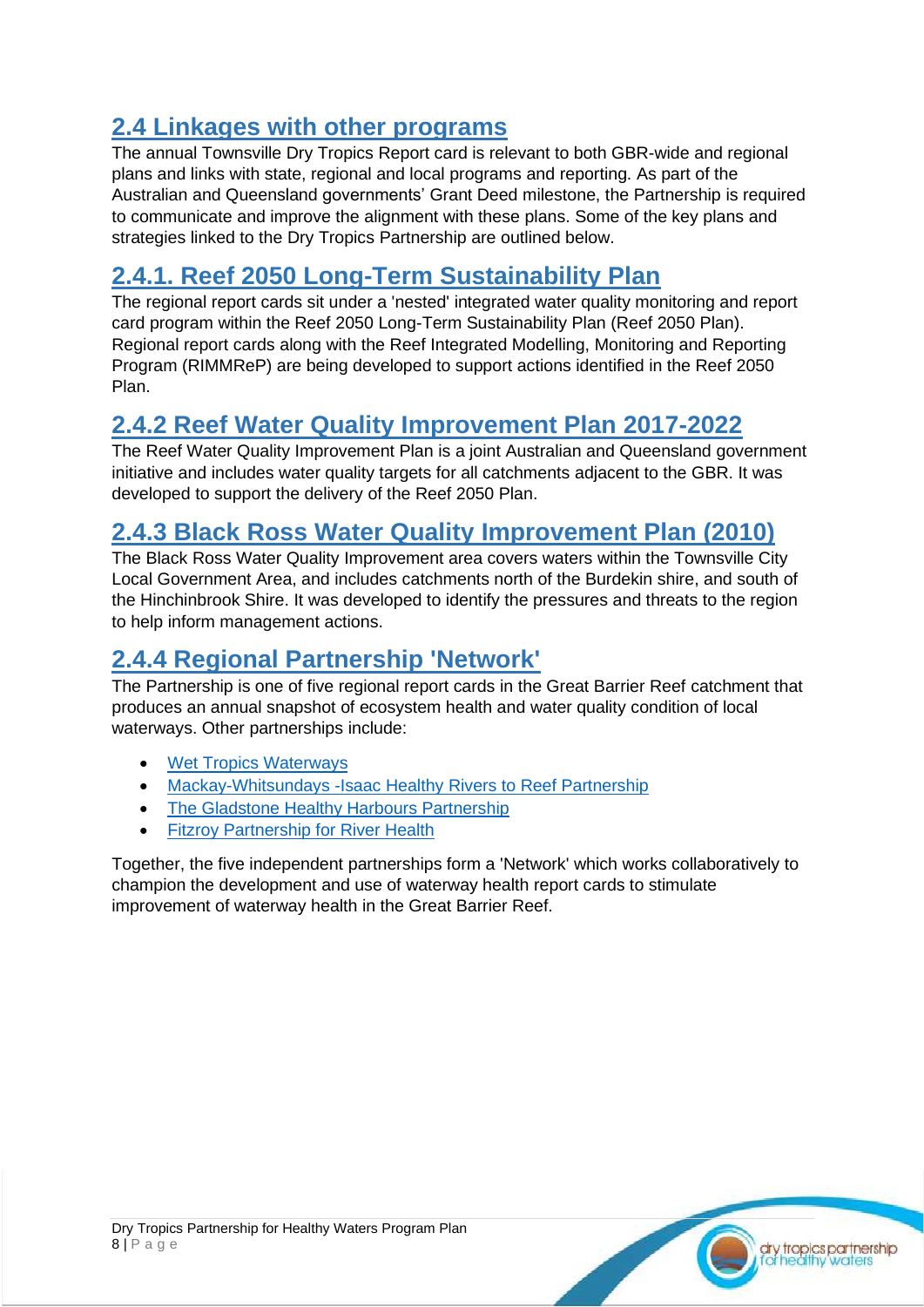### <span id="page-7-0"></span>**2.4 Linkages with other programs**

The annual Townsville Dry Tropics Report card is relevant to both GBR-wide and regional plans and links with state, regional and local programs and reporting. As part of the Australian and Queensland governments' Grant Deed milestone, the Partnership is required to communicate and improve the alignment with these plans. Some of the key plans and strategies linked to the Dry Tropics Partnership are outlined below.

### <span id="page-7-1"></span>**2.4.1. Reef 2050 Long-Term Sustainability Plan**

The regional report cards sit under a 'nested' integrated water quality monitoring and report card program within the Reef 2050 Long-Term Sustainability Plan (Reef 2050 Plan). Regional report cards along with the Reef Integrated Modelling, Monitoring and Reporting Program (RIMMReP) are being developed to support actions identified in the Reef 2050 Plan.

### <span id="page-7-2"></span>**2.4.2 Reef Water Quality Improvement Plan 2017-2022**

The Reef Water Quality Improvement Plan is a joint Australian and Queensland government initiative and includes water quality targets for all catchments adjacent to the GBR. It was developed to support the delivery of the Reef 2050 Plan.

### <span id="page-7-3"></span>**2.4.3 Black Ross Water Quality Improvement Plan (2010)**

The Black Ross Water Quality Improvement area covers waters within the Townsville City Local Government Area, and includes catchments north of the Burdekin shire, and south of the Hinchinbrook Shire. It was developed to identify the pressures and threats to the region to help inform management actions.

### <span id="page-7-4"></span>**2.4.4 Regional Partnership 'Network'**

The Partnership is one of five regional report cards in the Great Barrier Reef catchment that produces an annual snapshot of ecosystem health and water quality condition of local waterways. Other partnerships include:

- [Wet Tropics Waterways](https://wettropicswaterways.org.au/)
- [Mackay-Whitsundays -Isaac Healthy Rivers to Reef Partnership](https://healthyriverstoreef.org.au/)
- [The Gladstone Healthy Harbours Partnership](http://ghhp.org.au/)
- [Fitzroy Partnership for River Health](https://riverhealth.org.au/)

Together, the five independent partnerships form a 'Network' which works collaboratively to champion the development and use of waterway health report cards to stimulate improvement of waterway health in the Great Barrier Reef.

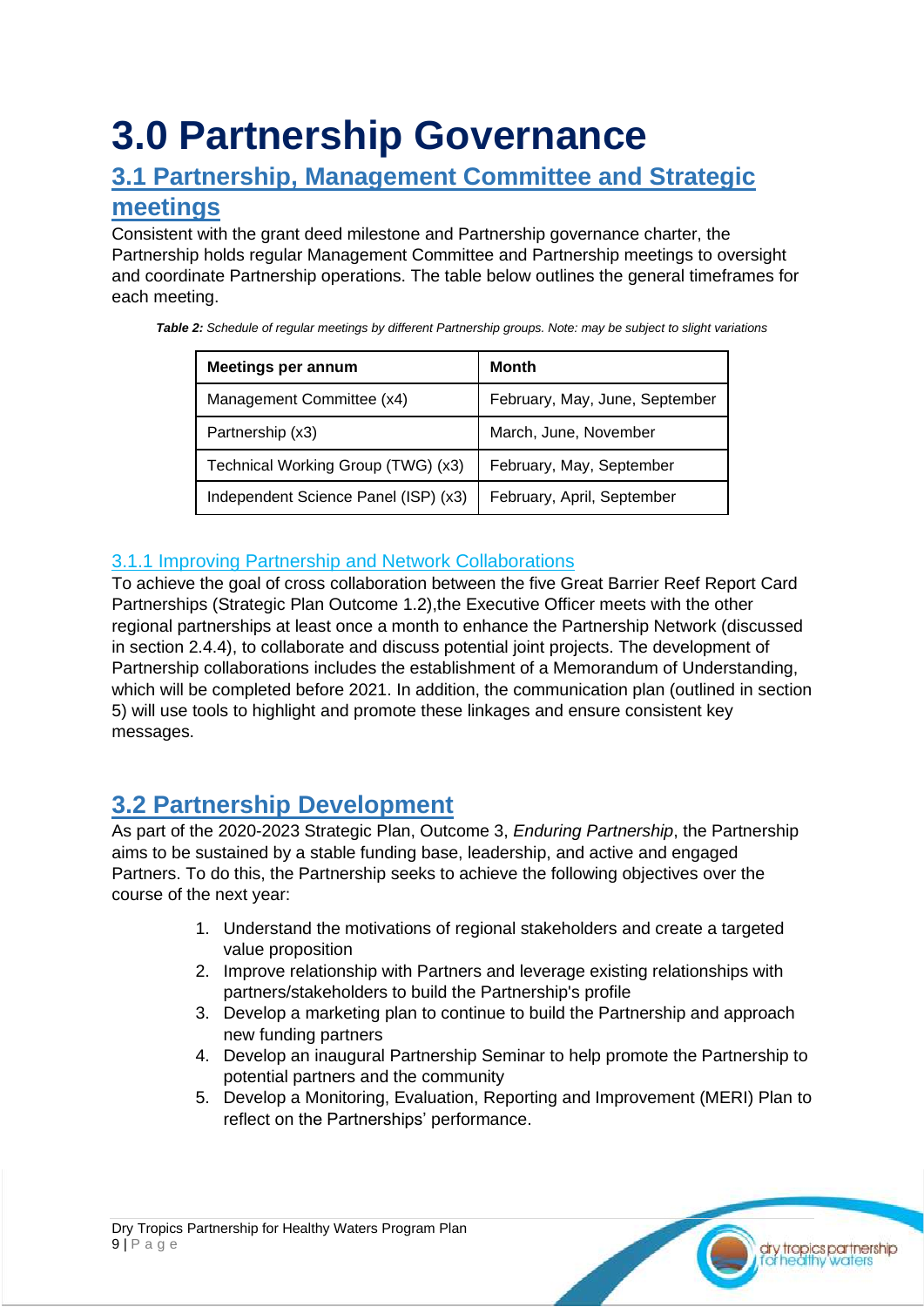## <span id="page-8-0"></span>**3.0 Partnership Governance**

### <span id="page-8-1"></span>**3.1 Partnership, Management Committee and Strategic meetings**

Consistent with the grant deed milestone and Partnership governance charter, the Partnership holds regular Management Committee and Partnership meetings to oversight and coordinate Partnership operations. The table below outlines the general timeframes for each meeting.

*Table 2: Schedule of regular meetings by different Partnership groups. Note: may be subject to slight variations*

| <b>Meetings per annum</b>            | Month                          |
|--------------------------------------|--------------------------------|
| Management Committee (x4)            | February, May, June, September |
| Partnership (x3)                     | March, June, November          |
| Technical Working Group (TWG) (x3)   | February, May, September       |
| Independent Science Panel (ISP) (x3) | February, April, September     |

### <span id="page-8-2"></span>3.1.1 Improving Partnership and Network Collaborations

To achieve the goal of cross collaboration between the five Great Barrier Reef Report Card Partnerships (Strategic Plan Outcome 1.2),the Executive Officer meets with the other regional partnerships at least once a month to enhance the Partnership Network (discussed in section 2.4.4), to collaborate and discuss potential joint projects. The development of Partnership collaborations includes the establishment of a Memorandum of Understanding, which will be completed before 2021. In addition, the communication plan (outlined in section 5) will use tools to highlight and promote these linkages and ensure consistent key messages.

## <span id="page-8-3"></span>**3.2 Partnership Development**

As part of the 2020-2023 Strategic Plan, Outcome 3, *Enduring Partnership*, the Partnership aims to be sustained by a stable funding base, leadership, and active and engaged Partners. To do this, the Partnership seeks to achieve the following objectives over the course of the next year:

- 1. Understand the motivations of regional stakeholders and create a targeted value proposition
- 2. Improve relationship with Partners and leverage existing relationships with partners/stakeholders to build the Partnership's profile
- 3. Develop a marketing plan to continue to build the Partnership and approach new funding partners
- 4. Develop an inaugural Partnership Seminar to help promote the Partnership to potential partners and the community
- 5. Develop a Monitoring, Evaluation, Reporting and Improvement (MERI) Plan to reflect on the Partnerships' performance.

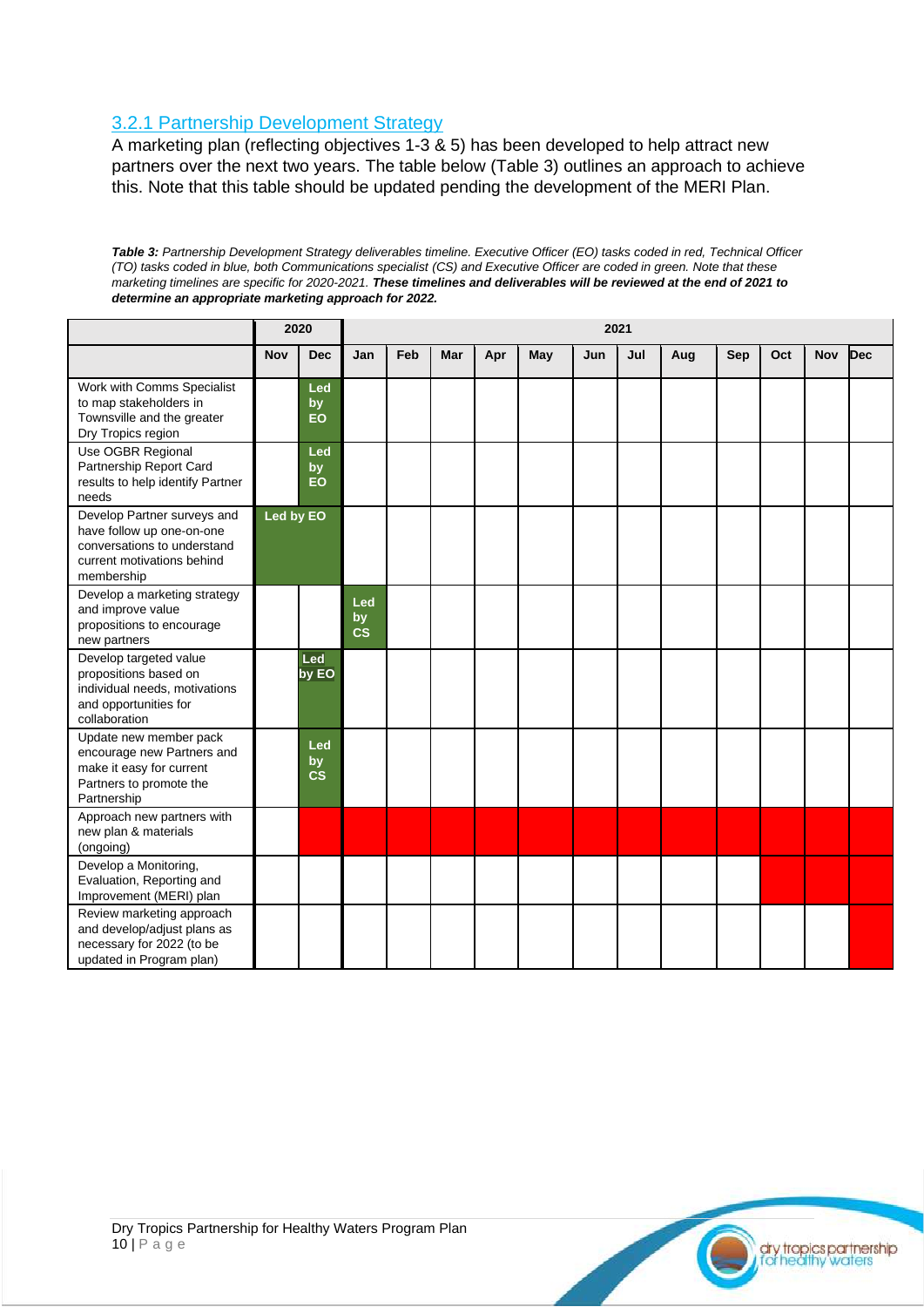### <span id="page-9-0"></span>3.2.1 Partnership Development Strategy

A marketing plan (reflecting objectives 1-3 & 5) has been developed to help attract new partners over the next two years. The table below (Table 3) outlines an approach to achieve this. Note that this table should be updated pending the development of the MERI Plan.

*Table 3: Partnership Development Strategy deliverables timeline. Executive Officer (EO) tasks coded in red, Technical Officer (TO) tasks coded in blue, both Communications specialist (CS) and Executive Officer are coded in green. Note that these marketing timelines are specific for 2020-2021. These timelines and deliverables will be reviewed at the end of 2021 to determine an appropriate marketing approach for 2022.* 

|                                                                                                                                     |            | 2020                |                        |     |     |     |     |     | 2021 |     |     |     |            |            |
|-------------------------------------------------------------------------------------------------------------------------------------|------------|---------------------|------------------------|-----|-----|-----|-----|-----|------|-----|-----|-----|------------|------------|
|                                                                                                                                     | <b>Nov</b> | <b>Dec</b>          | Jan                    | Feb | Mar | Apr | May | Jun | Jul  | Aug | Sep | Oct | <b>Nov</b> | <b>Dec</b> |
| Work with Comms Specialist<br>to map stakeholders in<br>Townsville and the greater<br>Dry Tropics region                            |            | Led<br>by<br>EO     |                        |     |     |     |     |     |      |     |     |     |            |            |
| Use OGBR Regional<br>Partnership Report Card<br>results to help identify Partner<br>needs                                           |            | Led<br>by<br>EO     |                        |     |     |     |     |     |      |     |     |     |            |            |
| Develop Partner surveys and<br>have follow up one-on-one<br>conversations to understand<br>current motivations behind<br>membership | Led by EO  |                     |                        |     |     |     |     |     |      |     |     |     |            |            |
| Develop a marketing strategy<br>and improve value<br>propositions to encourage<br>new partners                                      |            |                     | Led<br>by<br><b>CS</b> |     |     |     |     |     |      |     |     |     |            |            |
| Develop targeted value<br>propositions based on<br>individual needs, motivations<br>and opportunities for<br>collaboration          |            | Led<br>by EO        |                        |     |     |     |     |     |      |     |     |     |            |            |
| Update new member pack<br>encourage new Partners and<br>make it easy for current<br>Partners to promote the<br>Partnership          |            | Led<br>by<br>$\csc$ |                        |     |     |     |     |     |      |     |     |     |            |            |
| Approach new partners with<br>new plan & materials<br>(ongoing)                                                                     |            |                     |                        |     |     |     |     |     |      |     |     |     |            |            |
| Develop a Monitoring,<br>Evaluation, Reporting and<br>Improvement (MERI) plan                                                       |            |                     |                        |     |     |     |     |     |      |     |     |     |            |            |
| Review marketing approach<br>and develop/adjust plans as<br>necessary for 2022 (to be<br>updated in Program plan)                   |            |                     |                        |     |     |     |     |     |      |     |     |     |            |            |



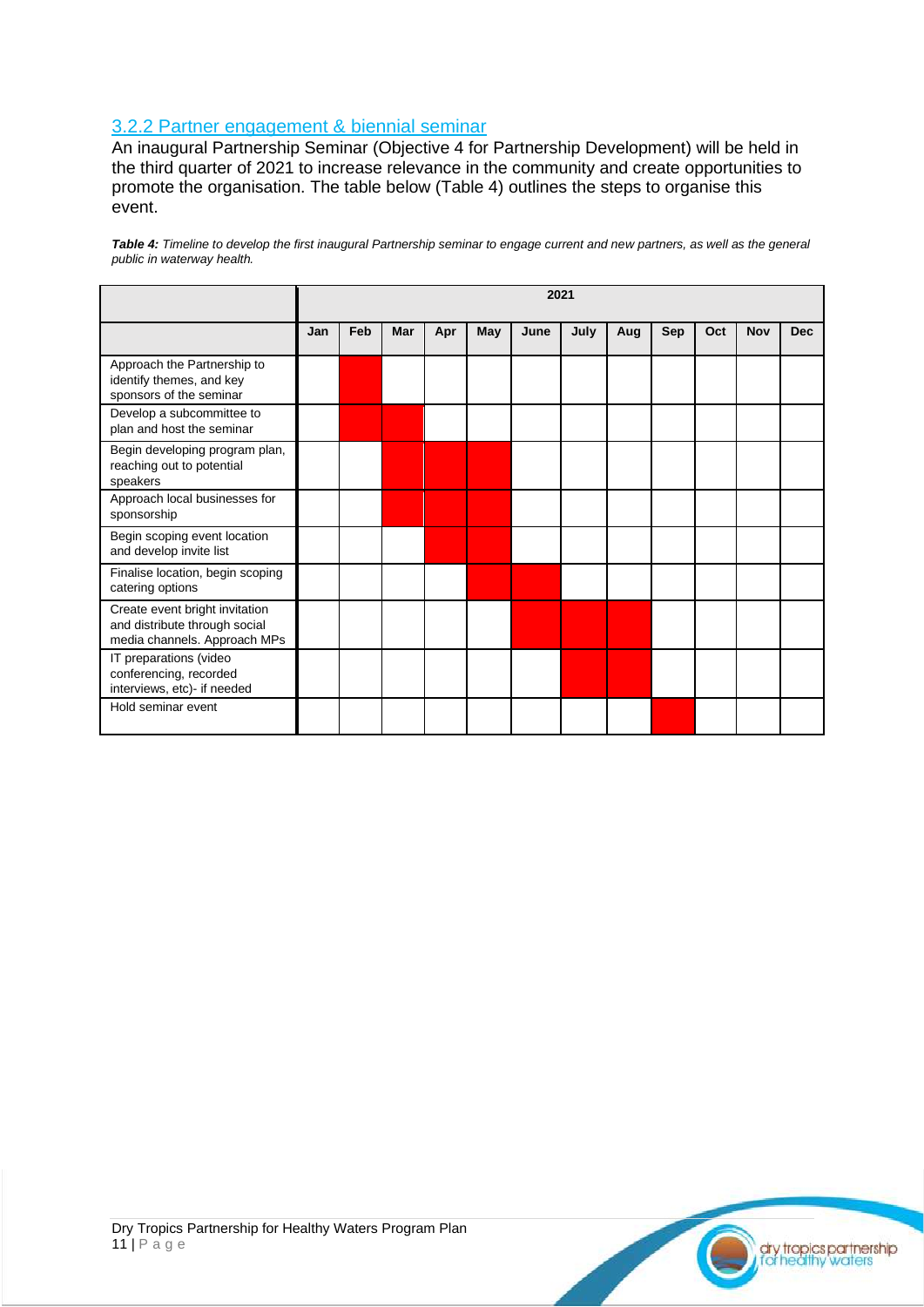#### <span id="page-10-0"></span>3.2.2 Partner engagement & biennial seminar

An inaugural Partnership Seminar (Objective 4 for Partnership Development) will be held in the third quarter of 2021 to increase relevance in the community and create opportunities to promote the organisation. The table below (Table 4) outlines the steps to organise this event.

*Table 4: Timeline to develop the first inaugural Partnership seminar to engage current and new partners, as well as the general public in waterway health.*

|                                                                                                 |     | 2021 |     |     |     |      |      |     |            |     |            |            |  |
|-------------------------------------------------------------------------------------------------|-----|------|-----|-----|-----|------|------|-----|------------|-----|------------|------------|--|
|                                                                                                 | Jan | Feb  | Mar | Apr | May | June | July | Aug | <b>Sep</b> | Oct | <b>Nov</b> | <b>Dec</b> |  |
| Approach the Partnership to<br>identify themes, and key<br>sponsors of the seminar              |     |      |     |     |     |      |      |     |            |     |            |            |  |
| Develop a subcommittee to<br>plan and host the seminar                                          |     |      |     |     |     |      |      |     |            |     |            |            |  |
| Begin developing program plan,<br>reaching out to potential<br>speakers                         |     |      |     |     |     |      |      |     |            |     |            |            |  |
| Approach local businesses for<br>sponsorship                                                    |     |      |     |     |     |      |      |     |            |     |            |            |  |
| Begin scoping event location<br>and develop invite list                                         |     |      |     |     |     |      |      |     |            |     |            |            |  |
| Finalise location, begin scoping<br>catering options                                            |     |      |     |     |     |      |      |     |            |     |            |            |  |
| Create event bright invitation<br>and distribute through social<br>media channels. Approach MPs |     |      |     |     |     |      |      |     |            |     |            |            |  |
| IT preparations (video<br>conferencing, recorded<br>interviews, etc)- if needed                 |     |      |     |     |     |      |      |     |            |     |            |            |  |
| Hold seminar event                                                                              |     |      |     |     |     |      |      |     |            |     |            |            |  |

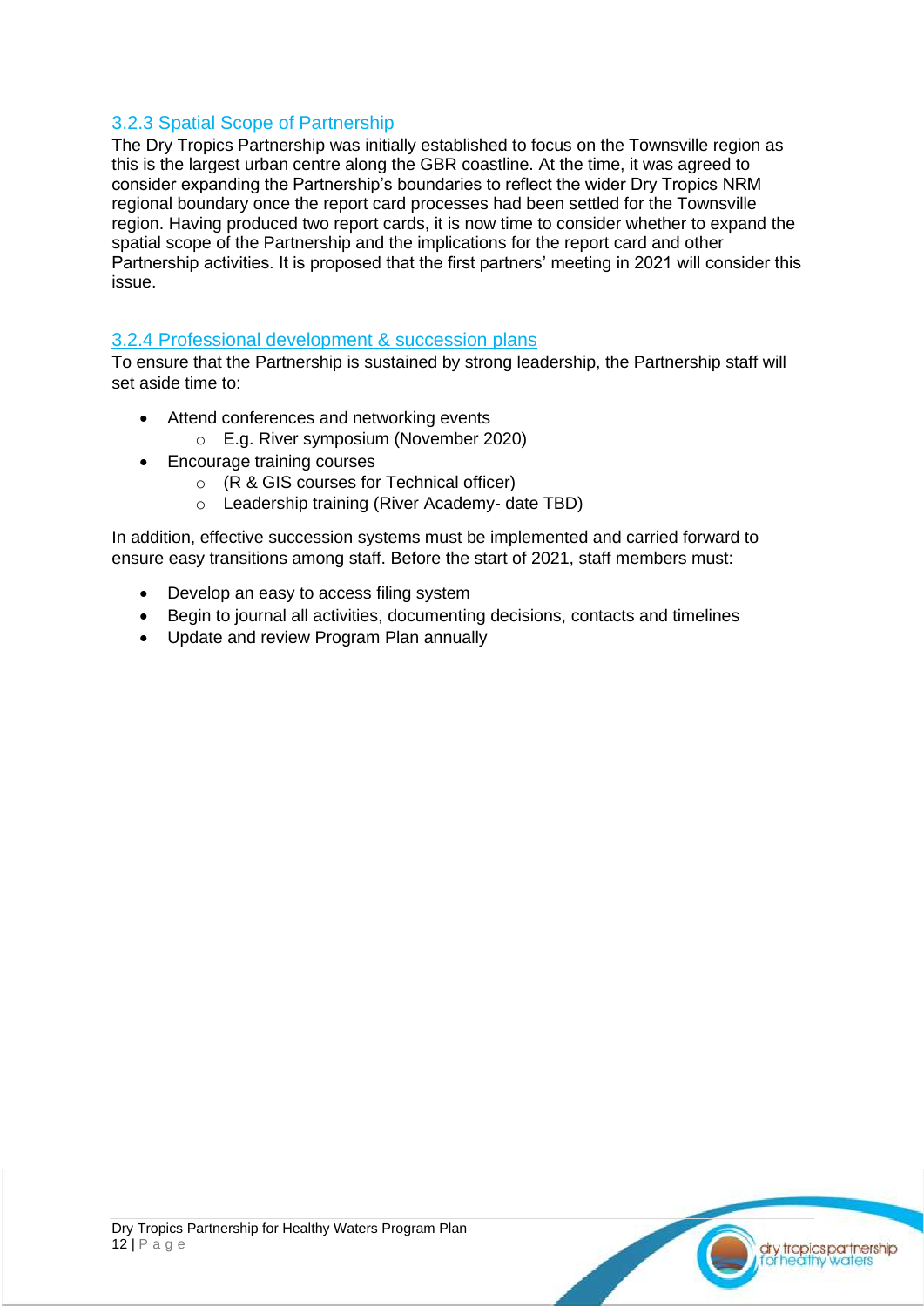### <span id="page-11-0"></span>3.2.3 Spatial Scope of Partnership

The Dry Tropics Partnership was initially established to focus on the Townsville region as this is the largest urban centre along the GBR coastline. At the time, it was agreed to consider expanding the Partnership's boundaries to reflect the wider Dry Tropics NRM regional boundary once the report card processes had been settled for the Townsville region. Having produced two report cards, it is now time to consider whether to expand the spatial scope of the Partnership and the implications for the report card and other Partnership activities. It is proposed that the first partners' meeting in 2021 will consider this issue.

#### <span id="page-11-1"></span>3.2.4 Professional development & succession plans

To ensure that the Partnership is sustained by strong leadership, the Partnership staff will set aside time to:

- Attend conferences and networking events
	- o E.g. River symposium (November 2020)
- Encourage training courses
	- o (R & GIS courses for Technical officer)
	- o Leadership training (River Academy- date TBD)

In addition, effective succession systems must be implemented and carried forward to ensure easy transitions among staff. Before the start of 2021, staff members must:

- Develop an easy to access filing system
- Begin to journal all activities, documenting decisions, contacts and timelines
- Update and review Program Plan annually

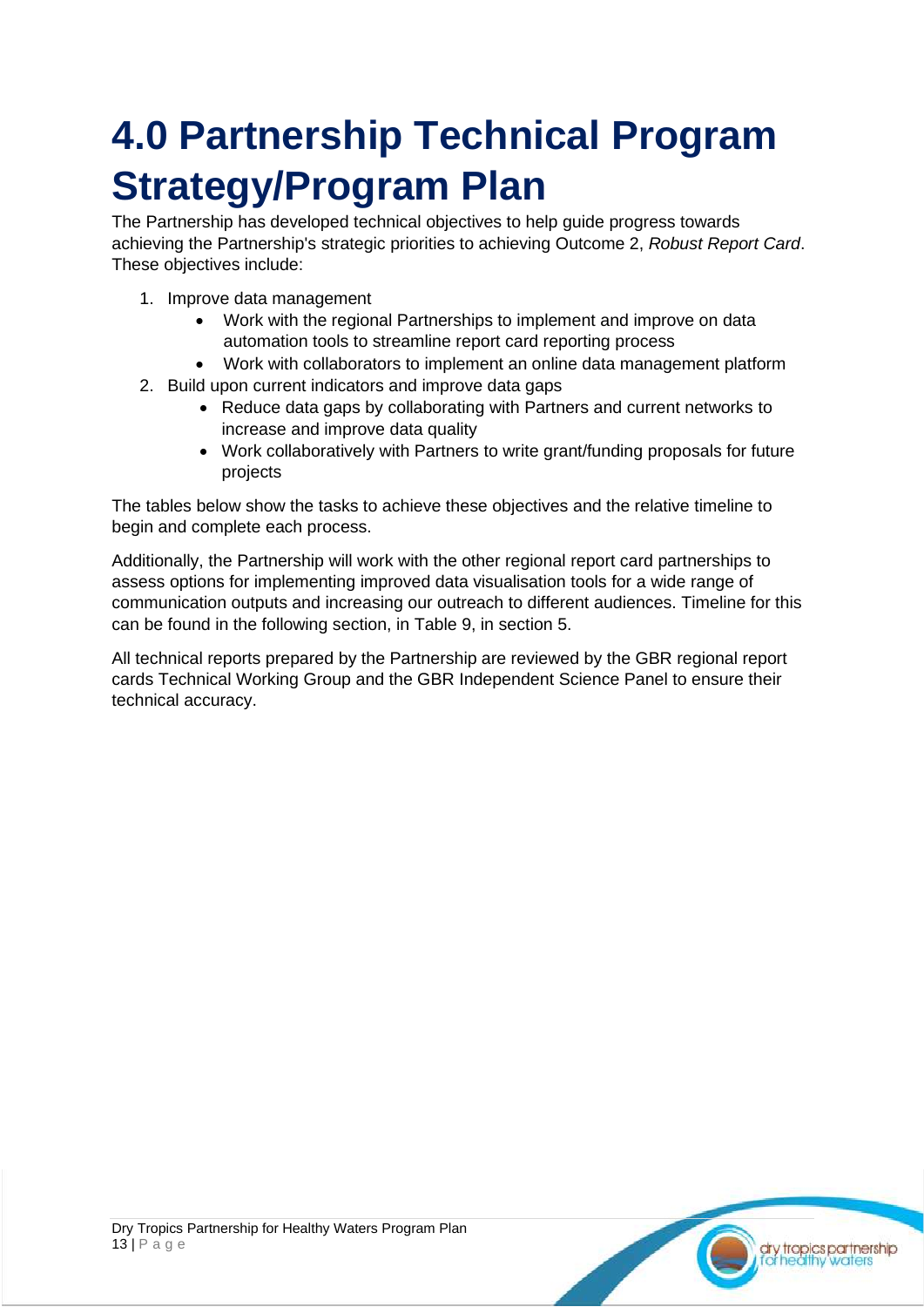## <span id="page-12-0"></span>**4.0 Partnership Technical Program Strategy/Program Plan**

The Partnership has developed technical objectives to help guide progress towards achieving the Partnership's strategic priorities to achieving Outcome 2, *Robust Report Card*. These objectives include:

- 1. Improve data management
	- Work with the regional Partnerships to implement and improve on data automation tools to streamline report card reporting process
	- Work with collaborators to implement an online data management platform
- 2. Build upon current indicators and improve data gaps
	- Reduce data gaps by collaborating with Partners and current networks to increase and improve data quality
	- Work collaboratively with Partners to write grant/funding proposals for future projects

The tables below show the tasks to achieve these objectives and the relative timeline to begin and complete each process.

Additionally, the Partnership will work with the other regional report card partnerships to assess options for implementing improved data visualisation tools for a wide range of communication outputs and increasing our outreach to different audiences. Timeline for this can be found in the following section, in Table 9, in section 5.

All technical reports prepared by the Partnership are reviewed by the GBR regional report cards Technical Working Group and the GBR Independent Science Panel to ensure their technical accuracy.

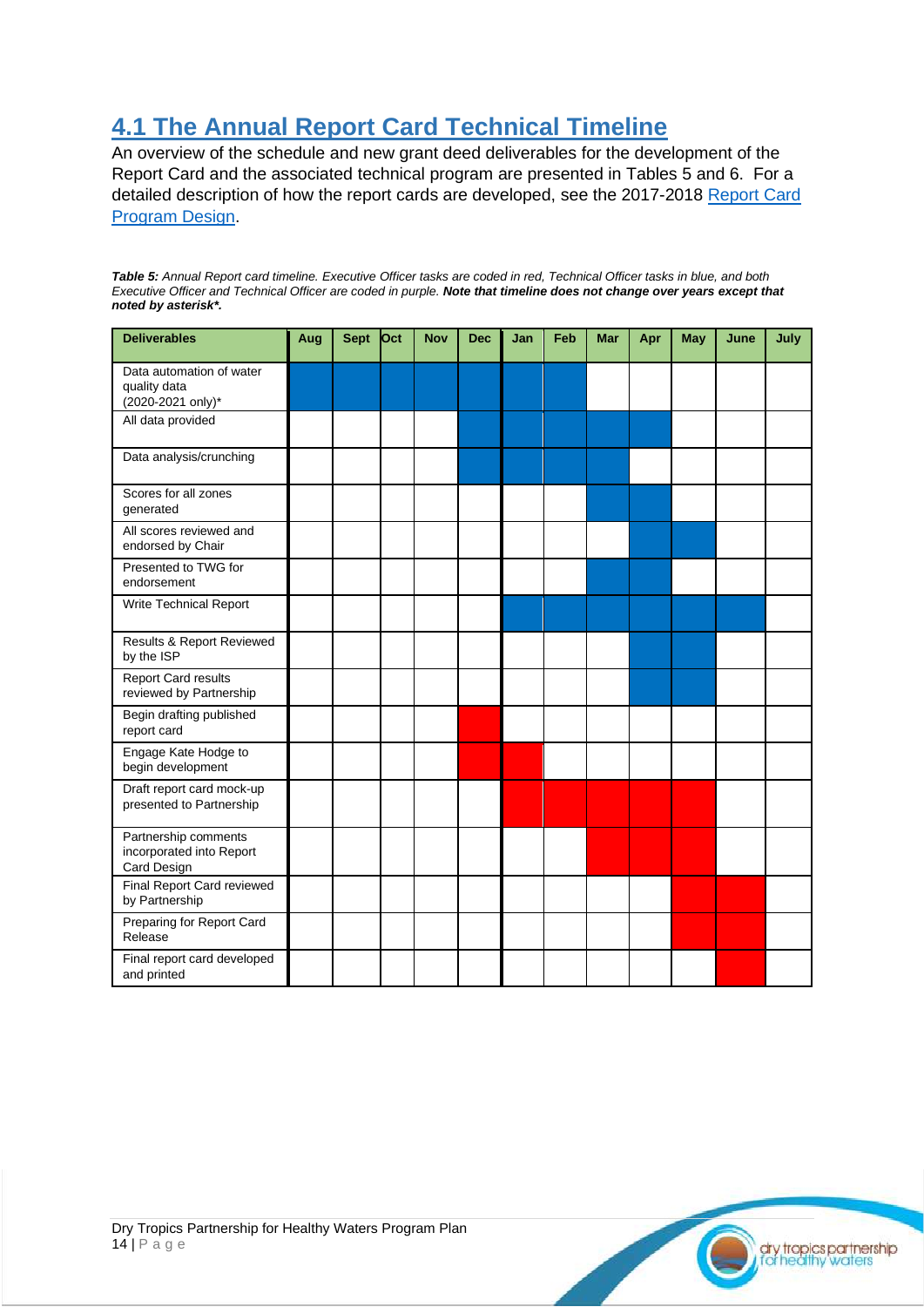## <span id="page-13-0"></span>**4.1 The Annual Report Card Technical Timeline**

An overview of the schedule and new grant deed deliverables for the development of the Report Card and the associated technical program are presented in Tables 5 and 6. For a detailed description of how the report cards are developed, see the 2017-2018 [Report Card](https://drytropicshealthywaters.org/program-design-1)  [Program Design.](https://drytropicshealthywaters.org/program-design-1)

*Table 5: Annual Report card timeline. Executive Officer tasks are coded in red, Technical Officer tasks in blue, and both Executive Officer and Technical Officer are coded in purple. Note that timeline does not change over years except that noted by asterisk\*.* 

| <b>Deliverables</b>                                             | Aug | <b>Sept</b> | Oct | <b>Nov</b> | <b>Dec</b> | Jan | Feb | <b>Mar</b> | Apr | May | June | July |
|-----------------------------------------------------------------|-----|-------------|-----|------------|------------|-----|-----|------------|-----|-----|------|------|
| Data automation of water<br>quality data<br>(2020-2021 only)*   |     |             |     |            |            |     |     |            |     |     |      |      |
| All data provided                                               |     |             |     |            |            |     |     |            |     |     |      |      |
| Data analysis/crunching                                         |     |             |     |            |            |     |     |            |     |     |      |      |
| Scores for all zones<br>generated                               |     |             |     |            |            |     |     |            |     |     |      |      |
| All scores reviewed and<br>endorsed by Chair                    |     |             |     |            |            |     |     |            |     |     |      |      |
| Presented to TWG for<br>endorsement                             |     |             |     |            |            |     |     |            |     |     |      |      |
| Write Technical Report                                          |     |             |     |            |            |     |     |            |     |     |      |      |
| Results & Report Reviewed<br>by the ISP                         |     |             |     |            |            |     |     |            |     |     |      |      |
| <b>Report Card results</b><br>reviewed by Partnership           |     |             |     |            |            |     |     |            |     |     |      |      |
| Begin drafting published<br>report card                         |     |             |     |            |            |     |     |            |     |     |      |      |
| Engage Kate Hodge to<br>begin development                       |     |             |     |            |            |     |     |            |     |     |      |      |
| Draft report card mock-up<br>presented to Partnership           |     |             |     |            |            |     |     |            |     |     |      |      |
| Partnership comments<br>incorporated into Report<br>Card Design |     |             |     |            |            |     |     |            |     |     |      |      |
| Final Report Card reviewed<br>by Partnership                    |     |             |     |            |            |     |     |            |     |     |      |      |
| Preparing for Report Card<br>Release                            |     |             |     |            |            |     |     |            |     |     |      |      |
| Final report card developed<br>and printed                      |     |             |     |            |            |     |     |            |     |     |      |      |

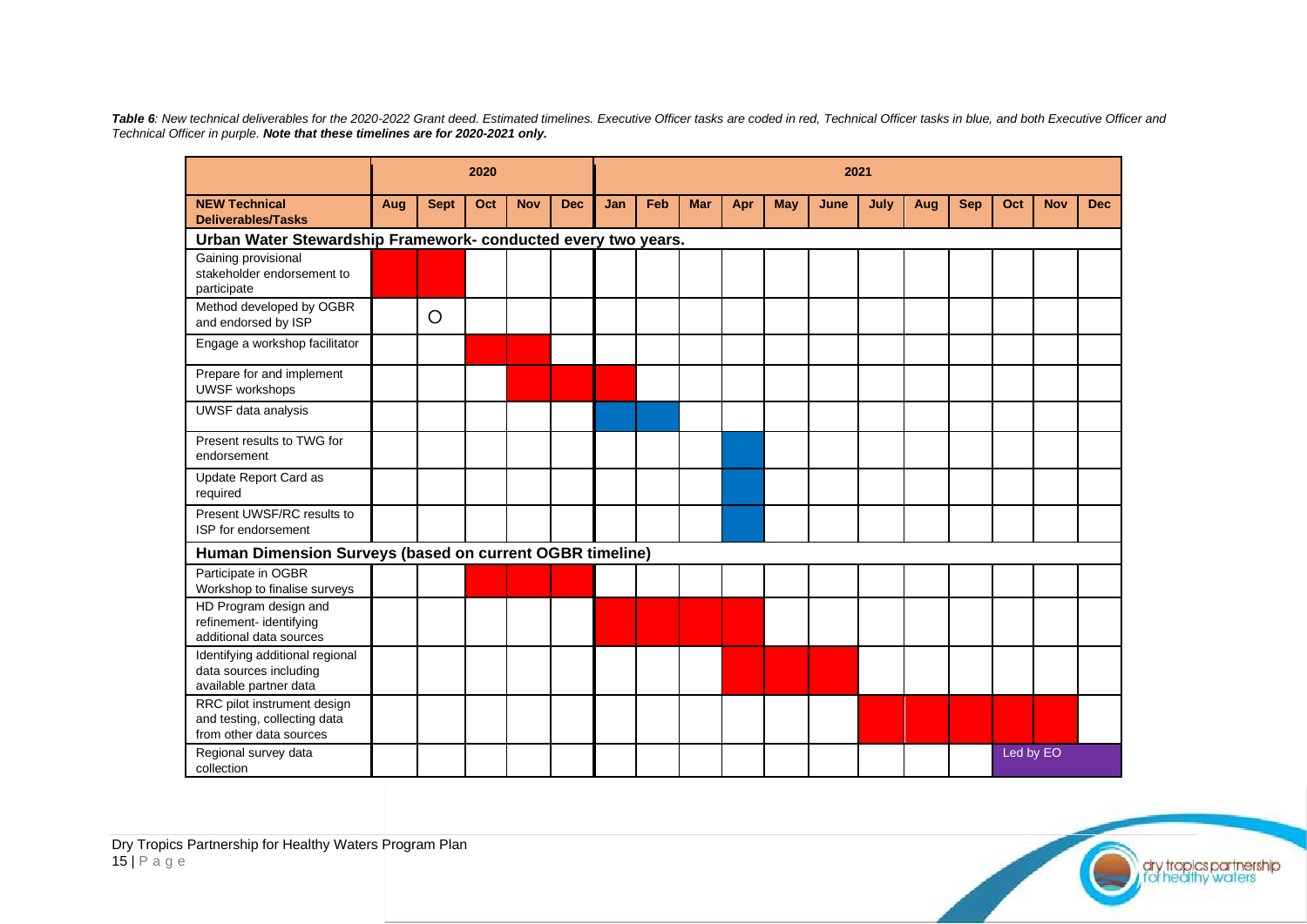Table 6: New technical deliverables for the 2020-2022 Grant deed. Estimated timelines. Executive Officer tasks are coded in red, Technical Officer tasks in blue, and both Executive Officer and *Technical Officer in purple. Note that these timelines are for 2020-2021 only.*

|                                                                                        |     | 2020        |     |            |            | 2021 |     |            |     |     |      |      |     |            |           |            |            |
|----------------------------------------------------------------------------------------|-----|-------------|-----|------------|------------|------|-----|------------|-----|-----|------|------|-----|------------|-----------|------------|------------|
| <b>NEW Technical</b><br><b>Deliverables/Tasks</b>                                      | Aug | <b>Sept</b> | Oct | <b>Nov</b> | <b>Dec</b> | Jan  | Feb | <b>Mar</b> | Apr | May | June | July | Aug | <b>Sep</b> | Oct       | <b>Nov</b> | <b>Dec</b> |
| Urban Water Stewardship Framework- conducted every two years.                          |     |             |     |            |            |      |     |            |     |     |      |      |     |            |           |            |            |
| Gaining provisional<br>stakeholder endorsement to<br>participate                       |     |             |     |            |            |      |     |            |     |     |      |      |     |            |           |            |            |
| Method developed by OGBR<br>and endorsed by ISP                                        |     | O           |     |            |            |      |     |            |     |     |      |      |     |            |           |            |            |
| Engage a workshop facilitator                                                          |     |             |     |            |            |      |     |            |     |     |      |      |     |            |           |            |            |
| Prepare for and implement<br><b>UWSF workshops</b>                                     |     |             |     |            |            |      |     |            |     |     |      |      |     |            |           |            |            |
| UWSF data analysis                                                                     |     |             |     |            |            |      |     |            |     |     |      |      |     |            |           |            |            |
| Present results to TWG for<br>endorsement                                              |     |             |     |            |            |      |     |            |     |     |      |      |     |            |           |            |            |
| Update Report Card as<br>required                                                      |     |             |     |            |            |      |     |            |     |     |      |      |     |            |           |            |            |
| Present UWSF/RC results to<br>ISP for endorsement                                      |     |             |     |            |            |      |     |            |     |     |      |      |     |            |           |            |            |
| Human Dimension Surveys (based on current OGBR timeline)                               |     |             |     |            |            |      |     |            |     |     |      |      |     |            |           |            |            |
| Participate in OGBR<br>Workshop to finalise surveys                                    |     |             |     |            |            |      |     |            |     |     |      |      |     |            |           |            |            |
| HD Program design and<br>refinement- identifying<br>additional data sources            |     |             |     |            |            |      |     |            |     |     |      |      |     |            |           |            |            |
| Identifying additional regional<br>data sources including<br>available partner data    |     |             |     |            |            |      |     |            |     |     |      |      |     |            |           |            |            |
| RRC pilot instrument design<br>and testing, collecting data<br>from other data sources |     |             |     |            |            |      |     |            |     |     |      |      |     |            |           |            |            |
| Regional survey data<br>collection                                                     |     |             |     |            |            |      |     |            |     |     |      |      |     |            | Led by EO |            |            |

dry tropics partnership<br>Ltor healthy waters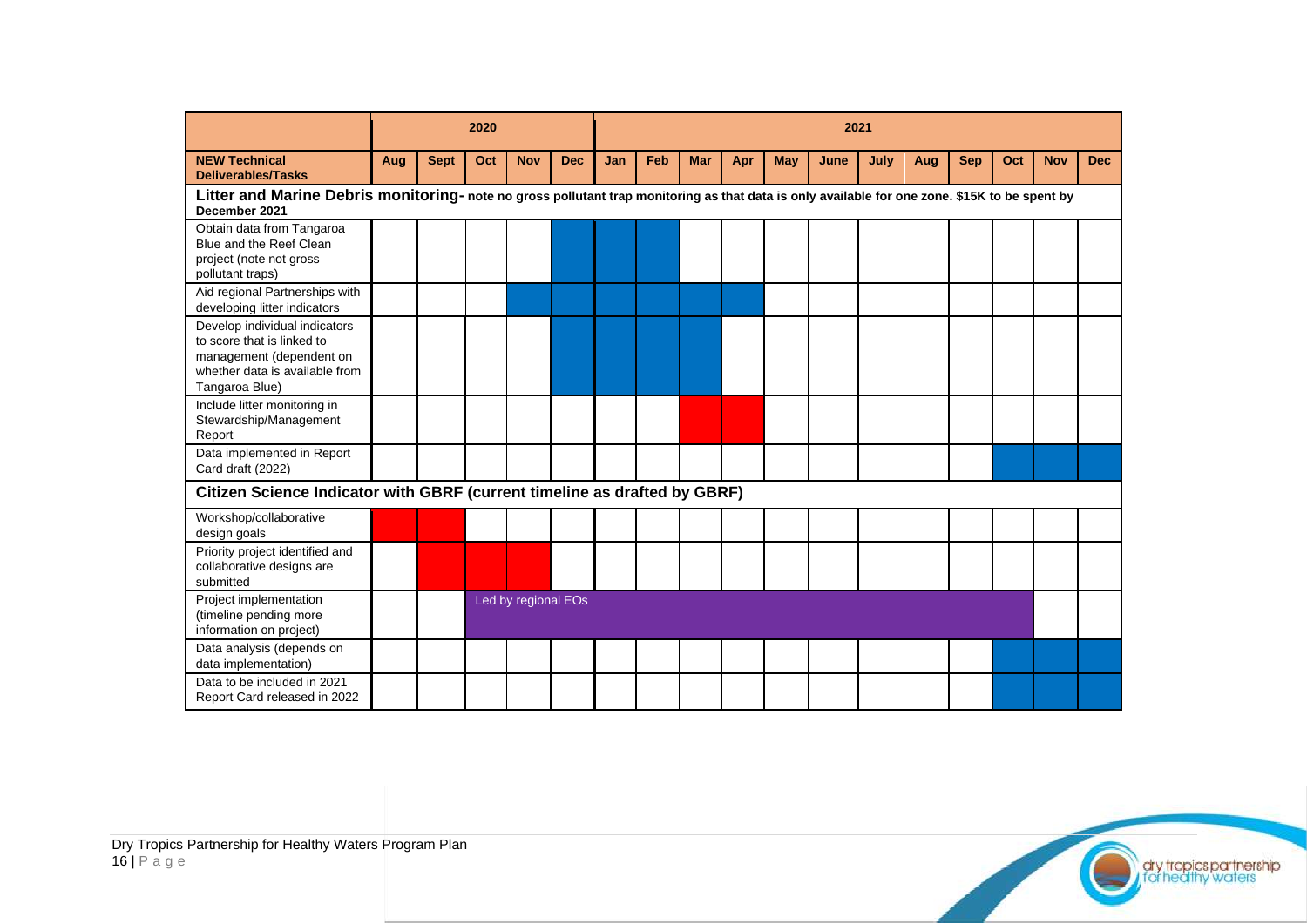|                                                                                                                                                                 | 2020 |             |     |                     |            | 2021 |     |            |     |     |      |      |     |            |     |            |            |
|-----------------------------------------------------------------------------------------------------------------------------------------------------------------|------|-------------|-----|---------------------|------------|------|-----|------------|-----|-----|------|------|-----|------------|-----|------------|------------|
| <b>NEW Technical</b><br><b>Deliverables/Tasks</b>                                                                                                               | Aug  | <b>Sept</b> | Oct | <b>Nov</b>          | <b>Dec</b> | Jan  | Feb | <b>Mar</b> | Apr | May | June | July | Aug | <b>Sep</b> | Oct | <b>Nov</b> | <b>Dec</b> |
| Litter and Marine Debris monitoring- note no gross pollutant trap monitoring as that data is only available for one zone. \$15K to be spent by<br>December 2021 |      |             |     |                     |            |      |     |            |     |     |      |      |     |            |     |            |            |
| Obtain data from Tangaroa<br>Blue and the Reef Clean<br>project (note not gross<br>pollutant traps)                                                             |      |             |     |                     |            |      |     |            |     |     |      |      |     |            |     |            |            |
| Aid regional Partnerships with<br>developing litter indicators                                                                                                  |      |             |     |                     |            |      |     |            |     |     |      |      |     |            |     |            |            |
| Develop individual indicators<br>to score that is linked to<br>management (dependent on<br>whether data is available from<br>Tangaroa Blue)                     |      |             |     |                     |            |      |     |            |     |     |      |      |     |            |     |            |            |
| Include litter monitoring in<br>Stewardship/Management<br>Report                                                                                                |      |             |     |                     |            |      |     |            |     |     |      |      |     |            |     |            |            |
| Data implemented in Report<br>Card draft (2022)                                                                                                                 |      |             |     |                     |            |      |     |            |     |     |      |      |     |            |     |            |            |
| Citizen Science Indicator with GBRF (current timeline as drafted by GBRF)                                                                                       |      |             |     |                     |            |      |     |            |     |     |      |      |     |            |     |            |            |
| Workshop/collaborative<br>design goals                                                                                                                          |      |             |     |                     |            |      |     |            |     |     |      |      |     |            |     |            |            |
| Priority project identified and<br>collaborative designs are<br>submitted                                                                                       |      |             |     |                     |            |      |     |            |     |     |      |      |     |            |     |            |            |
| Project implementation<br>(timeline pending more<br>information on project)                                                                                     |      |             |     | Led by regional EOs |            |      |     |            |     |     |      |      |     |            |     |            |            |
| Data analysis (depends on<br>data implementation)                                                                                                               |      |             |     |                     |            |      |     |            |     |     |      |      |     |            |     |            |            |
| Data to be included in 2021<br>Report Card released in 2022                                                                                                     |      |             |     |                     |            |      |     |            |     |     |      |      |     |            |     |            |            |



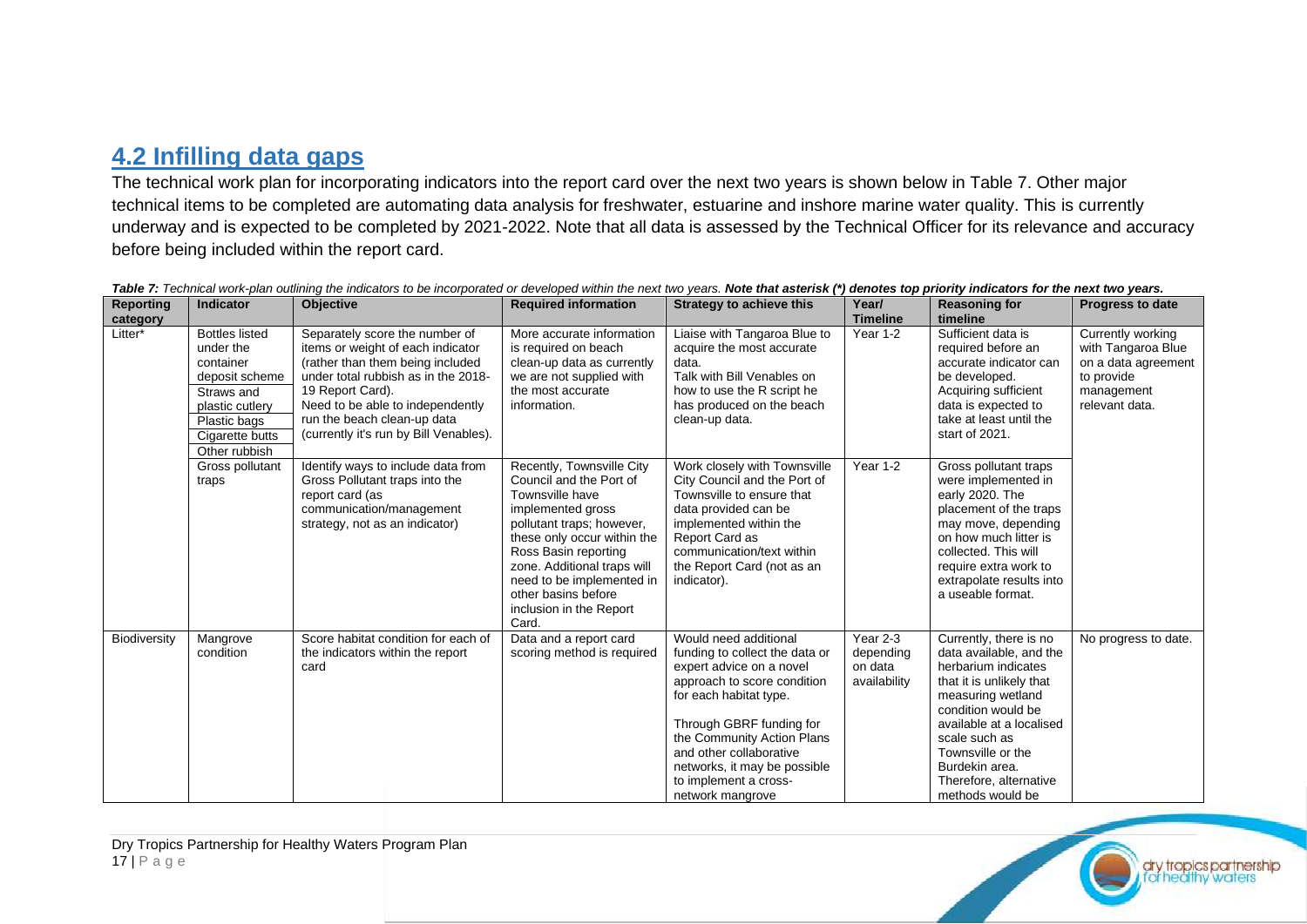### **4.2 Infilling data gaps**

The technical work plan for incorporating indicators into the report card over the next two years is shown below in Table 7. Other major technical items to be completed are automating data analysis for freshwater, estuarine and inshore marine water quality. This is currently underway and is expected to be completed by 2021-2022. Note that all data is assessed by the Technical Officer for its relevance and accuracy before being included within the report card.

<span id="page-16-0"></span>

| Reporting           | <b>Indicator</b>                                                                                                                                       | <b>Objective</b>                                                                                                                                                                                                                                                                | <b>Required information</b>                                                                                                                                                                                                                                                                             | <b>Strategy to achieve this</b>                                                                                                                                                                                                                                                                                | Year/                                            | <b>Reasoning for</b>                                                                                                                                                                                                                                                              | <b>Progress to date</b>                                                                                      |
|---------------------|--------------------------------------------------------------------------------------------------------------------------------------------------------|---------------------------------------------------------------------------------------------------------------------------------------------------------------------------------------------------------------------------------------------------------------------------------|---------------------------------------------------------------------------------------------------------------------------------------------------------------------------------------------------------------------------------------------------------------------------------------------------------|----------------------------------------------------------------------------------------------------------------------------------------------------------------------------------------------------------------------------------------------------------------------------------------------------------------|--------------------------------------------------|-----------------------------------------------------------------------------------------------------------------------------------------------------------------------------------------------------------------------------------------------------------------------------------|--------------------------------------------------------------------------------------------------------------|
| category<br>Litter* | <b>Bottles listed</b><br>under the<br>container<br>deposit scheme<br>Straws and<br>plastic cutlery<br>Plastic bags<br>Cigarette butts<br>Other rubbish | Separately score the number of<br>items or weight of each indicator<br>(rather than them being included<br>under total rubbish as in the 2018-<br>19 Report Card).<br>Need to be able to independently<br>run the beach clean-up data<br>(currently it's run by Bill Venables). | More accurate information<br>is required on beach<br>clean-up data as currently<br>we are not supplied with<br>the most accurate<br>information.                                                                                                                                                        | Liaise with Tangaroa Blue to<br>acquire the most accurate<br>data.<br>Talk with Bill Venables on<br>how to use the R script he<br>has produced on the beach<br>clean-up data.                                                                                                                                  | <b>Timeline</b><br>Year 1-2                      | timeline<br>Sufficient data is<br>required before an<br>accurate indicator can<br>be developed.<br>Acquiring sufficient<br>data is expected to<br>take at least until the<br>start of 2021.                                                                                       | Currently working<br>with Tangaroa Blue<br>on a data agreement<br>to provide<br>management<br>relevant data. |
|                     | Gross pollutant<br>traps                                                                                                                               | Identify ways to include data from<br>Gross Pollutant traps into the<br>report card (as<br>communication/management<br>strategy, not as an indicator)                                                                                                                           | Recently, Townsville City<br>Council and the Port of<br>Townsville have<br>implemented gross<br>pollutant traps; however,<br>these only occur within the<br>Ross Basin reporting<br>zone. Additional traps will<br>need to be implemented in<br>other basins before<br>inclusion in the Report<br>Card. | Work closely with Townsville<br>City Council and the Port of<br>Townsville to ensure that<br>data provided can be<br>implemented within the<br>Report Card as<br>communication/text within<br>the Report Card (not as an<br>indicator).                                                                        | Year 1-2                                         | Gross pollutant traps<br>were implemented in<br>early 2020. The<br>placement of the traps<br>may move, depending<br>on how much litter is<br>collected. This will<br>require extra work to<br>extrapolate results into<br>a useable format.                                       |                                                                                                              |
| Biodiversity        | Mangrove<br>condition                                                                                                                                  | Score habitat condition for each of<br>the indicators within the report<br>card                                                                                                                                                                                                 | Data and a report card<br>scoring method is required                                                                                                                                                                                                                                                    | Would need additional<br>funding to collect the data or<br>expert advice on a novel<br>approach to score condition<br>for each habitat type.<br>Through GBRF funding for<br>the Community Action Plans<br>and other collaborative<br>networks, it may be possible<br>to implement a cross-<br>network mangrove | Year 2-3<br>depending<br>on data<br>availability | Currently, there is no<br>data available, and the<br>herbarium indicates<br>that it is unlikely that<br>measuring wetland<br>condition would be<br>available at a localised<br>scale such as<br>Townsville or the<br>Burdekin area.<br>Therefore, alternative<br>methods would be | No progress to date.                                                                                         |

Table 7: Technical work-plan outlining the indicators to be incorporated or developed within the next two years. Note that asterisk (\*) denotes top priority indicators for the next two years.

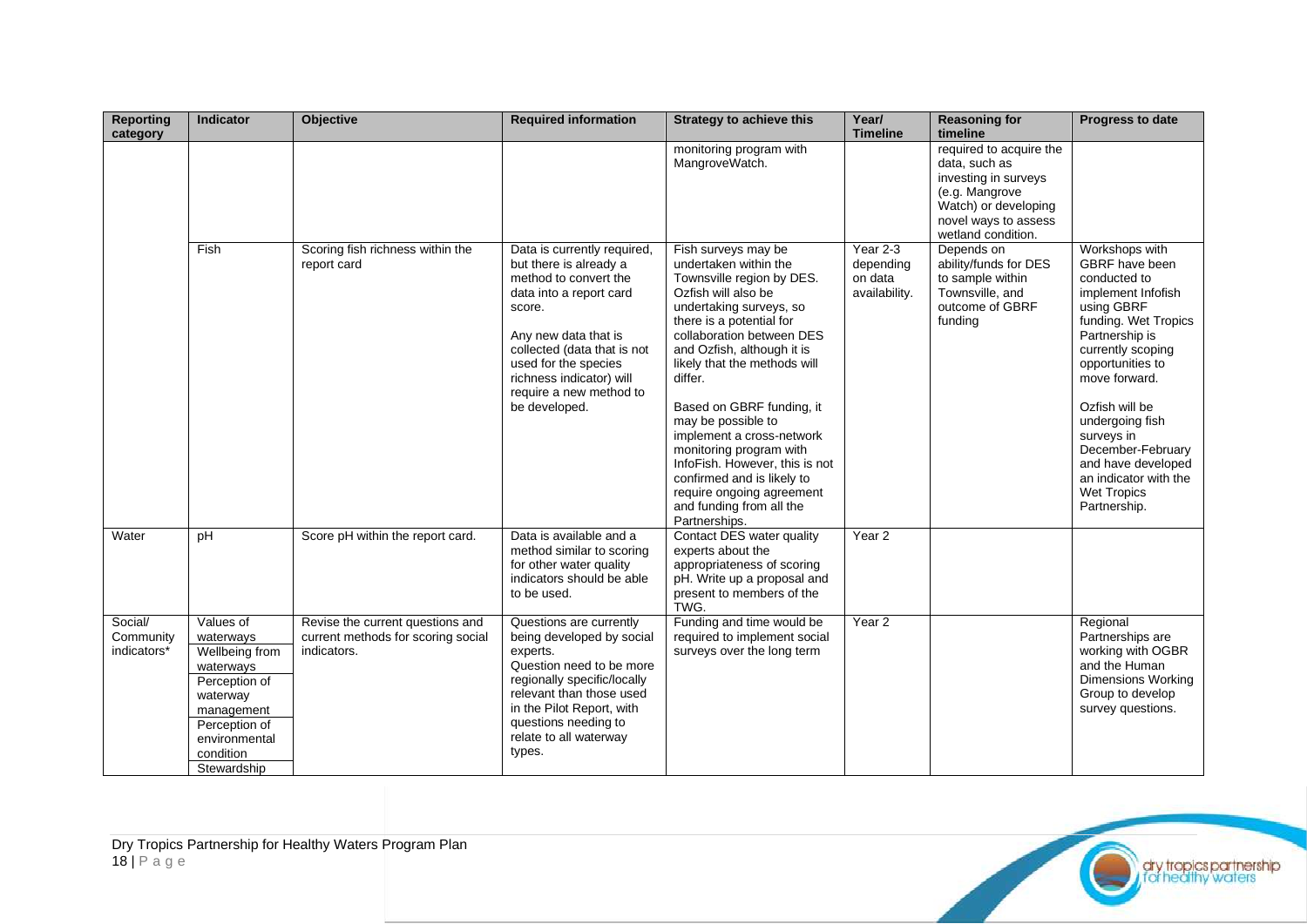| <b>Reporting</b><br>category        | <b>Indicator</b>                                                                                                                                               | Objective                                                                             | <b>Required information</b>                                                                                                                                                                                                                                                | <b>Strategy to achieve this</b>                                                                                                                                                                                                                                                                                                                                                                                                                                                                                    | Year/<br><b>Timeline</b>                            | <b>Reasoning for</b><br>timeline                                                                                                                         | Progress to date                                                                                                                                                                                                                                                                                                                                      |
|-------------------------------------|----------------------------------------------------------------------------------------------------------------------------------------------------------------|---------------------------------------------------------------------------------------|----------------------------------------------------------------------------------------------------------------------------------------------------------------------------------------------------------------------------------------------------------------------------|--------------------------------------------------------------------------------------------------------------------------------------------------------------------------------------------------------------------------------------------------------------------------------------------------------------------------------------------------------------------------------------------------------------------------------------------------------------------------------------------------------------------|-----------------------------------------------------|----------------------------------------------------------------------------------------------------------------------------------------------------------|-------------------------------------------------------------------------------------------------------------------------------------------------------------------------------------------------------------------------------------------------------------------------------------------------------------------------------------------------------|
|                                     |                                                                                                                                                                |                                                                                       |                                                                                                                                                                                                                                                                            | monitoring program with<br>MangroveWatch.                                                                                                                                                                                                                                                                                                                                                                                                                                                                          |                                                     | required to acquire the<br>data, such as<br>investing in surveys<br>(e.g. Mangrove<br>Watch) or developing<br>novel ways to assess<br>wetland condition. |                                                                                                                                                                                                                                                                                                                                                       |
|                                     | Fish                                                                                                                                                           | Scoring fish richness within the<br>report card                                       | Data is currently required,<br>but there is already a<br>method to convert the<br>data into a report card<br>score.<br>Any new data that is<br>collected (data that is not<br>used for the species<br>richness indicator) will<br>require a new method to<br>be developed. | Fish surveys may be<br>undertaken within the<br>Townsville region by DES.<br>Ozfish will also be<br>undertaking surveys, so<br>there is a potential for<br>collaboration between DES<br>and Ozfish, although it is<br>likely that the methods will<br>differ.<br>Based on GBRF funding, it<br>may be possible to<br>implement a cross-network<br>monitoring program with<br>InfoFish. However, this is not<br>confirmed and is likely to<br>require ongoing agreement<br>and funding from all the<br>Partnerships. | Year $2-3$<br>depending<br>on data<br>availability. | Depends on<br>ability/funds for DES<br>to sample within<br>Townsville, and<br>outcome of GBRF<br>funding                                                 | Workshops with<br>GBRF have been<br>conducted to<br>implement Infofish<br>using GBRF<br>funding. Wet Tropics<br>Partnership is<br>currently scoping<br>opportunities to<br>move forward.<br>Ozfish will be<br>undergoing fish<br>surveys in<br>December-February<br>and have developed<br>an indicator with the<br><b>Wet Tropics</b><br>Partnership. |
| Water                               | pH                                                                                                                                                             | Score pH within the report card.                                                      | Data is available and a<br>method similar to scoring<br>for other water quality<br>indicators should be able<br>to be used.                                                                                                                                                | Contact DES water quality<br>experts about the<br>appropriateness of scoring<br>pH. Write up a proposal and<br>present to members of the<br>TWG.                                                                                                                                                                                                                                                                                                                                                                   | Year <sub>2</sub>                                   |                                                                                                                                                          |                                                                                                                                                                                                                                                                                                                                                       |
| Social/<br>Community<br>indicators* | Values of<br>waterways<br>Wellbeing from<br>waterways<br>Perception of<br>waterway<br>management<br>Perception of<br>environmental<br>condition<br>Stewardship | Revise the current questions and<br>current methods for scoring social<br>indicators. | Questions are currently<br>being developed by social<br>experts.<br>Question need to be more<br>regionally specific/locally<br>relevant than those used<br>in the Pilot Report, with<br>questions needing to<br>relate to all waterway<br>types.                           | Funding and time would be<br>required to implement social<br>surveys over the long term                                                                                                                                                                                                                                                                                                                                                                                                                            | Year <sub>2</sub>                                   |                                                                                                                                                          | Regional<br>Partnerships are<br>working with OGBR<br>and the Human<br><b>Dimensions Working</b><br>Group to develop<br>survey questions.                                                                                                                                                                                                              |

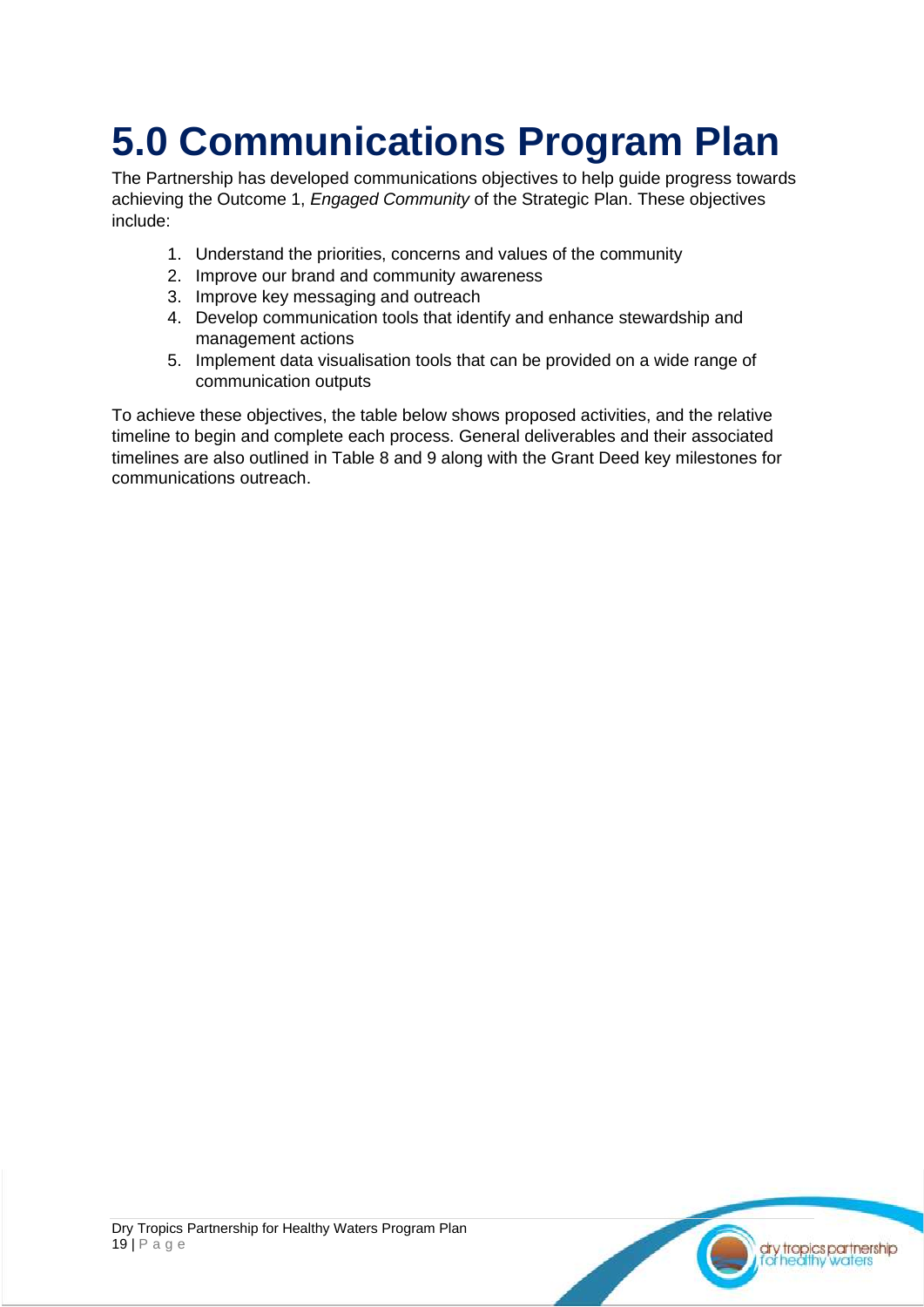## <span id="page-18-0"></span>**5.0 Communications Program Plan**

The Partnership has developed communications objectives to help guide progress towards achieving the Outcome 1, *Engaged Community* of the Strategic Plan. These objectives include:

- 1. Understand the priorities, concerns and values of the community
- 2. Improve our brand and community awareness
- 3. Improve key messaging and outreach
- 4. Develop communication tools that identify and enhance stewardship and management actions
- 5. Implement data visualisation tools that can be provided on a wide range of communication outputs

To achieve these objectives, the table below shows proposed activities, and the relative timeline to begin and complete each process. General deliverables and their associated timelines are also outlined in Table 8 and 9 along with the Grant Deed key milestones for communications outreach.

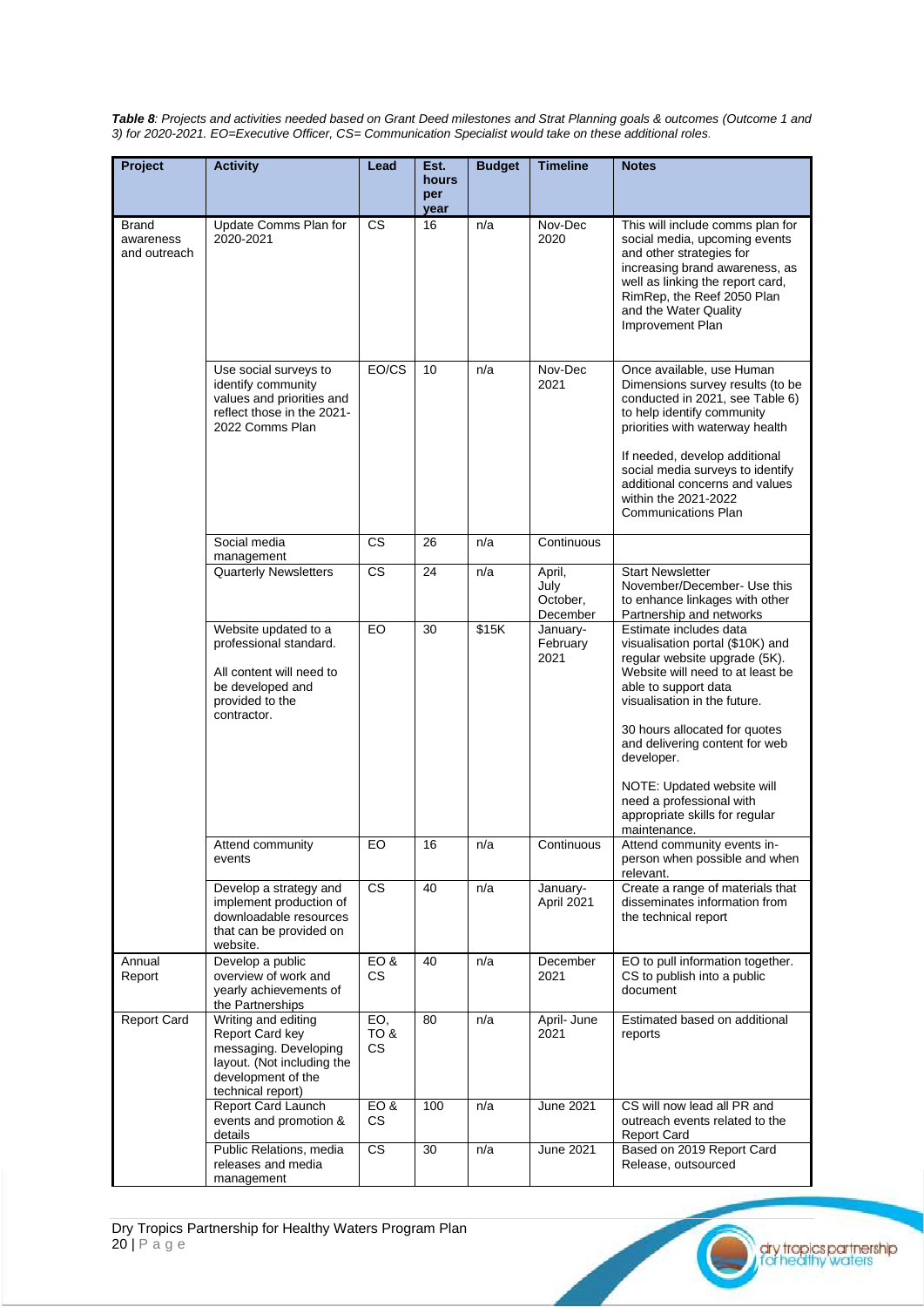*Table 8: Projects and activities needed based on Grant Deed milestones and Strat Planning goals & outcomes (Outcome 1 and 3) for 2020-2021. EO=Executive Officer, CS= Communication Specialist would take on these additional roles.*

| Project                            | <b>Activity</b>                                                                                                                          | Lead                     | Est.<br>hours<br>per<br>year | <b>Budget</b> | <b>Timeline</b>                        | <b>Notes</b>                                                                                                                                                                                                                                                                                                                                                         |
|------------------------------------|------------------------------------------------------------------------------------------------------------------------------------------|--------------------------|------------------------------|---------------|----------------------------------------|----------------------------------------------------------------------------------------------------------------------------------------------------------------------------------------------------------------------------------------------------------------------------------------------------------------------------------------------------------------------|
| Brand<br>awareness<br>and outreach | Update Comms Plan for<br>2020-2021                                                                                                       | <b>CS</b>                | 16                           | n/a           | Nov-Dec<br>2020                        | This will include comms plan for<br>social media, upcoming events<br>and other strategies for<br>increasing brand awareness, as<br>well as linking the report card,<br>RimRep, the Reef 2050 Plan<br>and the Water Quality<br>Improvement Plan                                                                                                                       |
|                                    | Use social surveys to<br>identify community<br>values and priorities and<br>reflect those in the 2021-<br>2022 Comms Plan                | EO/CS                    | 10                           | n/a           | Nov-Dec<br>2021                        | Once available, use Human<br>Dimensions survey results (to be<br>conducted in 2021, see Table 6)<br>to help identify community<br>priorities with waterway health<br>If needed, develop additional<br>social media surveys to identify<br>additional concerns and values<br>within the 2021-2022<br><b>Communications Plan</b>                                       |
|                                    | Social media<br>management                                                                                                               | CS                       | 26                           | n/a           | Continuous                             |                                                                                                                                                                                                                                                                                                                                                                      |
|                                    | <b>Quarterly Newsletters</b>                                                                                                             | <b>CS</b>                | 24                           | n/a           | April,<br>July<br>October,<br>December | <b>Start Newsletter</b><br>November/December- Use this<br>to enhance linkages with other<br>Partnership and networks                                                                                                                                                                                                                                                 |
|                                    | Website updated to a<br>professional standard.<br>All content will need to<br>be developed and<br>provided to the<br>contractor.         | EO                       | 30                           | \$15K         | January-<br>February<br>2021           | Estimate includes data<br>visualisation portal (\$10K) and<br>regular website upgrade (5K).<br>Website will need to at least be<br>able to support data<br>visualisation in the future.<br>30 hours allocated for quotes<br>and delivering content for web<br>developer.<br>NOTE: Updated website will<br>need a professional with<br>appropriate skills for regular |
|                                    | Attend community<br>events                                                                                                               | EO                       | 16                           | n/a           | Continuous                             | maintenance.<br>Attend community events in-<br>person when possible and when<br>relevant.                                                                                                                                                                                                                                                                            |
|                                    | Develop a strategy and<br>implement production of<br>downloadable resources<br>that can be provided on<br>website.                       | CS                       | 40                           | n/a           | January-<br>April 2021                 | Create a range of materials that<br>disseminates information from<br>the technical report                                                                                                                                                                                                                                                                            |
| Annual<br>Report                   | Develop a public<br>overview of work and<br>yearly achievements of<br>the Partnerships                                                   | EO&<br>CS                | 40                           | n/a           | December<br>2021                       | EO to pull information together.<br>CS to publish into a public<br>document                                                                                                                                                                                                                                                                                          |
| <b>Report Card</b>                 | Writing and editing<br>Report Card key<br>messaging. Developing<br>layout. (Not including the<br>development of the<br>technical report) | EO,<br><b>8 OT</b><br>CS | 80                           | n/a           | April- June<br>2021                    | Estimated based on additional<br>reports                                                                                                                                                                                                                                                                                                                             |
|                                    | Report Card Launch<br>events and promotion &<br>details                                                                                  | EO&<br>CS                | 100                          | n/a           | <b>June 2021</b>                       | CS will now lead all PR and<br>outreach events related to the<br><b>Report Card</b>                                                                                                                                                                                                                                                                                  |
|                                    | Public Relations, media<br>releases and media<br>management                                                                              | CS                       | 30                           | n/a           | <b>June 2021</b>                       | Based on 2019 Report Card<br>Release, outsourced                                                                                                                                                                                                                                                                                                                     |

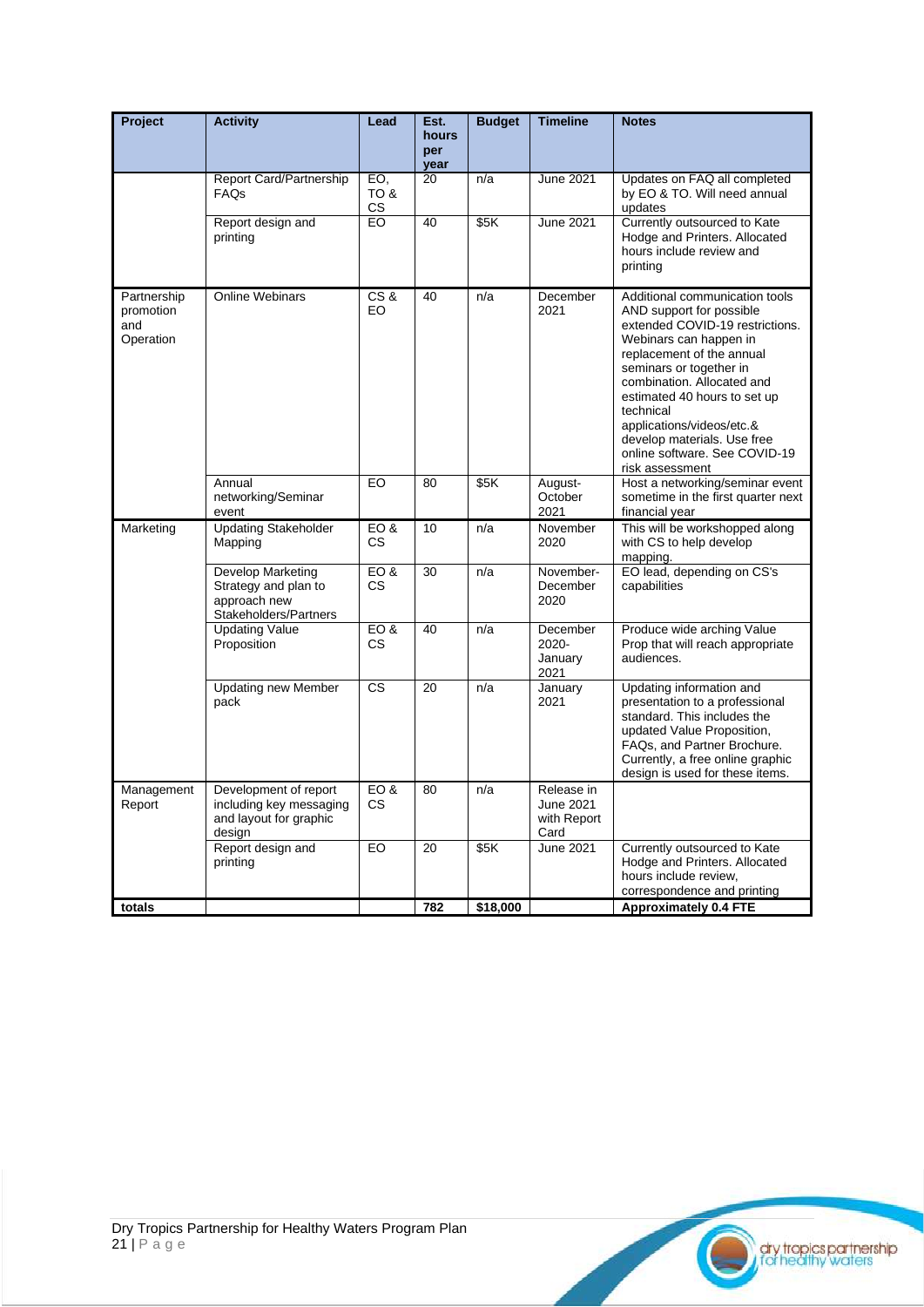| Project                                      | <b>Activity</b>                                                                      | Lead                     | Est.<br>hours<br>per<br>year | <b>Budget</b> | <b>Timeline</b>                                       | <b>Notes</b>                                                                                                                                                                                                                                                                                                                                                               |
|----------------------------------------------|--------------------------------------------------------------------------------------|--------------------------|------------------------------|---------------|-------------------------------------------------------|----------------------------------------------------------------------------------------------------------------------------------------------------------------------------------------------------------------------------------------------------------------------------------------------------------------------------------------------------------------------------|
|                                              | Report Card/Partnership<br><b>FAQs</b>                                               | EO,<br><b>8 OT</b><br>СS | $\overline{20}$              | n/a           | <b>June 2021</b>                                      | Updates on FAQ all completed<br>by EO & TO. Will need annual<br>updates                                                                                                                                                                                                                                                                                                    |
|                                              | Report design and<br>printing                                                        | EO                       | 40                           | \$5K          | <b>June 2021</b>                                      | Currently outsourced to Kate<br>Hodge and Printers. Allocated<br>hours include review and<br>printing                                                                                                                                                                                                                                                                      |
| Partnership<br>promotion<br>and<br>Operation | <b>Online Webinars</b>                                                               | CS&<br>EO                | 40                           | n/a           | December<br>2021                                      | Additional communication tools<br>AND support for possible<br>extended COVID-19 restrictions.<br>Webinars can happen in<br>replacement of the annual<br>seminars or together in<br>combination. Allocated and<br>estimated 40 hours to set up<br>technical<br>applications/videos/etc.&<br>develop materials. Use free<br>online software. See COVID-19<br>risk assessment |
|                                              | Annual<br>networking/Seminar<br>event                                                | EO                       | 80                           | \$5K          | August-<br>October<br>2021                            | Host a networking/seminar event<br>sometime in the first quarter next<br>financial year                                                                                                                                                                                                                                                                                    |
| Marketing                                    | <b>Updating Stakeholder</b><br>Mapping                                               | EO&<br>CS                | 10                           | n/a           | November<br>2020                                      | This will be workshopped along<br>with CS to help develop<br>mapping.                                                                                                                                                                                                                                                                                                      |
|                                              | Develop Marketing<br>Strategy and plan to<br>approach new<br>Stakeholders/Partners   | EO&<br>CS                | 30                           | n/a           | November-<br>December<br>2020                         | EO lead, depending on CS's<br>capabilities                                                                                                                                                                                                                                                                                                                                 |
|                                              | <b>Updating Value</b><br>Proposition                                                 | EO&<br>CS                | 40                           | n/a           | December<br>2020-<br>January<br>2021                  | Produce wide arching Value<br>Prop that will reach appropriate<br>audiences.                                                                                                                                                                                                                                                                                               |
|                                              | <b>Updating new Member</b><br>pack                                                   | <b>CS</b>                | 20                           | n/a           | January<br>2021                                       | Updating information and<br>presentation to a professional<br>standard. This includes the<br>updated Value Proposition,<br>FAQs, and Partner Brochure.<br>Currently, a free online graphic<br>design is used for these items.                                                                                                                                              |
| Management<br>Report                         | Development of report<br>including key messaging<br>and layout for graphic<br>design | EO&<br>CS                | 80                           | n/a           | Release in<br><b>June 2021</b><br>with Report<br>Card |                                                                                                                                                                                                                                                                                                                                                                            |
|                                              | Report design and<br>printing                                                        | EO                       | 20                           | \$5K          | <b>June 2021</b>                                      | Currently outsourced to Kate<br>Hodge and Printers. Allocated<br>hours include review.<br>correspondence and printing                                                                                                                                                                                                                                                      |
| totals                                       |                                                                                      |                          | 782                          | \$18,000      |                                                       | <b>Approximately 0.4 FTE</b>                                                                                                                                                                                                                                                                                                                                               |

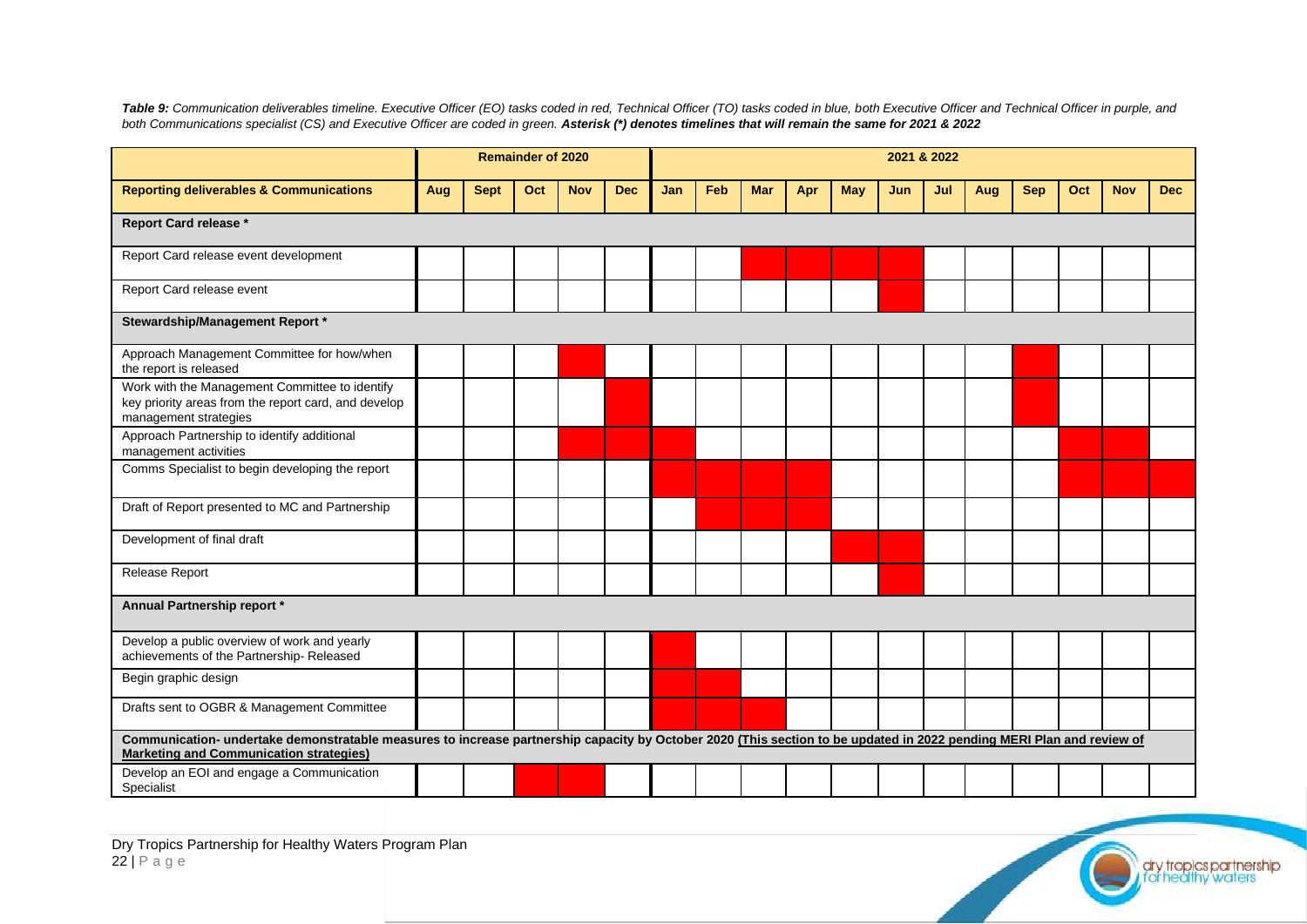*Table 9: Communication deliverables timeline. Executive Officer (EO) tasks coded in red, Technical Officer (TO) tasks coded in blue, both Executive Officer and Technical Officer in purple, and both Communications specialist (CS) and Executive Officer are coded in green. Asterisk (\*) denotes timelines that will remain the same for 2021 & 2022*

|                                                                                                                                 |                                                                                                                                                                       |             | <b>Remainder of 2020</b> |            |            | 2021 & 2022 |     |            |     |            |     |     |     |            |     |            |            |
|---------------------------------------------------------------------------------------------------------------------------------|-----------------------------------------------------------------------------------------------------------------------------------------------------------------------|-------------|--------------------------|------------|------------|-------------|-----|------------|-----|------------|-----|-----|-----|------------|-----|------------|------------|
| <b>Reporting deliverables &amp; Communications</b>                                                                              | Aug                                                                                                                                                                   | <b>Sept</b> | Oct                      | <b>Nov</b> | <b>Dec</b> | Jan         | Feb | <b>Mar</b> | Apr | <b>May</b> | Jun | Jul | Aug | <b>Sep</b> | Oct | <b>Nov</b> | <b>Dec</b> |
| <b>Report Card release *</b>                                                                                                    |                                                                                                                                                                       |             |                          |            |            |             |     |            |     |            |     |     |     |            |     |            |            |
| Report Card release event development                                                                                           |                                                                                                                                                                       |             |                          |            |            |             |     |            |     |            |     |     |     |            |     |            |            |
| Report Card release event                                                                                                       |                                                                                                                                                                       |             |                          |            |            |             |     |            |     |            |     |     |     |            |     |            |            |
| Stewardship/Management Report *                                                                                                 |                                                                                                                                                                       |             |                          |            |            |             |     |            |     |            |     |     |     |            |     |            |            |
| Approach Management Committee for how/when<br>the report is released                                                            |                                                                                                                                                                       |             |                          |            |            |             |     |            |     |            |     |     |     |            |     |            |            |
| Work with the Management Committee to identify<br>key priority areas from the report card, and develop<br>management strategies |                                                                                                                                                                       |             |                          |            |            |             |     |            |     |            |     |     |     |            |     |            |            |
| Approach Partnership to identify additional<br>management activities                                                            |                                                                                                                                                                       |             |                          |            |            |             |     |            |     |            |     |     |     |            |     |            |            |
| Comms Specialist to begin developing the report                                                                                 |                                                                                                                                                                       |             |                          |            |            |             |     |            |     |            |     |     |     |            |     |            |            |
| Draft of Report presented to MC and Partnership                                                                                 |                                                                                                                                                                       |             |                          |            |            |             |     |            |     |            |     |     |     |            |     |            |            |
| Development of final draft                                                                                                      |                                                                                                                                                                       |             |                          |            |            |             |     |            |     |            |     |     |     |            |     |            |            |
| Release Report                                                                                                                  |                                                                                                                                                                       |             |                          |            |            |             |     |            |     |            |     |     |     |            |     |            |            |
| Annual Partnership report *                                                                                                     |                                                                                                                                                                       |             |                          |            |            |             |     |            |     |            |     |     |     |            |     |            |            |
| Develop a public overview of work and yearly<br>achievements of the Partnership-Released                                        |                                                                                                                                                                       |             |                          |            |            |             |     |            |     |            |     |     |     |            |     |            |            |
| Begin graphic design                                                                                                            |                                                                                                                                                                       |             |                          |            |            |             |     |            |     |            |     |     |     |            |     |            |            |
| Drafts sent to OGBR & Management Committee                                                                                      |                                                                                                                                                                       |             |                          |            |            |             |     |            |     |            |     |     |     |            |     |            |            |
| <b>Marketing and Communication strategies)</b>                                                                                  | Communication- undertake demonstratable measures to increase partnership capacity by October 2020 (This section to be updated in 2022 pending MERI Plan and review of |             |                          |            |            |             |     |            |     |            |     |     |     |            |     |            |            |
| Develop an EOI and engage a Communication<br>Specialist                                                                         |                                                                                                                                                                       |             |                          |            |            |             |     |            |     |            |     |     |     |            |     |            |            |

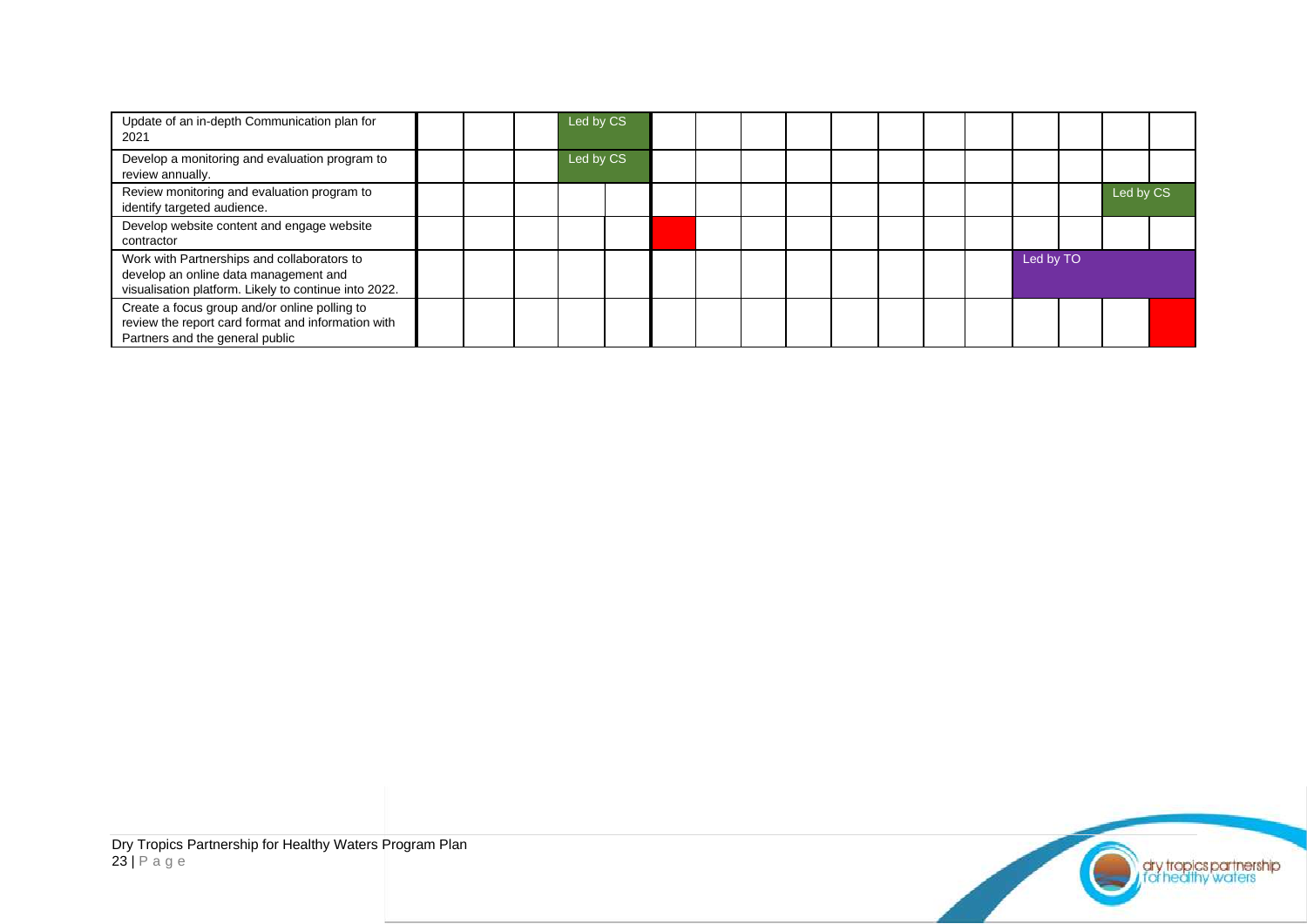| Update of an in-depth Communication plan for<br>2021                                                                                          |  | Led by CS |  |  |  |  |           |           |  |
|-----------------------------------------------------------------------------------------------------------------------------------------------|--|-----------|--|--|--|--|-----------|-----------|--|
| Develop a monitoring and evaluation program to<br>review annually.                                                                            |  | Led by CS |  |  |  |  |           |           |  |
| Review monitoring and evaluation program to<br>identify targeted audience.                                                                    |  |           |  |  |  |  |           | Led by CS |  |
| Develop website content and engage website<br>contractor                                                                                      |  |           |  |  |  |  |           |           |  |
| Work with Partnerships and collaborators to<br>develop an online data management and<br>visualisation platform. Likely to continue into 2022. |  |           |  |  |  |  | Led by TO |           |  |
| Create a focus group and/or online polling to<br>review the report card format and information with<br>Partners and the general public        |  |           |  |  |  |  |           |           |  |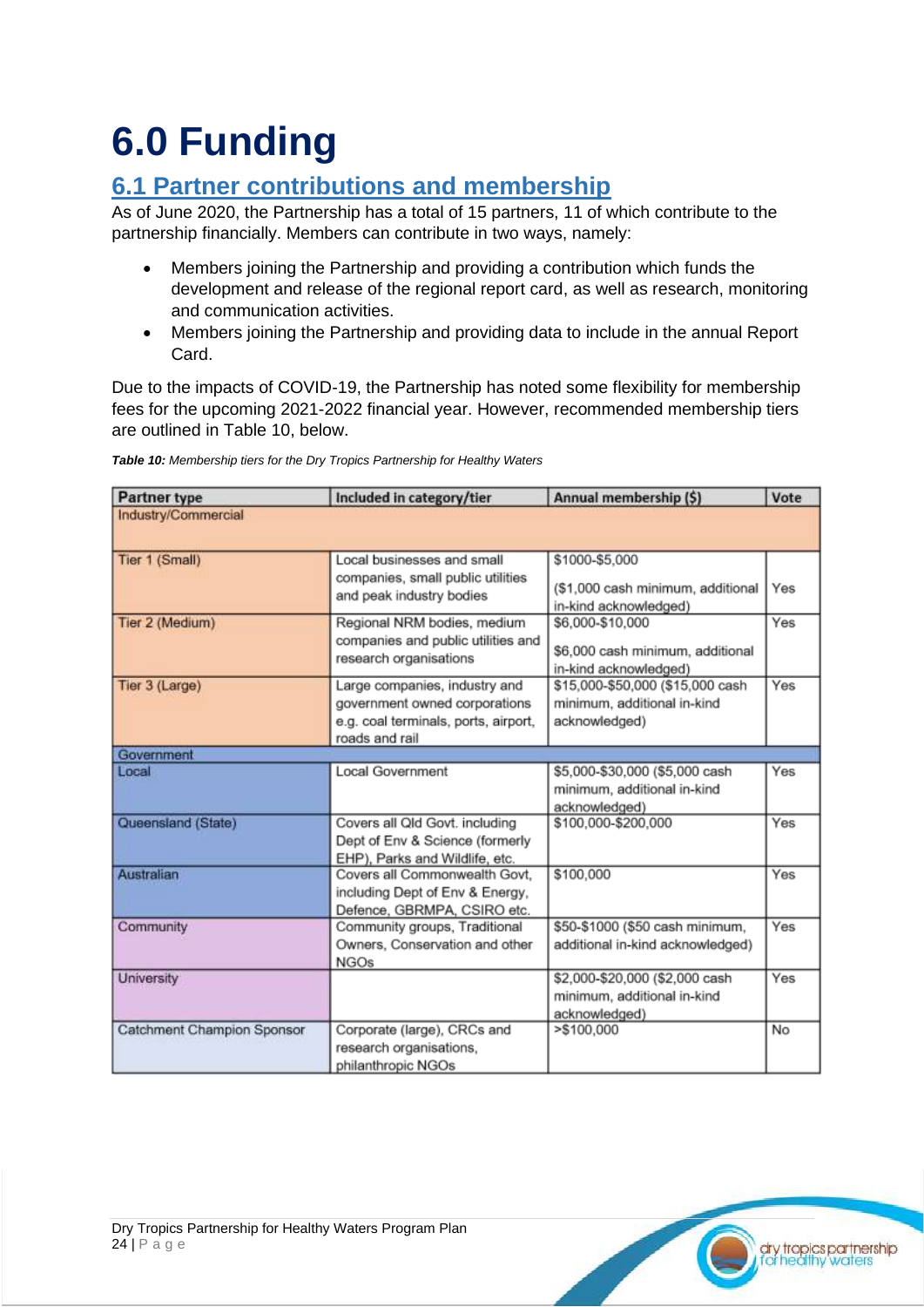## <span id="page-23-0"></span>**6.0 Funding**

### <span id="page-23-1"></span>**6.1 Partner contributions and membership**

As of June 2020, the Partnership has a total of 15 partners, 11 of which contribute to the partnership financially. Members can contribute in two ways, namely:

- Members joining the Partnership and providing a contribution which funds the development and release of the regional report card, as well as research, monitoring and communication activities.
- Members joining the Partnership and providing data to include in the annual Report Card.

Due to the impacts of COVID-19, the Partnership has noted some flexibility for membership fees for the upcoming 2021-2022 financial year. However, recommended membership tiers are outlined in Table 10, below.

| <b>Partner type</b>        | Included in category/tier            | Annual membership (\$)                    | Vote |
|----------------------------|--------------------------------------|-------------------------------------------|------|
| Industry/Commercial        |                                      |                                           |      |
| Tier 1 (Small)             | Local businesses and small           | \$1000-\$5,000                            |      |
|                            | companies, small public utilities    |                                           | Yes  |
|                            | and peak industry bodies             | (\$1,000 cash minimum, additional         |      |
| Tier 2 (Medium)            | Regional NRM bodies, medium          | in-kind acknowledged)<br>\$6,000-\$10,000 | Yes  |
|                            | companies and public utilities and   |                                           |      |
|                            | research organisations               | \$6,000 cash minimum, additional          |      |
|                            |                                      | in-kind acknowledged)                     |      |
| Tier 3 (Large)             | Large companies, industry and        | \$15,000-\$50,000 (\$15,000 cash          | Yes  |
|                            | government owned corporations        | minimum, additional in-kind               |      |
|                            | e.g. coal terminals, ports, airport, | acknowledged)                             |      |
|                            | roads and rail                       |                                           |      |
| Government                 |                                      |                                           |      |
| Local                      | Local Government                     | \$5,000-\$30,000 (\$5,000 cash            | Yes  |
|                            |                                      | minimum, additional in-kind               |      |
|                            |                                      | acknowledged)                             |      |
| Queensland (State)         | Covers all Qld Govt. including       | \$100,000-\$200,000                       | Yes  |
|                            | Dept of Env & Science (formerly      |                                           |      |
|                            | EHP), Parks and Wildlife, etc.       |                                           |      |
| <b>Australian</b>          | Covers all Commonwealth Govt.        | \$100,000                                 | Yes  |
|                            | including Dept of Env & Energy,      |                                           |      |
|                            | Defence, GBRMPA, CSIRO etc.          |                                           |      |
| Community                  | Community groups, Traditional        | \$50-\$1000 (\$50 cash minimum,           | Yes  |
|                            | Owners, Conservation and other       | additional in-kind acknowledged)          |      |
|                            | <b>NGOs</b>                          |                                           |      |
| University                 |                                      | \$2,000-\$20,000 (\$2,000 cash            | Yes  |
|                            |                                      | minimum, additional in-kind               |      |
|                            |                                      | acknowledged)                             |      |
| Catchment Champion Sponsor | Corporate (large), CRCs and          | $>$ \$100,000                             | No   |
|                            | research organisations,              |                                           |      |
|                            | philanthropic NGOs                   |                                           |      |

*Table 10: Membership tiers for the Dry Tropics Partnership for Healthy Waters*

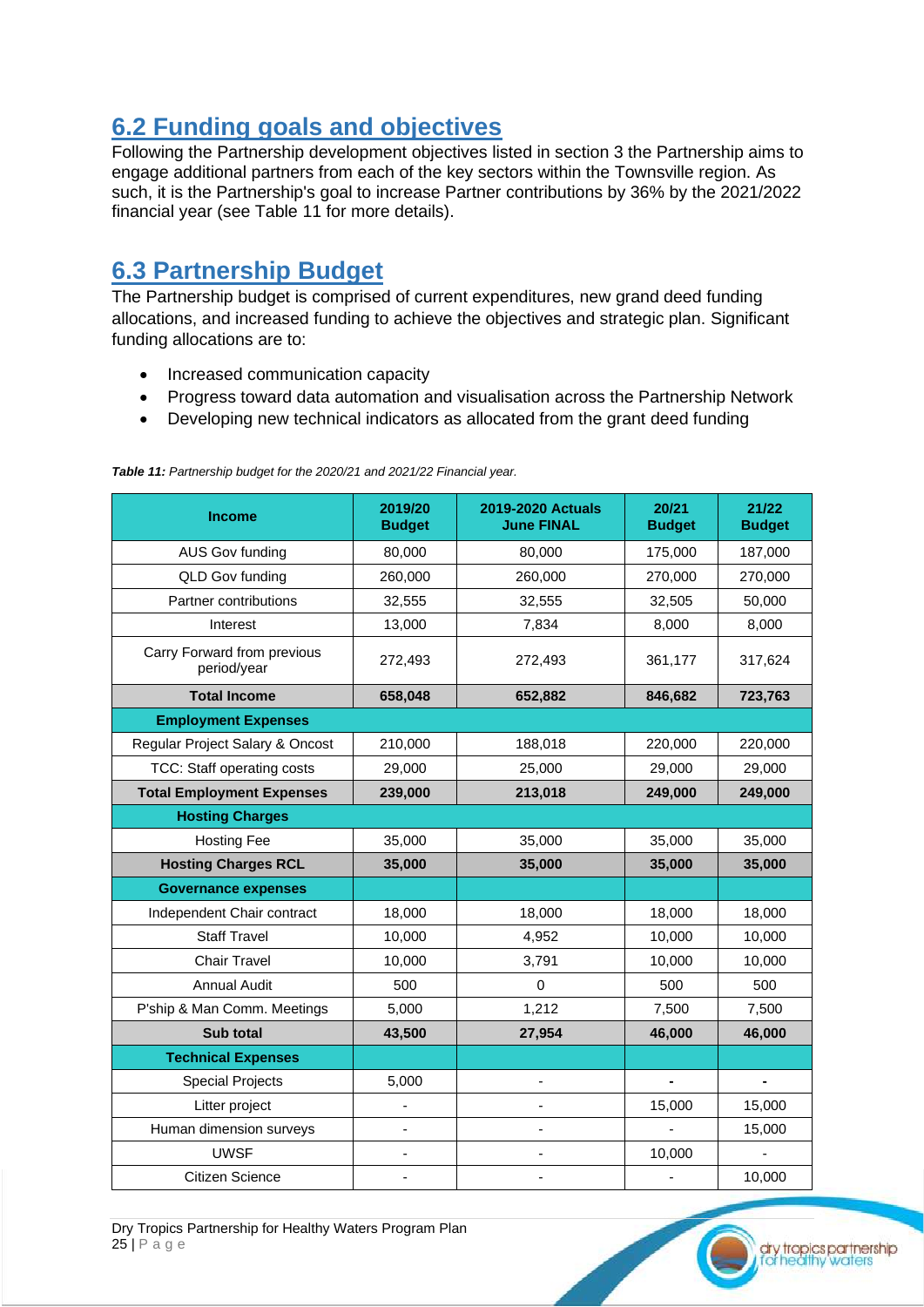### <span id="page-24-0"></span>**6.2 Funding goals and objectives**

Following the Partnership development objectives listed in section 3 the Partnership aims to engage additional partners from each of the key sectors within the Townsville region. As such, it is the Partnership's goal to increase Partner contributions by 36% by the 2021/2022 financial year (see Table 11 for more details).

### <span id="page-24-1"></span>**6.3 Partnership Budget**

The Partnership budget is comprised of current expenditures, new grand deed funding allocations, and increased funding to achieve the objectives and strategic plan. Significant funding allocations are to:

- Increased communication capacity
- Progress toward data automation and visualisation across the Partnership Network
- Developing new technical indicators as allocated from the grant deed funding

| <b>Income</b>                              | 2019/20<br><b>Budget</b> | <b>2019-2020 Actuals</b><br><b>June FINAL</b> | 20/21<br><b>Budget</b> | 21/22<br><b>Budget</b> |
|--------------------------------------------|--------------------------|-----------------------------------------------|------------------------|------------------------|
| AUS Gov funding                            | 80,000                   | 80,000                                        | 175,000                | 187,000                |
| QLD Gov funding                            | 260,000                  | 260,000                                       | 270,000                | 270,000                |
| Partner contributions                      | 32,555                   | 32,555                                        | 32,505                 | 50,000                 |
| Interest                                   | 13,000                   | 7,834                                         | 8,000                  | 8,000                  |
| Carry Forward from previous<br>period/year | 272,493                  | 272,493                                       | 361,177                | 317,624                |
| <b>Total Income</b>                        | 658,048                  | 652,882                                       | 846,682                | 723,763                |
| <b>Employment Expenses</b>                 |                          |                                               |                        |                        |
| Regular Project Salary & Oncost            | 210,000                  | 188,018                                       | 220,000                | 220,000                |
| TCC: Staff operating costs                 | 29,000                   | 25,000                                        | 29,000                 | 29,000                 |
| <b>Total Employment Expenses</b>           | 239,000                  | 213,018                                       | 249,000                | 249,000                |
| <b>Hosting Charges</b>                     |                          |                                               |                        |                        |
| <b>Hosting Fee</b>                         | 35,000                   | 35,000                                        | 35,000                 | 35,000                 |
| <b>Hosting Charges RCL</b>                 | 35,000                   | 35,000                                        | 35,000                 | 35,000                 |
| <b>Governance expenses</b>                 |                          |                                               |                        |                        |
| Independent Chair contract                 | 18,000                   | 18,000                                        | 18,000                 | 18,000                 |
| <b>Staff Travel</b>                        | 10,000                   | 4,952                                         | 10,000                 | 10,000                 |
| <b>Chair Travel</b>                        | 10,000                   | 3,791                                         | 10,000                 | 10,000                 |
| <b>Annual Audit</b>                        | 500                      | $\Omega$                                      | 500                    | 500                    |
| P'ship & Man Comm. Meetings                | 5,000                    | 1,212                                         | 7,500                  | 7,500                  |
| Sub total                                  | 43,500                   | 27,954                                        | 46,000                 | 46,000                 |
| <b>Technical Expenses</b>                  |                          |                                               |                        |                        |
| <b>Special Projects</b>                    | 5,000                    |                                               |                        |                        |
| Litter project                             | ٠                        |                                               | 15,000                 | 15,000                 |
| Human dimension surveys                    | ÷,                       |                                               |                        | 15,000                 |
| <b>UWSF</b>                                | ä,                       |                                               | 10,000                 |                        |
| <b>Citizen Science</b>                     |                          |                                               |                        | 10,000                 |

*Table 11: Partnership budget for the 2020/21 and 2021/22 Financial year.* 

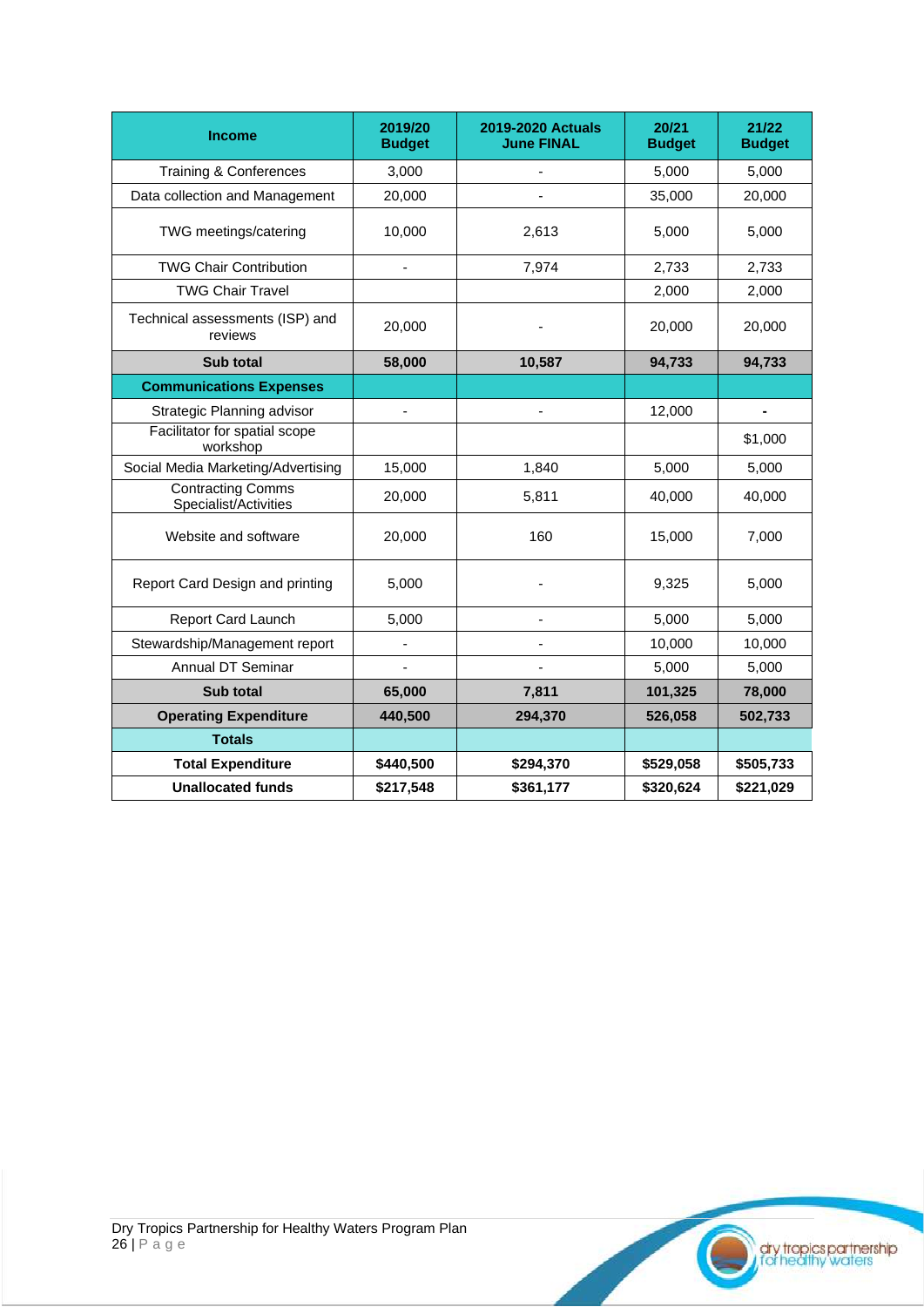| <b>Income</b>                                     | 2019/20<br><b>Budget</b> | <b>2019-2020 Actuals</b><br><b>June FINAL</b> | 20/21<br><b>Budget</b> | 21/22<br><b>Budget</b> |
|---------------------------------------------------|--------------------------|-----------------------------------------------|------------------------|------------------------|
| Training & Conferences                            | 3,000                    |                                               | 5,000                  | 5,000                  |
| Data collection and Management                    | 20,000                   |                                               | 35,000                 | 20,000                 |
| TWG meetings/catering                             | 10,000                   | 2,613                                         | 5,000                  | 5,000                  |
| <b>TWG Chair Contribution</b>                     |                          | 7,974                                         | 2,733                  | 2,733                  |
| <b>TWG Chair Travel</b>                           |                          |                                               | 2,000                  | 2,000                  |
| Technical assessments (ISP) and<br>reviews        | 20,000                   |                                               | 20,000                 | 20,000                 |
| Sub total                                         | 58,000                   | 10,587                                        | 94,733                 | 94,733                 |
| <b>Communications Expenses</b>                    |                          |                                               |                        |                        |
| Strategic Planning advisor                        |                          |                                               | 12,000                 |                        |
| Facilitator for spatial scope<br>workshop         |                          |                                               |                        | \$1,000                |
| Social Media Marketing/Advertising                | 15,000                   | 1,840                                         | 5,000                  | 5,000                  |
| <b>Contracting Comms</b><br>Specialist/Activities | 20,000                   | 5,811                                         | 40,000                 | 40,000                 |
| Website and software                              | 20,000                   | 160                                           | 15,000                 | 7,000                  |
| Report Card Design and printing                   | 5,000                    |                                               | 9,325                  | 5,000                  |
| Report Card Launch                                | 5,000                    |                                               | 5,000                  | 5,000                  |
| Stewardship/Management report                     |                          |                                               | 10,000                 | 10,000                 |
| Annual DT Seminar                                 |                          |                                               | 5,000                  | 5,000                  |
| Sub total                                         | 65,000                   | 7,811                                         | 101,325                | 78,000                 |
| <b>Operating Expenditure</b>                      | 440,500                  | 294,370                                       | 526,058                | 502,733                |
| <b>Totals</b>                                     |                          |                                               |                        |                        |
| <b>Total Expenditure</b>                          | \$440,500                | \$294,370                                     | \$529,058              | \$505,733              |
| <b>Unallocated funds</b>                          | \$217,548                | \$361,177                                     | \$320,624              | \$221,029              |

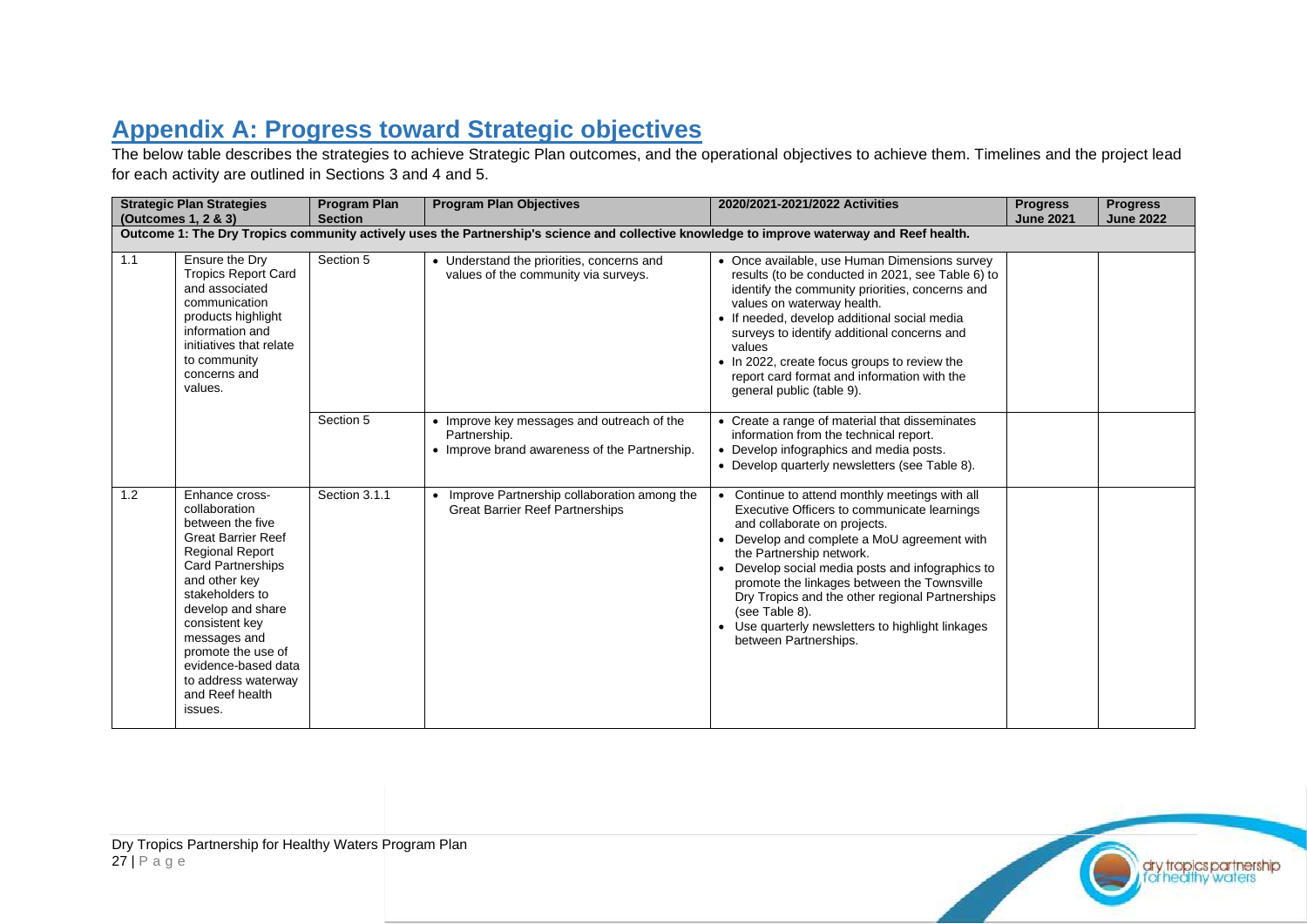## **Appendix A: Progress toward Strategic objectives**

The below table describes the strategies to achieve Strategic Plan outcomes, and the operational objectives to achieve them. Timelines and the project lead for each activity are outlined in Sections 3 and 4 and 5.

<span id="page-26-0"></span>

|     | <b>Strategic Plan Strategies</b><br>(Outcomes 1, 2 & 3)                                                                                                                                                                                                                                                                             | <b>Program Plan</b><br><b>Section</b> | <b>Program Plan Objectives</b>                                                                                                             | 2020/2021-2021/2022 Activities                                                                                                                                                                                                                                                                                                                                                                                                                               | <b>Progress</b><br><b>June 2021</b> | <b>Progress</b><br><b>June 2022</b> |
|-----|-------------------------------------------------------------------------------------------------------------------------------------------------------------------------------------------------------------------------------------------------------------------------------------------------------------------------------------|---------------------------------------|--------------------------------------------------------------------------------------------------------------------------------------------|--------------------------------------------------------------------------------------------------------------------------------------------------------------------------------------------------------------------------------------------------------------------------------------------------------------------------------------------------------------------------------------------------------------------------------------------------------------|-------------------------------------|-------------------------------------|
|     |                                                                                                                                                                                                                                                                                                                                     |                                       | Outcome 1: The Dry Tropics community actively uses the Partnership's science and collective knowledge to improve waterway and Reef health. |                                                                                                                                                                                                                                                                                                                                                                                                                                                              |                                     |                                     |
| 1.1 | Ensure the Dry<br><b>Tropics Report Card</b><br>and associated<br>communication<br>products highlight<br>information and<br>initiatives that relate<br>to community<br>concerns and<br>values.                                                                                                                                      | Section 5                             | • Understand the priorities, concerns and<br>values of the community via surveys.                                                          | • Once available, use Human Dimensions survey<br>results (to be conducted in 2021, see Table 6) to<br>identify the community priorities, concerns and<br>values on waterway health.<br>• If needed, develop additional social media<br>surveys to identify additional concerns and<br>values<br>• In 2022, create focus groups to review the<br>report card format and information with the<br>general public (table 9).                                     |                                     |                                     |
|     |                                                                                                                                                                                                                                                                                                                                     | Section 5                             | • Improve key messages and outreach of the<br>Partnership.<br>• Improve brand awareness of the Partnership.                                | • Create a range of material that disseminates<br>information from the technical report.<br>• Develop infographics and media posts.<br>• Develop quarterly newsletters (see Table 8).                                                                                                                                                                                                                                                                        |                                     |                                     |
| 1.2 | Enhance cross-<br>collaboration<br>between the five<br><b>Great Barrier Reef</b><br><b>Regional Report</b><br><b>Card Partnerships</b><br>and other key<br>stakeholders to<br>develop and share<br>consistent key<br>messages and<br>promote the use of<br>evidence-based data<br>to address waterway<br>and Reef health<br>issues. | Section 3.1.1                         | • Improve Partnership collaboration among the<br><b>Great Barrier Reef Partnerships</b>                                                    | • Continue to attend monthly meetings with all<br>Executive Officers to communicate learnings<br>and collaborate on projects.<br>• Develop and complete a MoU agreement with<br>the Partnership network.<br>• Develop social media posts and infographics to<br>promote the linkages between the Townsville<br>Dry Tropics and the other regional Partnerships<br>(see Table 8).<br>Use quarterly newsletters to highlight linkages<br>between Partnerships. |                                     |                                     |

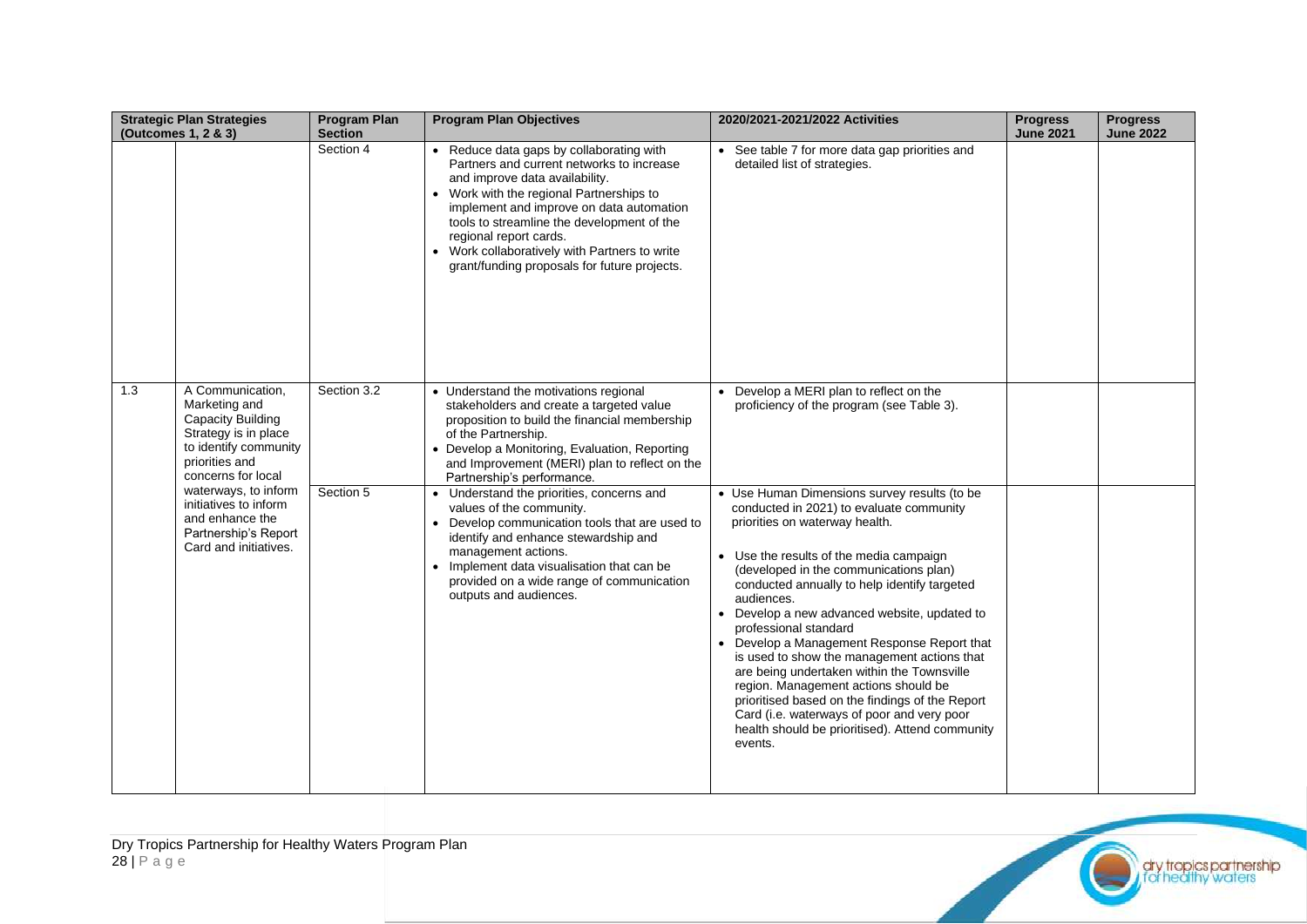|     | <b>Strategic Plan Strategies</b><br>(Outcomes 1, 2 & 3)                                                                                                                                                                                                              | <b>Program Plan</b><br><b>Section</b> | <b>Program Plan Objectives</b>                                                                                                                                                                                                                                                                                                                                                                                                                                                                                                                                                                         | 2020/2021-2021/2022 Activities                                                                                                                                                                                                                                                                                                                                                                                                                                                                                                                                                                                                                                                                                                                                                              | <b>Progress</b><br><b>June 2021</b> | <b>Progress</b><br><b>June 2022</b> |
|-----|----------------------------------------------------------------------------------------------------------------------------------------------------------------------------------------------------------------------------------------------------------------------|---------------------------------------|--------------------------------------------------------------------------------------------------------------------------------------------------------------------------------------------------------------------------------------------------------------------------------------------------------------------------------------------------------------------------------------------------------------------------------------------------------------------------------------------------------------------------------------------------------------------------------------------------------|---------------------------------------------------------------------------------------------------------------------------------------------------------------------------------------------------------------------------------------------------------------------------------------------------------------------------------------------------------------------------------------------------------------------------------------------------------------------------------------------------------------------------------------------------------------------------------------------------------------------------------------------------------------------------------------------------------------------------------------------------------------------------------------------|-------------------------------------|-------------------------------------|
|     |                                                                                                                                                                                                                                                                      | Section 4                             | • Reduce data gaps by collaborating with<br>Partners and current networks to increase<br>and improve data availability.<br>• Work with the regional Partnerships to<br>implement and improve on data automation<br>tools to streamline the development of the<br>regional report cards.<br>• Work collaboratively with Partners to write<br>grant/funding proposals for future projects.                                                                                                                                                                                                               | See table 7 for more data gap priorities and<br>detailed list of strategies.                                                                                                                                                                                                                                                                                                                                                                                                                                                                                                                                                                                                                                                                                                                |                                     |                                     |
| 1.3 | A Communication,<br>Marketing and<br>Capacity Building<br>Strategy is in place<br>to identify community<br>priorities and<br>concerns for local<br>waterways, to inform<br>initiatives to inform<br>and enhance the<br>Partnership's Report<br>Card and initiatives. | Section 3.2<br>Section 5              | • Understand the motivations regional<br>stakeholders and create a targeted value<br>proposition to build the financial membership<br>of the Partnership.<br>Develop a Monitoring, Evaluation, Reporting<br>and Improvement (MERI) plan to reflect on the<br>Partnership's performance.<br>• Understand the priorities, concerns and<br>values of the community.<br>• Develop communication tools that are used to<br>identify and enhance stewardship and<br>management actions.<br>• Implement data visualisation that can be<br>provided on a wide range of communication<br>outputs and audiences. | Develop a MERI plan to reflect on the<br>proficiency of the program (see Table 3).<br>• Use Human Dimensions survey results (to be<br>conducted in 2021) to evaluate community<br>priorities on waterway health.<br>Use the results of the media campaign<br>(developed in the communications plan)<br>conducted annually to help identify targeted<br>audiences.<br>Develop a new advanced website, updated to<br>professional standard<br>• Develop a Management Response Report that<br>is used to show the management actions that<br>are being undertaken within the Townsville<br>region. Management actions should be<br>prioritised based on the findings of the Report<br>Card (i.e. waterways of poor and very poor<br>health should be prioritised). Attend community<br>events. |                                     |                                     |

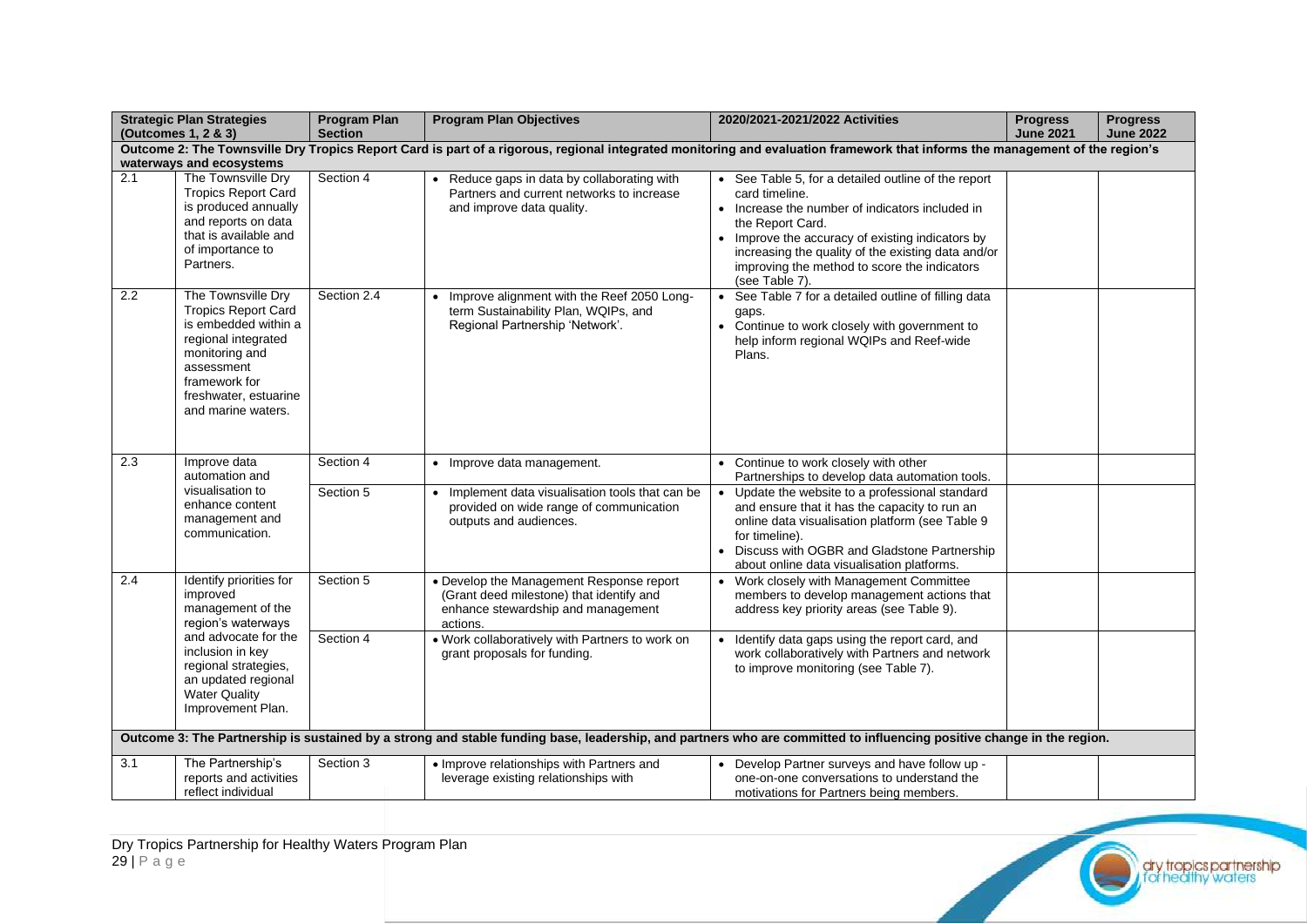|                                                                                                                                                                                                          | <b>Strategic Plan Strategies</b><br>(Outcomes 1, 2 & 3)                                                                                                                                         | <b>Program Plan</b><br><b>Section</b> | <b>Program Plan Objectives</b>                                                                                                         | 2020/2021-2021/2022 Activities                                                                                                                                                                                                                                                                                         | <b>Progress</b><br><b>June 2021</b> | <b>Progress</b><br><b>June 2022</b> |  |
|----------------------------------------------------------------------------------------------------------------------------------------------------------------------------------------------------------|-------------------------------------------------------------------------------------------------------------------------------------------------------------------------------------------------|---------------------------------------|----------------------------------------------------------------------------------------------------------------------------------------|------------------------------------------------------------------------------------------------------------------------------------------------------------------------------------------------------------------------------------------------------------------------------------------------------------------------|-------------------------------------|-------------------------------------|--|
| Outcome 2: The Townsville Dry Tropics Report Card is part of a rigorous, regional integrated monitoring and evaluation framework that informs the management of the region's<br>waterways and ecosystems |                                                                                                                                                                                                 |                                       |                                                                                                                                        |                                                                                                                                                                                                                                                                                                                        |                                     |                                     |  |
|                                                                                                                                                                                                          |                                                                                                                                                                                                 |                                       |                                                                                                                                        |                                                                                                                                                                                                                                                                                                                        |                                     |                                     |  |
| $\overline{2.1}$                                                                                                                                                                                         | The Townsville Dry<br><b>Tropics Report Card</b><br>is produced annually<br>and reports on data<br>that is available and<br>of importance to<br>Partners.                                       | Section 4                             | • Reduce gaps in data by collaborating with<br>Partners and current networks to increase<br>and improve data quality.                  | • See Table 5, for a detailed outline of the report<br>card timeline.<br>• Increase the number of indicators included in<br>the Report Card.<br>Improve the accuracy of existing indicators by<br>increasing the quality of the existing data and/or<br>improving the method to score the indicators<br>(see Table 7). |                                     |                                     |  |
| 2.2                                                                                                                                                                                                      | The Townsville Dry<br><b>Tropics Report Card</b><br>is embedded within a<br>regional integrated<br>monitoring and<br>assessment<br>framework for<br>freshwater, estuarine<br>and marine waters. | Section 2.4                           | Improve alignment with the Reef 2050 Long-<br>term Sustainability Plan, WQIPs, and<br>Regional Partnership 'Network'.                  | See Table 7 for a detailed outline of filling data<br>gaps.<br>• Continue to work closely with government to<br>help inform regional WQIPs and Reef-wide<br>Plans.                                                                                                                                                     |                                     |                                     |  |
| 2.3                                                                                                                                                                                                      | Improve data<br>automation and                                                                                                                                                                  | Section 4                             | • Improve data management.                                                                                                             | • Continue to work closely with other<br>Partnerships to develop data automation tools.                                                                                                                                                                                                                                |                                     |                                     |  |
|                                                                                                                                                                                                          | visualisation to<br>enhance content<br>management and<br>communication.                                                                                                                         | Section 5                             | Implement data visualisation tools that can be<br>provided on wide range of communication<br>outputs and audiences.                    | Update the website to a professional standard<br>$\bullet$<br>and ensure that it has the capacity to run an<br>online data visualisation platform (see Table 9<br>for timeline).<br>Discuss with OGBR and Gladstone Partnership<br>about online data visualisation platforms.                                          |                                     |                                     |  |
| 2.4                                                                                                                                                                                                      | Identify priorities for<br>improved<br>management of the<br>region's waterways                                                                                                                  | Section 5                             | • Develop the Management Response report<br>(Grant deed milestone) that identify and<br>enhance stewardship and management<br>actions. | Work closely with Management Committee<br>members to develop management actions that<br>address key priority areas (see Table 9).                                                                                                                                                                                      |                                     |                                     |  |
|                                                                                                                                                                                                          | and advocate for the<br>inclusion in key<br>regional strategies,<br>an updated regional<br><b>Water Quality</b><br>Improvement Plan.                                                            | Section 4                             | . Work collaboratively with Partners to work on<br>grant proposals for funding.                                                        | Identify data gaps using the report card, and<br>work collaboratively with Partners and network<br>to improve monitoring (see Table 7).                                                                                                                                                                                |                                     |                                     |  |
|                                                                                                                                                                                                          |                                                                                                                                                                                                 |                                       |                                                                                                                                        | Outcome 3: The Partnership is sustained by a strong and stable funding base, leadership, and partners who are committed to influencing positive change in the region.                                                                                                                                                  |                                     |                                     |  |
| 3.1                                                                                                                                                                                                      | The Partnership's<br>reports and activities<br>reflect individual                                                                                                                               | Section 3                             | • Improve relationships with Partners and<br>leverage existing relationships with                                                      | Develop Partner surveys and have follow up -<br>one-on-one conversations to understand the<br>motivations for Partners being members.                                                                                                                                                                                  |                                     |                                     |  |

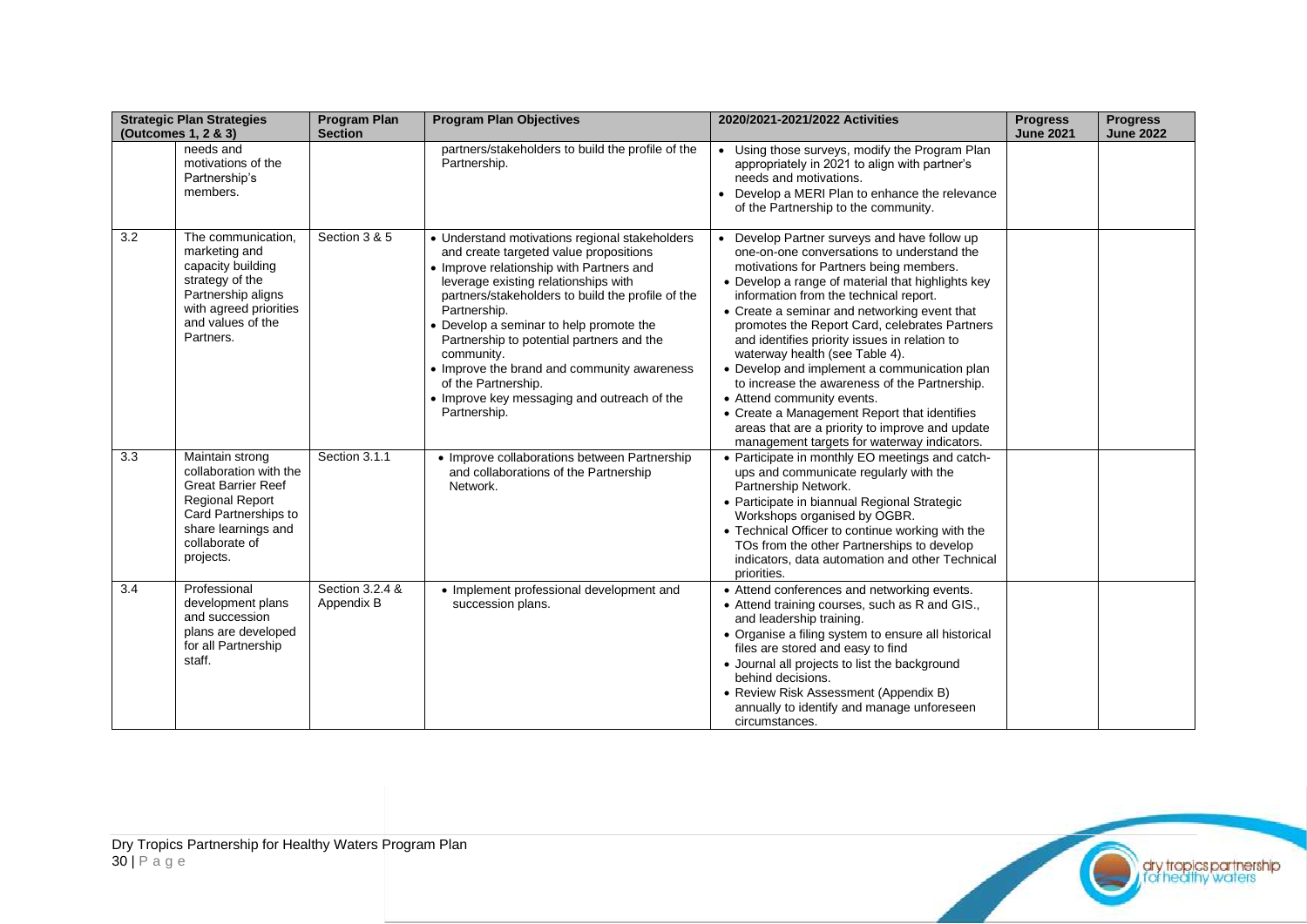|     | <b>Strategic Plan Strategies</b><br>(Outcomes 1, 2 & 3)                                                                                                                        | <b>Program Plan</b><br><b>Section</b> | <b>Program Plan Objectives</b>                                                                                                                                                                                                                                                                                                                                                                                                                                                               | 2020/2021-2021/2022 Activities                                                                                                                                                                                                                                                                                                                                                                                                                                                                                                                                                                                                                                                                            | <b>Progress</b><br><b>June 2021</b> | <b>Progress</b><br><b>June 2022</b> |
|-----|--------------------------------------------------------------------------------------------------------------------------------------------------------------------------------|---------------------------------------|----------------------------------------------------------------------------------------------------------------------------------------------------------------------------------------------------------------------------------------------------------------------------------------------------------------------------------------------------------------------------------------------------------------------------------------------------------------------------------------------|-----------------------------------------------------------------------------------------------------------------------------------------------------------------------------------------------------------------------------------------------------------------------------------------------------------------------------------------------------------------------------------------------------------------------------------------------------------------------------------------------------------------------------------------------------------------------------------------------------------------------------------------------------------------------------------------------------------|-------------------------------------|-------------------------------------|
|     | needs and<br>motivations of the<br>Partnership's<br>members.                                                                                                                   |                                       | partners/stakeholders to build the profile of the<br>Partnership.                                                                                                                                                                                                                                                                                                                                                                                                                            | • Using those surveys, modify the Program Plan<br>appropriately in 2021 to align with partner's<br>needs and motivations.<br>Develop a MERI Plan to enhance the relevance<br>of the Partnership to the community.                                                                                                                                                                                                                                                                                                                                                                                                                                                                                         |                                     |                                     |
| 3.2 | The communication,<br>marketing and<br>capacity building<br>strategy of the<br>Partnership aligns<br>with agreed priorities<br>and values of the<br>Partners.                  | Section 3 & 5                         | • Understand motivations regional stakeholders<br>and create targeted value propositions<br>• Improve relationship with Partners and<br>leverage existing relationships with<br>partners/stakeholders to build the profile of the<br>Partnership.<br>• Develop a seminar to help promote the<br>Partnership to potential partners and the<br>community.<br>• Improve the brand and community awareness<br>of the Partnership.<br>• Improve key messaging and outreach of the<br>Partnership. | • Develop Partner surveys and have follow up<br>one-on-one conversations to understand the<br>motivations for Partners being members.<br>• Develop a range of material that highlights key<br>information from the technical report.<br>• Create a seminar and networking event that<br>promotes the Report Card, celebrates Partners<br>and identifies priority issues in relation to<br>waterway health (see Table 4).<br>• Develop and implement a communication plan<br>to increase the awareness of the Partnership.<br>• Attend community events.<br>• Create a Management Report that identifies<br>areas that are a priority to improve and update<br>management targets for waterway indicators. |                                     |                                     |
| 3.3 | Maintain strong<br>collaboration with the<br><b>Great Barrier Reef</b><br><b>Regional Report</b><br>Card Partnerships to<br>share learnings and<br>collaborate of<br>projects. | Section 3.1.1                         | • Improve collaborations between Partnership<br>and collaborations of the Partnership<br>Network.                                                                                                                                                                                                                                                                                                                                                                                            | • Participate in monthly EO meetings and catch-<br>ups and communicate regularly with the<br>Partnership Network.<br>• Participate in biannual Regional Strategic<br>Workshops organised by OGBR.<br>• Technical Officer to continue working with the<br>TOs from the other Partnerships to develop<br>indicators, data automation and other Technical<br>priorities.                                                                                                                                                                                                                                                                                                                                     |                                     |                                     |
| 3.4 | Professional<br>development plans<br>and succession<br>plans are developed<br>for all Partnership<br>staff.                                                                    | Section 3.2.4 &<br>Appendix B         | • Implement professional development and<br>succession plans.                                                                                                                                                                                                                                                                                                                                                                                                                                | • Attend conferences and networking events.<br>• Attend training courses, such as R and GIS.,<br>and leadership training.<br>• Organise a filing system to ensure all historical<br>files are stored and easy to find<br>• Journal all projects to list the background<br>behind decisions.<br>• Review Risk Assessment (Appendix B)<br>annually to identify and manage unforeseen<br>circumstances.                                                                                                                                                                                                                                                                                                      |                                     |                                     |

dry tropics partnership<br>I, for healthy waters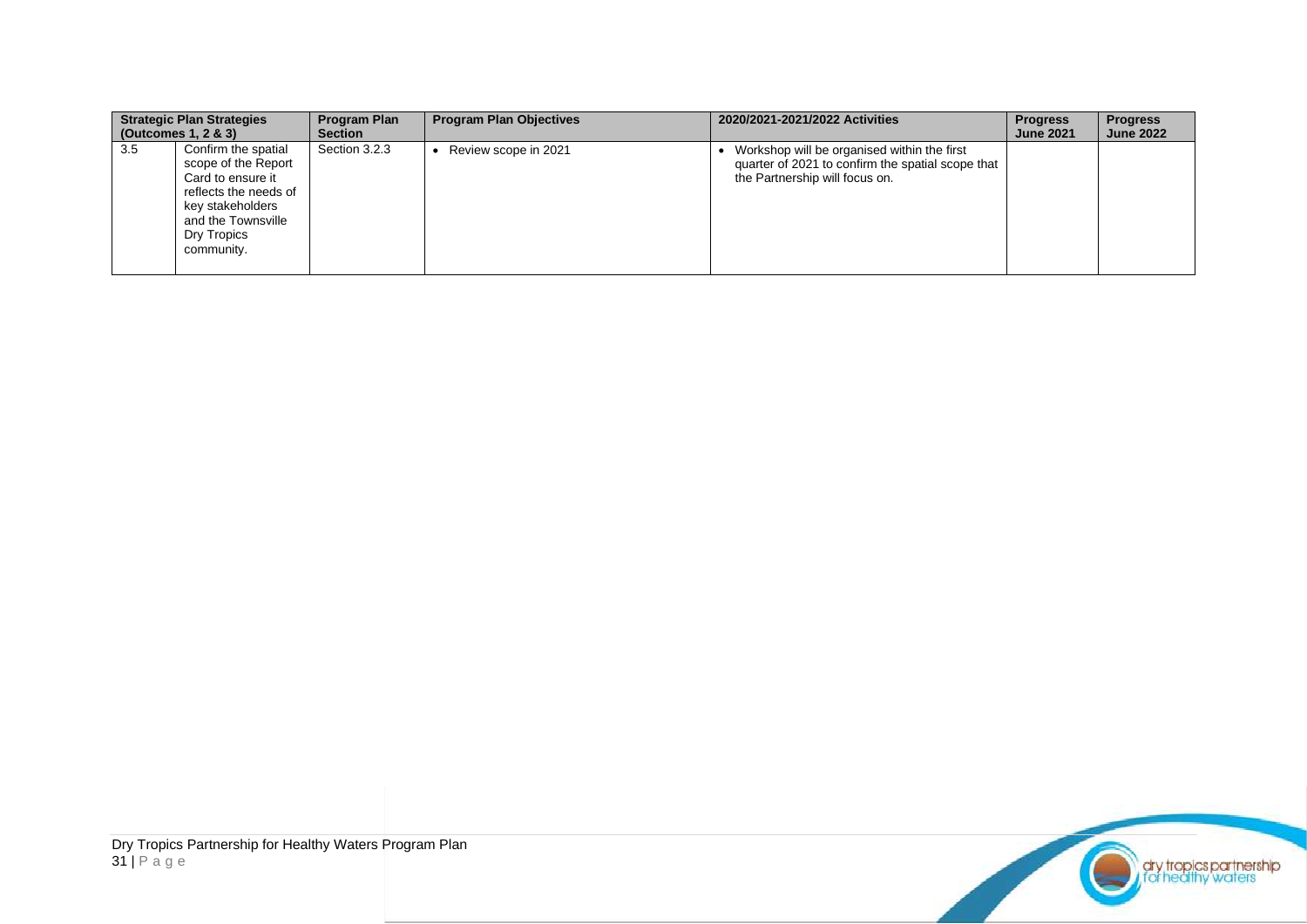|     | <b>Strategic Plan Strategies</b><br>(Outcomes $1, 2 \& 3$ )                                                                                                     | <b>Program Plan</b><br><b>Section</b> | <b>Program Plan Objectives</b> | 2020/2021-2021/2022 Activities                                                                                                     | <b>Progress</b><br><b>June 2021</b> | <b>Progress</b><br><b>June 2022</b> |
|-----|-----------------------------------------------------------------------------------------------------------------------------------------------------------------|---------------------------------------|--------------------------------|------------------------------------------------------------------------------------------------------------------------------------|-------------------------------------|-------------------------------------|
| 3.5 | Confirm the spatial<br>scope of the Report<br>Card to ensure it<br>reflects the needs of<br>key stakeholders<br>and the Townsville<br>Dry Tropics<br>community. | Section 3.2.3                         | Review scope in 2021           | Workshop will be organised within the first<br>quarter of 2021 to confirm the spatial scope that<br>the Partnership will focus on. |                                     |                                     |

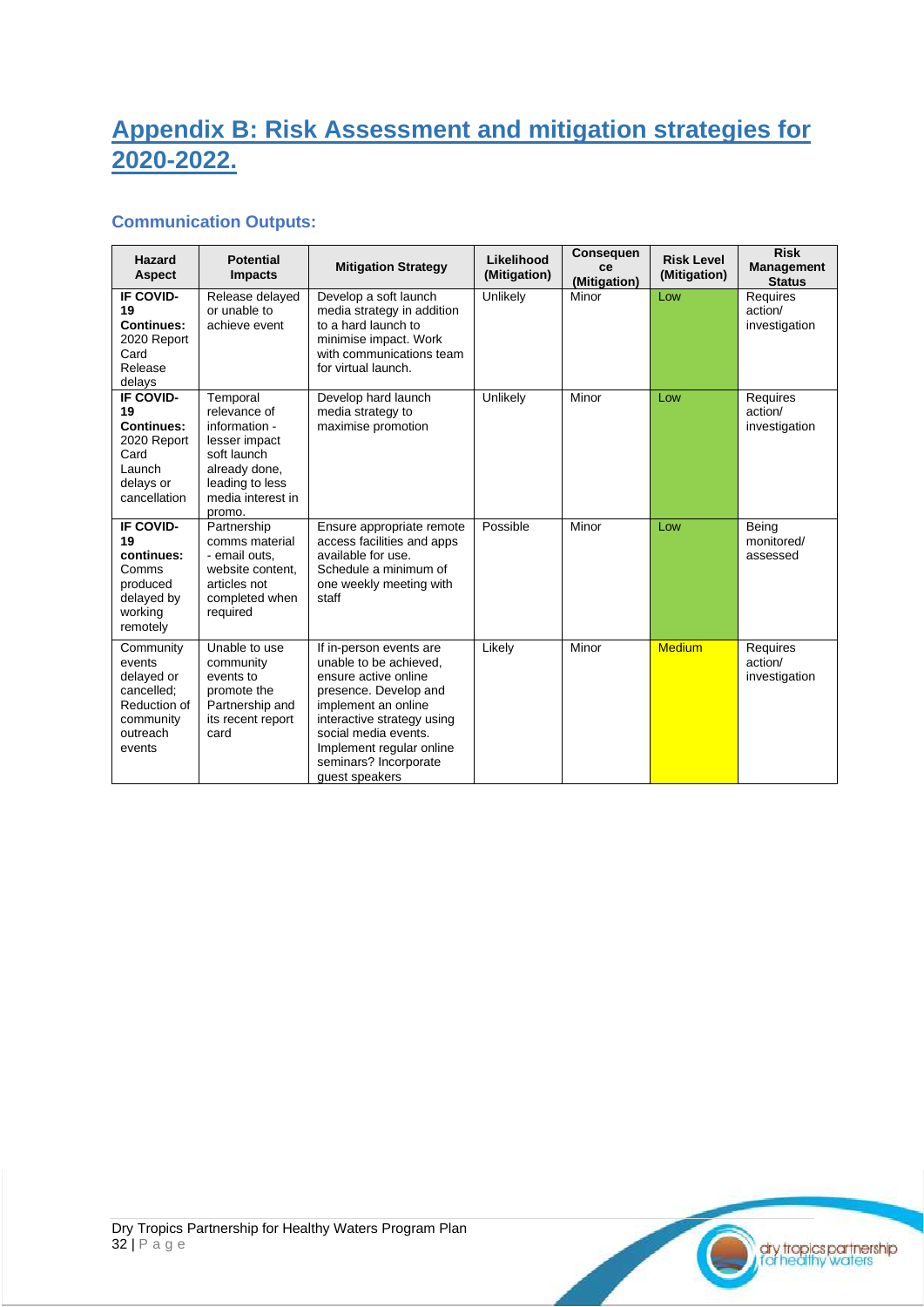## <span id="page-31-0"></span>**Appendix B: Risk Assessment and mitigation strategies for 2020-2022.**

### **Communication Outputs:**

| Hazard<br><b>Aspect</b>                                                                            | <b>Potential</b><br><b>Impacts</b>                                                                                                           | <b>Mitigation Strategy</b>                                                                                                                                                                                                                             | Likelihood<br>(Mitigation) | <b>Consequen</b><br>ce<br>(Mitigation) | <b>Risk Level</b><br>(Mitigation) | <b>Risk</b><br><b>Management</b><br><b>Status</b> |
|----------------------------------------------------------------------------------------------------|----------------------------------------------------------------------------------------------------------------------------------------------|--------------------------------------------------------------------------------------------------------------------------------------------------------------------------------------------------------------------------------------------------------|----------------------------|----------------------------------------|-----------------------------------|---------------------------------------------------|
| IF COVID-<br>19<br><b>Continues:</b><br>2020 Report<br>Card<br>Release<br>delays                   | Release delayed<br>or unable to<br>achieve event                                                                                             | Develop a soft launch<br>media strategy in addition<br>to a hard launch to<br>minimise impact. Work<br>with communications team<br>for virtual launch.                                                                                                 | Unlikely                   | Minor                                  | Low                               | Requires<br>action/<br>investigation              |
| IF COVID-<br>19<br><b>Continues:</b><br>2020 Report<br>Card<br>Launch<br>delays or<br>cancellation | Temporal<br>relevance of<br>information -<br>lesser impact<br>soft launch<br>already done,<br>leading to less<br>media interest in<br>promo. | Develop hard launch<br>media strategy to<br>maximise promotion                                                                                                                                                                                         | Unlikely                   | Minor                                  | Low                               | Requires<br>action/<br>investigation              |
| IF COVID-<br>19<br>continues:<br>Comms<br>produced<br>delayed by<br>working<br>remotely            | Partnership<br>comms material<br>- email outs.<br>website content.<br>articles not<br>completed when<br>required                             | Ensure appropriate remote<br>access facilities and apps<br>available for use.<br>Schedule a minimum of<br>one weekly meeting with<br>staff                                                                                                             | Possible                   | Minor                                  | Low                               | Being<br>monitored/<br>assessed                   |
| Community<br>events<br>delayed or<br>cancelled;<br>Reduction of<br>community<br>outreach<br>events | Unable to use<br>community<br>events to<br>promote the<br>Partnership and<br>its recent report<br>card                                       | If in-person events are<br>unable to be achieved.<br>ensure active online<br>presence. Develop and<br>implement an online<br>interactive strategy using<br>social media events.<br>Implement regular online<br>seminars? Incorporate<br>quest speakers | Likely                     | Minor                                  | <b>Medium</b>                     | Requires<br>action/<br>investigation              |

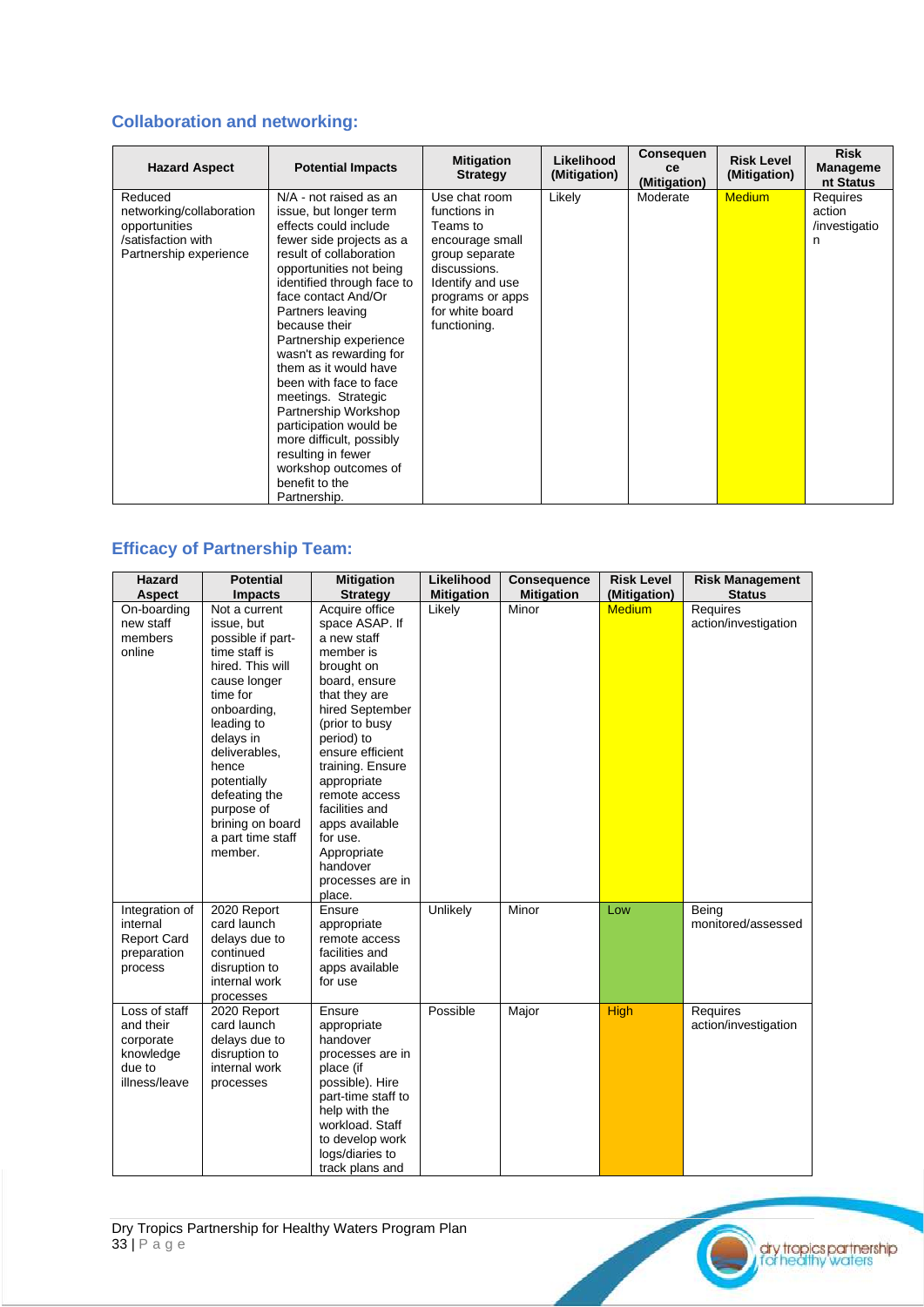### **Collaboration and networking:**

| <b>Hazard Aspect</b>                                                                                 | <b>Potential Impacts</b>                                                                                                                                                                                                                                                                                                                                                                                                                                                                                                                           | <b>Mitigation</b><br><b>Strategy</b>                                                                                                                                      | Likelihood<br>(Mitigation) | <b>Consequen</b><br>ce<br>(Mitigation) | <b>Risk Level</b><br>(Mitigation) | <b>Risk</b><br><b>Manageme</b><br>nt Status |
|------------------------------------------------------------------------------------------------------|----------------------------------------------------------------------------------------------------------------------------------------------------------------------------------------------------------------------------------------------------------------------------------------------------------------------------------------------------------------------------------------------------------------------------------------------------------------------------------------------------------------------------------------------------|---------------------------------------------------------------------------------------------------------------------------------------------------------------------------|----------------------------|----------------------------------------|-----------------------------------|---------------------------------------------|
| Reduced<br>networking/collaboration<br>opportunities<br>/satisfaction with<br>Partnership experience | N/A - not raised as an<br>issue, but longer term<br>effects could include<br>fewer side projects as a<br>result of collaboration<br>opportunities not being<br>identified through face to<br>face contact And/Or<br>Partners leaving<br>because their<br>Partnership experience<br>wasn't as rewarding for<br>them as it would have<br>been with face to face<br>meetings. Strategic<br>Partnership Workshop<br>participation would be<br>more difficult, possibly<br>resulting in fewer<br>workshop outcomes of<br>benefit to the<br>Partnership. | Use chat room<br>functions in<br>Teams to<br>encourage small<br>group separate<br>discussions.<br>Identify and use<br>programs or apps<br>for white board<br>functioning. | Likely                     | Moderate                               | <b>Medium</b>                     | Requires<br>action<br>/investigatio<br>n    |

### **Efficacy of Partnership Team:**

| <b>Hazard</b><br><b>Aspect</b>                                                  | <b>Potential</b><br><b>Impacts</b>                                                                                                                                                                                                                                                      | <b>Mitigation</b><br><b>Strategy</b>                                                                                                                                                                                                                                                                                                   | Likelihood<br><b>Mitigation</b> | <b>Consequence</b><br><b>Mitigation</b> | <b>Risk Level</b><br>(Mitigation) | <b>Risk Management</b><br><b>Status</b> |
|---------------------------------------------------------------------------------|-----------------------------------------------------------------------------------------------------------------------------------------------------------------------------------------------------------------------------------------------------------------------------------------|----------------------------------------------------------------------------------------------------------------------------------------------------------------------------------------------------------------------------------------------------------------------------------------------------------------------------------------|---------------------------------|-----------------------------------------|-----------------------------------|-----------------------------------------|
|                                                                                 |                                                                                                                                                                                                                                                                                         |                                                                                                                                                                                                                                                                                                                                        |                                 |                                         |                                   |                                         |
| On-boarding<br>new staff<br>members<br>online                                   | Not a current<br>issue, but<br>possible if part-<br>time staff is<br>hired. This will<br>cause longer<br>time for<br>onboarding,<br>leading to<br>delays in<br>deliverables,<br>hence<br>potentially<br>defeating the<br>purpose of<br>brining on board<br>a part time staff<br>member. | Acquire office<br>space ASAP. If<br>a new staff<br>member is<br>brought on<br>board, ensure<br>that they are<br>hired September<br>(prior to busy<br>period) to<br>ensure efficient<br>training. Ensure<br>appropriate<br>remote access<br>facilities and<br>apps available<br>for use.<br>Appropriate<br>handover<br>processes are in | Likely                          | Minor                                   | <b>Medium</b>                     | Requires<br>action/investigation        |
| Integration of<br>internal<br><b>Report Card</b><br>preparation<br>process      | 2020 Report<br>card launch<br>delays due to<br>continued<br>disruption to<br>internal work<br>processes                                                                                                                                                                                 | place.<br>Ensure<br>appropriate<br>remote access<br>facilities and<br>apps available<br>for use                                                                                                                                                                                                                                        | Unlikely                        | Minor                                   | Low                               | Being<br>monitored/assessed             |
| Loss of staff<br>and their<br>corporate<br>knowledge<br>due to<br>illness/leave | 2020 Report<br>card launch<br>delays due to<br>disruption to<br>internal work<br>processes                                                                                                                                                                                              | Ensure<br>appropriate<br>handover<br>processes are in<br>place (if<br>possible). Hire<br>part-time staff to<br>help with the<br>workload. Staff<br>to develop work<br>logs/diaries to<br>track plans and                                                                                                                               | Possible                        | Major                                   | <b>High</b>                       | Requires<br>action/investigation        |

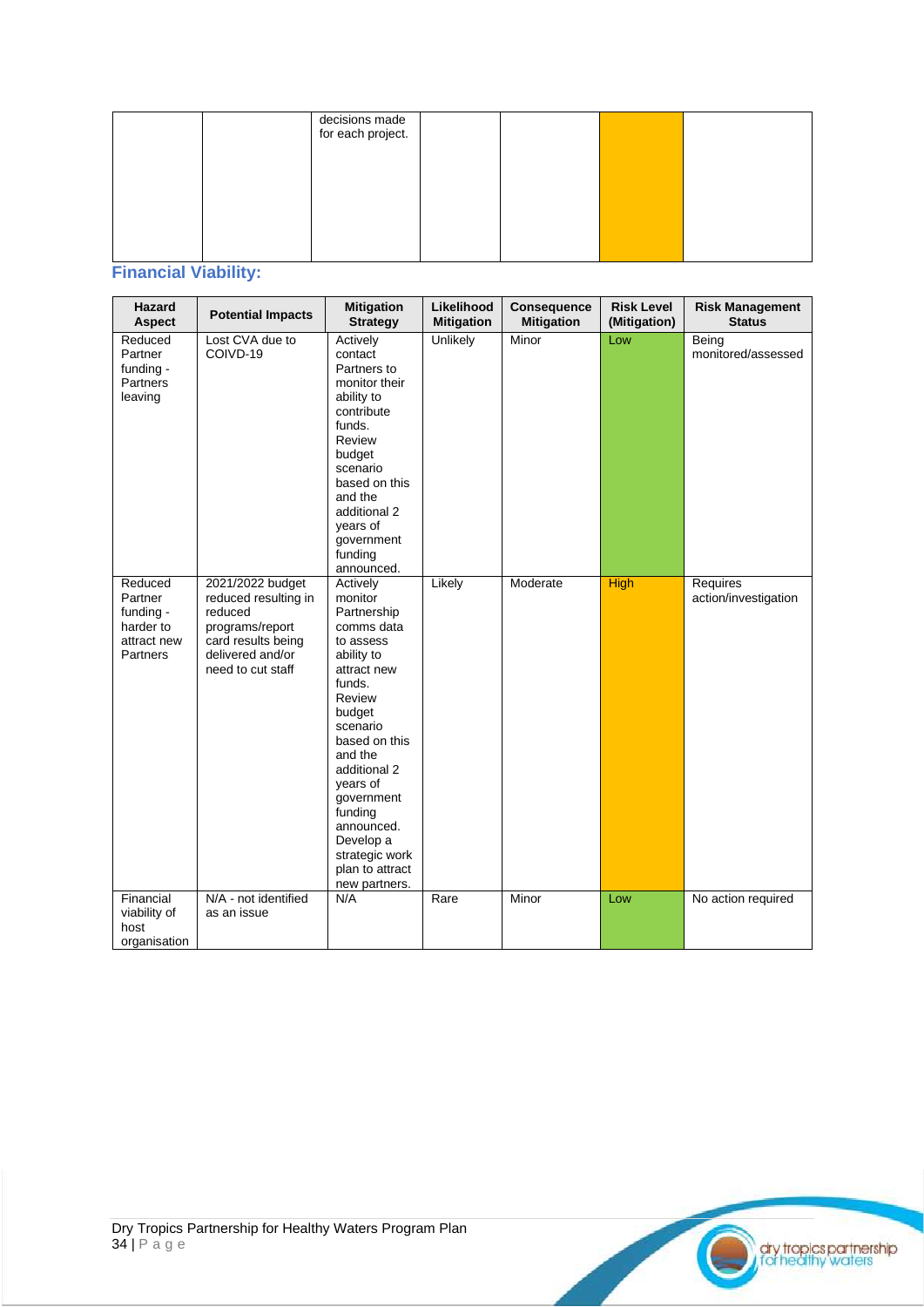|  | decisions made<br>for each project. |  |  |
|--|-------------------------------------|--|--|
|  |                                     |  |  |
|  |                                     |  |  |
|  |                                     |  |  |
|  |                                     |  |  |

### **Financial Viability:**

| Hazard<br>Aspect                                                        | <b>Potential Impacts</b>                                                                                                              | <b>Mitigation</b><br><b>Strategy</b>                                                                                                                                                                                                                                                                   | Likelihood<br><b>Mitigation</b> | Consequence<br><b>Mitigation</b> | <b>Risk Level</b><br>(Mitigation) | <b>Risk Management</b><br><b>Status</b> |
|-------------------------------------------------------------------------|---------------------------------------------------------------------------------------------------------------------------------------|--------------------------------------------------------------------------------------------------------------------------------------------------------------------------------------------------------------------------------------------------------------------------------------------------------|---------------------------------|----------------------------------|-----------------------------------|-----------------------------------------|
| Reduced<br>Partner<br>funding -<br>Partners<br>leaving                  | Lost CVA due to<br>COIVD-19                                                                                                           | Actively<br>contact<br>Partners to<br>monitor their<br>ability to<br>contribute<br>funds.<br>Review<br>budget<br>scenario<br>based on this<br>and the<br>additional 2<br>years of<br>government<br>funding<br>announced.                                                                               | Unlikely                        | Minor                            | Low                               | Being<br>monitored/assessed             |
| Reduced<br>Partner<br>funding -<br>harder to<br>attract new<br>Partners | 2021/2022 budget<br>reduced resulting in<br>reduced<br>programs/report<br>card results being<br>delivered and/or<br>need to cut staff | Actively<br>monitor<br>Partnership<br>comms data<br>to assess<br>ability to<br>attract new<br>funds.<br>Review<br>budget<br>scenario<br>based on this<br>and the<br>additional 2<br>years of<br>government<br>funding<br>announced.<br>Develop a<br>strategic work<br>plan to attract<br>new partners. | Likely                          | Moderate                         | <b>High</b>                       | Requires<br>action/investigation        |
| Financial<br>viability of<br>host<br>organisation                       | N/A - not identified<br>as an issue                                                                                                   | N/A                                                                                                                                                                                                                                                                                                    | Rare                            | Minor                            | Low                               | No action required                      |

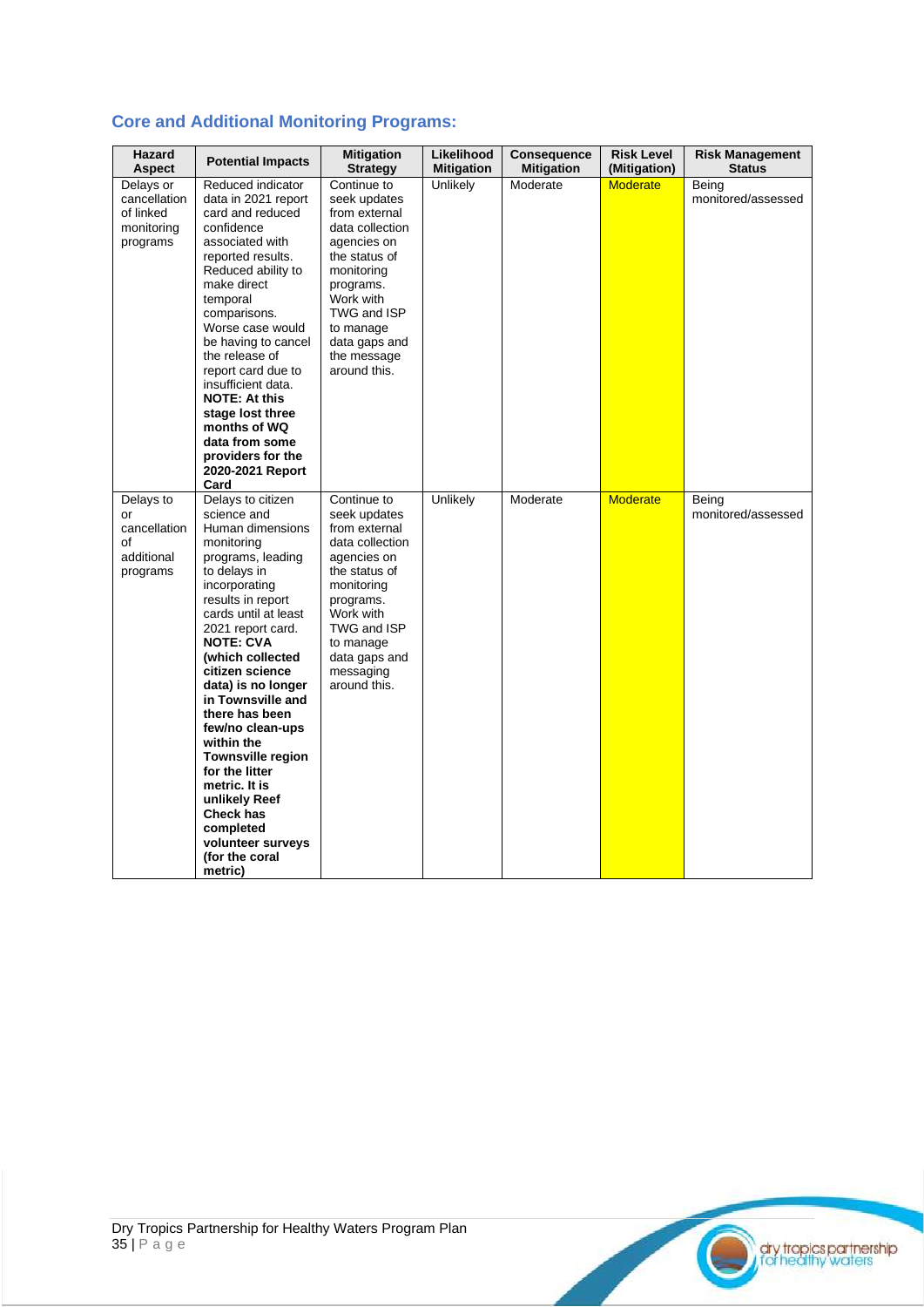|  |  |  | <b>Core and Additional Monitoring Programs:</b> |  |
|--|--|--|-------------------------------------------------|--|
|--|--|--|-------------------------------------------------|--|

| Hazard<br><b>Aspect</b>                                          | <b>Potential Impacts</b>                                                                                                                                                                                                                                                                                                                                                                                                                                                                                         | <b>Mitigation</b><br><b>Strategy</b>                                                                                                                                                                                | Likelihood<br><b>Mitigation</b> | <b>Consequence</b><br><b>Mitigation</b> | <b>Risk Level</b><br>(Mitigation) | <b>Risk Management</b><br><b>Status</b> |
|------------------------------------------------------------------|------------------------------------------------------------------------------------------------------------------------------------------------------------------------------------------------------------------------------------------------------------------------------------------------------------------------------------------------------------------------------------------------------------------------------------------------------------------------------------------------------------------|---------------------------------------------------------------------------------------------------------------------------------------------------------------------------------------------------------------------|---------------------------------|-----------------------------------------|-----------------------------------|-----------------------------------------|
| Delays or<br>cancellation<br>of linked<br>monitoring<br>programs | Reduced indicator<br>data in 2021 report<br>card and reduced<br>confidence<br>associated with<br>reported results.<br>Reduced ability to<br>make direct<br>temporal<br>comparisons.<br>Worse case would<br>be having to cancel<br>the release of<br>report card due to<br>insufficient data.<br><b>NOTE: At this</b><br>stage lost three<br>months of WQ<br>data from some<br>providers for the<br>2020-2021 Report<br>Card                                                                                      | Continue to<br>seek updates<br>from external<br>data collection<br>agencies on<br>the status of<br>monitoring<br>programs.<br>Work with<br>TWG and ISP<br>to manage<br>data gaps and<br>the message<br>around this. | Unlikely                        | Moderate                                | <b>Moderate</b>                   | Being<br>monitored/assessed             |
| Delays to<br>or<br>cancellation<br>Ωf<br>additional<br>programs  | Delays to citizen<br>science and<br>Human dimensions<br>monitoring<br>programs, leading<br>to delays in<br>incorporating<br>results in report<br>cards until at least<br>2021 report card.<br><b>NOTE: CVA</b><br>(which collected<br>citizen science<br>data) is no longer<br>in Townsville and<br>there has been<br>few/no clean-ups<br>within the<br><b>Townsville region</b><br>for the litter<br>metric. It is<br>unlikely Reef<br>Check has<br>completed<br>volunteer surveys<br>(for the coral<br>metric) | Continue to<br>seek updates<br>from external<br>data collection<br>agencies on<br>the status of<br>monitoring<br>programs.<br>Work with<br>TWG and ISP<br>to manage<br>data gaps and<br>messaging<br>around this.   | Unlikely                        | Moderate                                | <b>Moderate</b>                   | Being<br>monitored/assessed             |

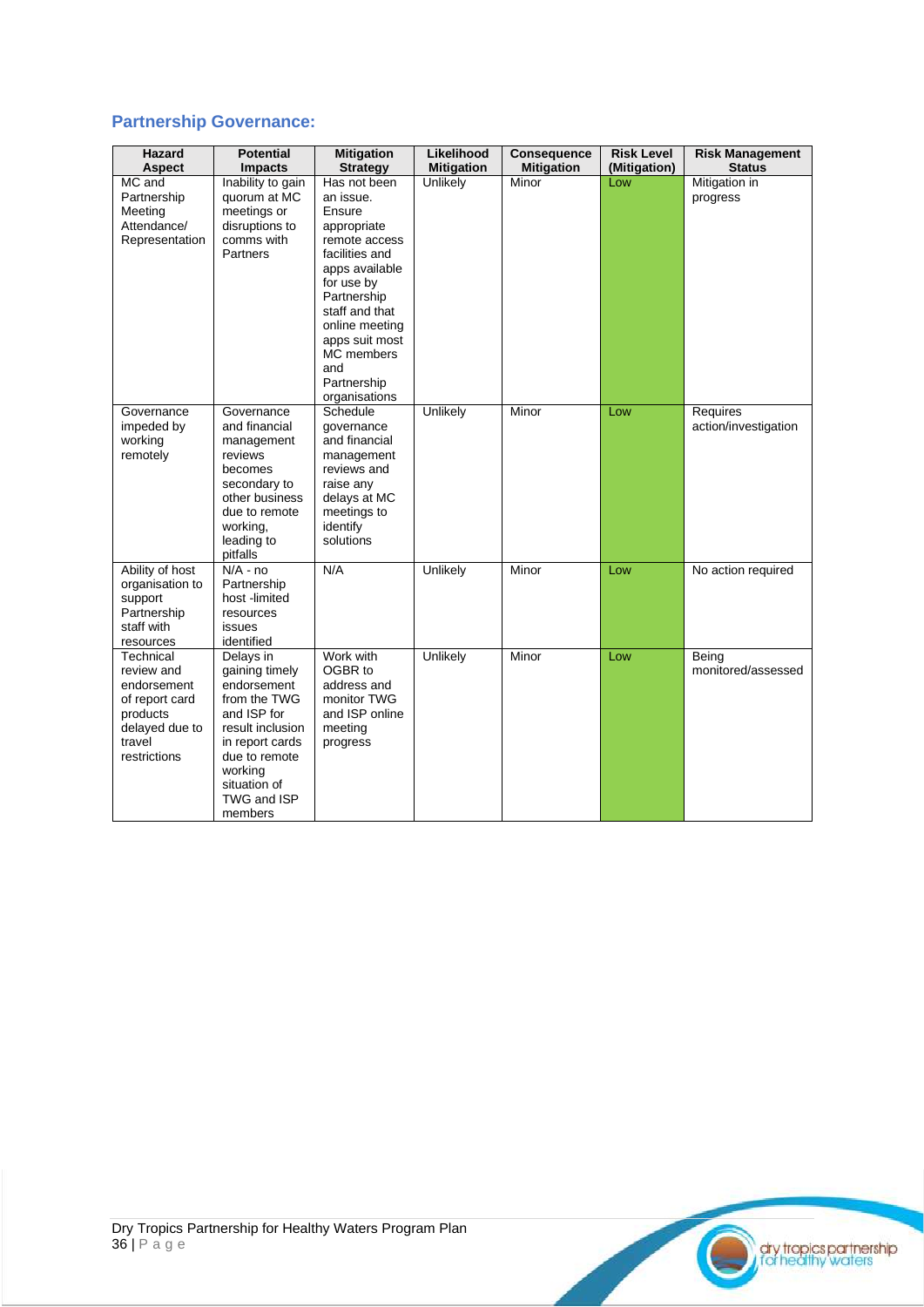### **Partnership Governance:**

| <b>Hazard</b><br>Aspect                                                                                          | <b>Potential</b><br><b>Impacts</b>                                                                                                                                                     | <b>Mitigation</b><br><b>Strategy</b>                                                                                                                                                                                                            | Likelihood<br><b>Mitigation</b> | <b>Consequence</b><br><b>Mitigation</b> | <b>Risk Level</b><br>(Mitigation) | <b>Risk Management</b><br><b>Status</b> |
|------------------------------------------------------------------------------------------------------------------|----------------------------------------------------------------------------------------------------------------------------------------------------------------------------------------|-------------------------------------------------------------------------------------------------------------------------------------------------------------------------------------------------------------------------------------------------|---------------------------------|-----------------------------------------|-----------------------------------|-----------------------------------------|
| MC and<br>Partnership<br>Meeting<br>Attendance/<br>Representation                                                | Inability to gain<br>quorum at MC<br>meetings or<br>disruptions to<br>comms with<br>Partners                                                                                           | Has not been<br>an issue.<br>Ensure<br>appropriate<br>remote access<br>facilities and<br>apps available<br>for use by<br>Partnership<br>staff and that<br>online meeting<br>apps suit most<br>MC members<br>and<br>Partnership<br>organisations | Unlikely                        | Minor                                   | Low                               | Mitigation in<br>progress               |
| Governance<br>impeded by<br>working<br>remotely                                                                  | Governance<br>and financial<br>management<br>reviews<br>becomes<br>secondary to<br>other business<br>due to remote<br>working,<br>leading to<br>pitfalls                               | Schedule<br>qovernance<br>and financial<br>management<br>reviews and<br>raise any<br>delays at MC<br>meetings to<br>identify<br>solutions                                                                                                       | Unlikely                        | Minor                                   | Low                               | Requires<br>action/investigation        |
| Ability of host<br>organisation to<br>support<br>Partnership<br>staff with<br>resources                          | $N/A - no$<br>Partnership<br>host -limited<br>resources<br>issues<br>identified                                                                                                        | N/A                                                                                                                                                                                                                                             | Unlikely                        | Minor                                   | Low                               | No action required                      |
| Technical<br>review and<br>endorsement<br>of report card<br>products<br>delayed due to<br>travel<br>restrictions | Delays in<br>gaining timely<br>endorsement<br>from the TWG<br>and ISP for<br>result inclusion<br>in report cards<br>due to remote<br>working<br>situation of<br>TWG and ISP<br>members | Work with<br>OGBR to<br>address and<br>monitor TWG<br>and ISP online<br>meeting<br>progress                                                                                                                                                     | Unlikely                        | Minor                                   | Low                               | Beina<br>monitored/assessed             |

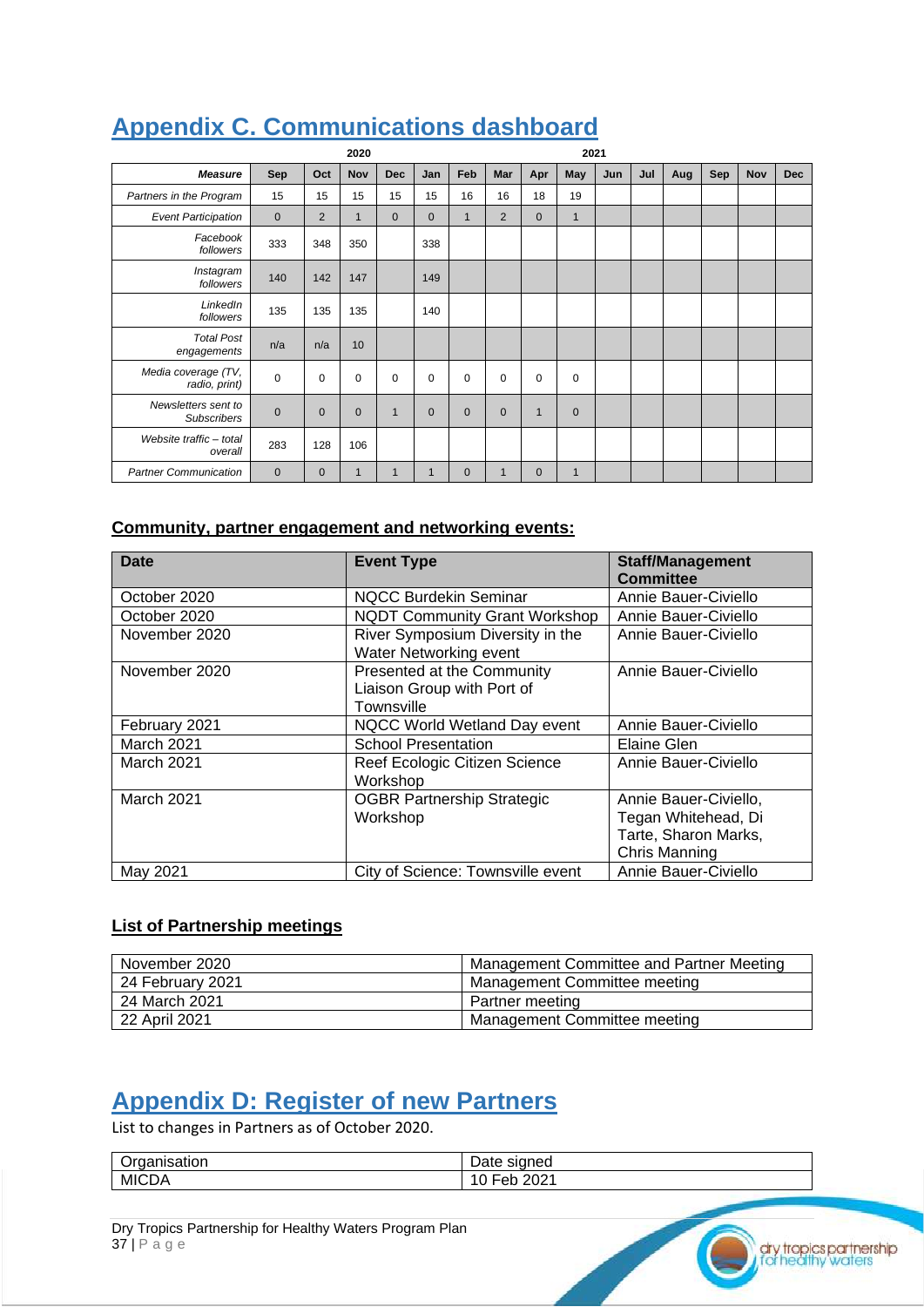|                                           |              |              | 2020         |              |              |                |              |              |              | 2021 |     |     |     |     |            |
|-------------------------------------------|--------------|--------------|--------------|--------------|--------------|----------------|--------------|--------------|--------------|------|-----|-----|-----|-----|------------|
| <b>Measure</b>                            | Sep          | Oct          | Nov          | <b>Dec</b>   | Jan          | Feb            | Mar          | Apr          | May          | Jun  | Jul | Aug | Sep | Nov | <b>Dec</b> |
| Partners in the Program                   | 15           | 15           | 15           | 15           | 15           | 16             | 16           | 18           | 19           |      |     |     |     |     |            |
| <b>Event Participation</b>                | $\mathbf{0}$ | 2            | $\mathbf{1}$ | $\mathbf 0$  | $\mathbf{0}$ | $\mathbf{1}$   | 2            | $\mathbf{0}$ | $\mathbf{1}$ |      |     |     |     |     |            |
| Facebook<br>followers                     | 333          | 348          | 350          |              | 338          |                |              |              |              |      |     |     |     |     |            |
| Instagram<br>followers                    | 140          | 142          | 147          |              | 149          |                |              |              |              |      |     |     |     |     |            |
| LinkedIn<br>followers                     | 135          | 135          | 135          |              | 140          |                |              |              |              |      |     |     |     |     |            |
| <b>Total Post</b><br>engagements          | n/a          | n/a          | 10           |              |              |                |              |              |              |      |     |     |     |     |            |
| Media coverage (TV,<br>radio, print)      | $\mathbf 0$  | $\mathbf 0$  | 0            | $\mathbf 0$  | $\mathbf 0$  | 0              | 0            | $\mathbf 0$  | 0            |      |     |     |     |     |            |
| Newsletters sent to<br><b>Subscribers</b> | $\mathbf{0}$ | $\mathbf 0$  | $\mathbf 0$  | $\mathbf{1}$ | $\mathbf 0$  | $\overline{0}$ | $\mathbf{0}$ | $\mathbf{1}$ | $\mathbf{0}$ |      |     |     |     |     |            |
| Website traffic - total<br>overall        | 283          | 128          | 106          |              |              |                |              |              |              |      |     |     |     |     |            |
| <b>Partner Communication</b>              | $\mathbf{0}$ | $\mathbf{0}$ | 1            | $\mathbf{1}$ | $\mathbf{1}$ | $\overline{0}$ | $\mathbf{1}$ | $\mathbf{0}$ | $\mathbf{1}$ |      |     |     |     |     |            |

### <span id="page-36-0"></span>**Appendix C. Communications dashboard**

#### **Community, partner engagement and networking events:**

| <b>Date</b>       | <b>Event Type</b>                    | <b>Staff/Management</b> |
|-------------------|--------------------------------------|-------------------------|
|                   |                                      | <b>Committee</b>        |
| October 2020      | <b>NQCC Burdekin Seminar</b>         | Annie Bauer-Civiello    |
| October 2020      | <b>NQDT Community Grant Workshop</b> | Annie Bauer-Civiello    |
| November 2020     | River Symposium Diversity in the     | Annie Bauer-Civiello    |
|                   | Water Networking event               |                         |
| November 2020     | Presented at the Community           | Annie Bauer-Civiello    |
|                   | Liaison Group with Port of           |                         |
|                   | Townsville                           |                         |
| February 2021     | NQCC World Wetland Day event         | Annie Bauer-Civiello    |
| March 2021        | <b>School Presentation</b>           | Elaine Glen             |
| <b>March 2021</b> | Reef Ecologic Citizen Science        | Annie Bauer-Civiello    |
|                   | Workshop                             |                         |
| March 2021        | <b>OGBR Partnership Strategic</b>    | Annie Bauer-Civiello,   |
|                   | Workshop                             | Tegan Whitehead, Di     |
|                   |                                      | Tarte, Sharon Marks,    |
|                   |                                      | <b>Chris Manning</b>    |
| May 2021          | City of Science: Townsville event    | Annie Bauer-Civiello    |

#### **List of Partnership meetings**

| November 2020    | Management Committee and Partner Meeting |
|------------------|------------------------------------------|
| 24 February 2021 | Management Committee meeting             |
| 24 March 2021    | Partner meeting                          |
| 22 April 2021    | Management Committee meeting             |

### <span id="page-36-1"></span>**Appendix D: Register of new Partners**

List to changes in Partners as of October 2020.

| . .<br>.<br>ີ | -<br>$\cdots$<br>пе<br>αισ                                  |
|---------------|-------------------------------------------------------------|
| MIC<br>- AU   | nnn<br>-11.<br>$\overline{\phantom{a}}$<br>LUL 1<br>ັ<br>◡∼ |